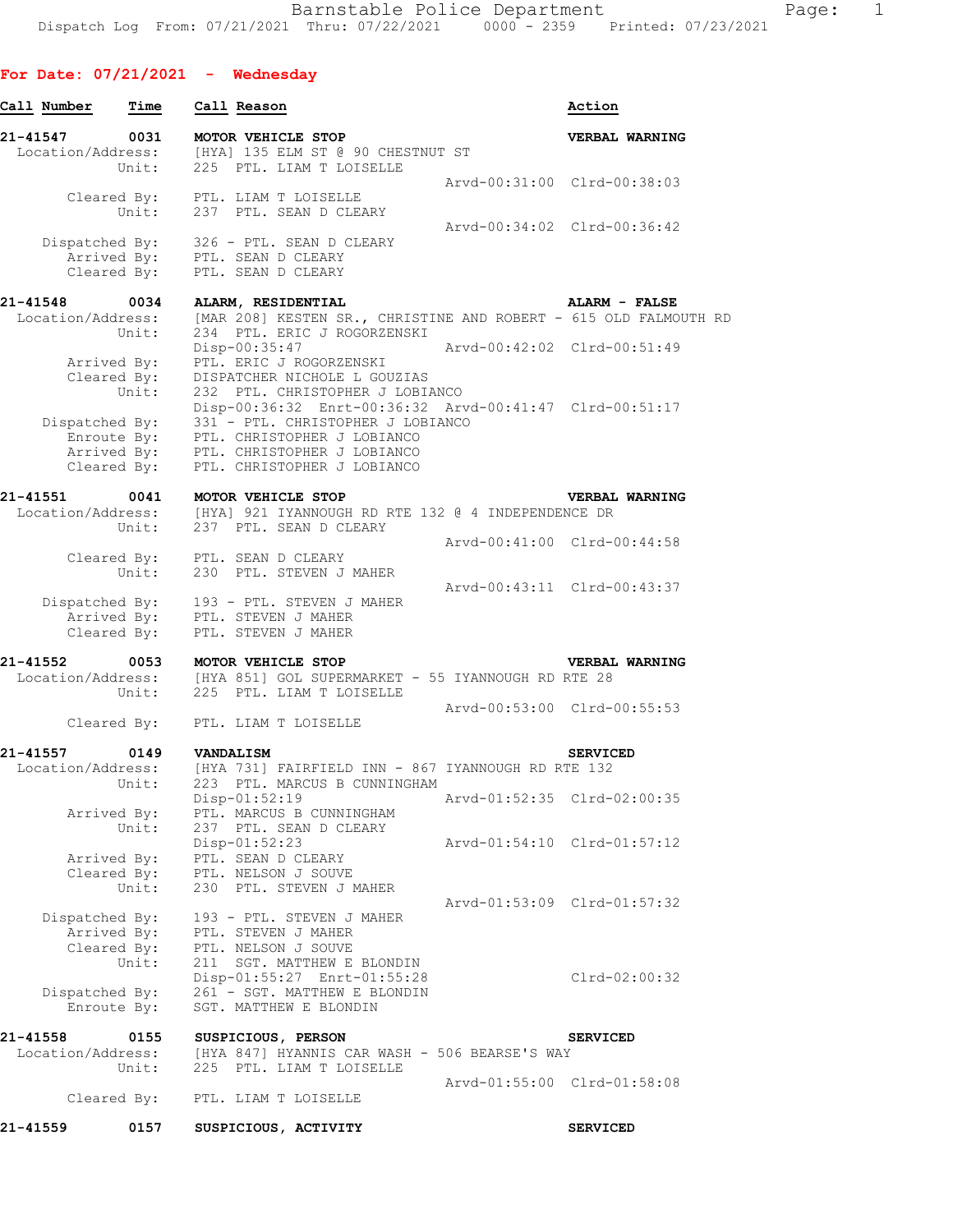## **For Date: 07/21/2021 - Wednesday**

| Call Number                   | Time  | Call Reason                                                                                                                                    |                             | Action                      |
|-------------------------------|-------|------------------------------------------------------------------------------------------------------------------------------------------------|-----------------------------|-----------------------------|
| 21-41547 0031                 |       | MOTOR VEHICLE STOP<br>L-41547 0031 MOTOR VEHICLE STOP<br>Location/Address: [HYA] 135 ELM ST @ 90 CHESTNUT ST                                   |                             | <b>VERBAL WARNING</b>       |
|                               |       | Unit: 225 PTL. LIAM T LOISELLE                                                                                                                 |                             | Arvd-00:31:00 Clrd-00:38:03 |
|                               |       | Cleared By: PTL. LIAM T LOISELLE<br>Unit: 237 PTL. SEAN D CLEARY                                                                               |                             |                             |
|                               |       | Dispatched By: 326 - PTL. SEAN D CLEARY                                                                                                        | Arvd-00:34:02 Clrd-00:36:42 |                             |
|                               |       | Arrived By: PTL. SEAN D CLEARY<br>Cleared By: PTL. SEAN D CLEARY                                                                               |                             |                             |
| 21-41548                      | 0034  | ALARM, RESIDENTIAL                                                                                                                             |                             | ALARM - FALSE               |
|                               | Unit: | Location/Address: [MAR 208] KESTEN SR., CHRISTINE AND ROBERT - 615 OLD FALMOUTH RD<br>234 PTL. ERIC J ROGORZENSKI<br>Disp-00:35:47             | Arvd-00:42:02 Clrd-00:51:49 |                             |
|                               |       | Arrived By: PTL. ERIC J ROGORZENSKI<br>Cleared By: DISPATCHER NICHOLE L GOU<br>Unit: 232 PTL. CHRISTOPHER J<br>DISPATCHER NICHOLE L GOUZIAS    |                             |                             |
|                               |       | 232 PTL. CHRISTOPHER J LOBIANCO<br>Disp-00:36:32 Enrt-00:36:32 Arvd-00:41:47 Clrd-00:51:17<br>Dispatched By: 331 - PTL. CHRISTOPHER J LOBIANCO |                             |                             |
|                               |       | Enroute By: PTL. CHRISTOPHER J LOBIANCO                                                                                                        |                             |                             |
|                               |       | Arrived By: PTL. CHRISTOPHER J LOBIANCO<br>Cleared By: PTL. CHRISTOPHER J LOBIANCO                                                             |                             |                             |
| 21-41551 0041                 |       | MOTOR VEHICLE STOP                                                                                                                             |                             | VERBAL WARNING              |
|                               | Unit: | Location/Address: [HYA] 921 IYANNOUGH RD RTE 132 @ 4 INDEPENDENCE DR<br>237 PTL. SEAN D CLEARY                                                 |                             |                             |
|                               |       |                                                                                                                                                |                             | Arvd-00:41:00 Clrd-00:44:58 |
|                               |       | Cleared By: PTL. SEAN D CLEARY<br>Unit: 230 PTL. STEVEN J MAR<br>230 PTL. STEVEN J MAHER                                                       |                             |                             |
|                               |       |                                                                                                                                                |                             | Arvd-00:43:11 Clrd-00:43:37 |
|                               |       | Dispatched By: 193 - PTL. STEVEN J MAHER<br>Arrived By: PTL. STEVEN J MAHER                                                                    |                             |                             |
|                               |       | Cleared By: PTL. STEVEN J MAHER                                                                                                                |                             |                             |
| 21-41552 0053                 |       | MOTOR VEHICLE STOP                                                                                                                             |                             | VERBAL WARNING              |
|                               |       | Location/Address: [HYA 851] GOL SUPERMARKET - 55 IYANNOUGH RD RTE 28<br>Unit: 225 PTL. LIAM T LOISELLE                                         |                             |                             |
|                               |       | Cleared By: PTL. LIAM T LOISELLE                                                                                                               | Arvd-00:53:00 Clrd-00:55:53 |                             |
|                               |       |                                                                                                                                                |                             |                             |
|                               |       |                                                                                                                                                |                             | <b>SERVICED</b>             |
|                               | Unit: | 223 PTL. MARCUS B CUNNINGHAM                                                                                                                   |                             |                             |
|                               |       | Disp-01:52:19                                                                                                                                  |                             | Arvd-01:52:35 Clrd-02:00:35 |
| Arrived By:                   | Unit: | PTL. MARCUS B CUNNINGHAM<br>237 PTL. SEAN D CLEARY                                                                                             |                             |                             |
|                               |       | Disp-01:52:23                                                                                                                                  |                             | Arvd-01:54:10 Clrd-01:57:12 |
| Arrived By:<br>Cleared By:    |       | PTL. SEAN D CLEARY<br>PTL. NELSON J SOUVE                                                                                                      |                             |                             |
|                               | Unit: | 230 PTL. STEVEN J MAHER                                                                                                                        |                             | Arvd-01:53:09 Clrd-01:57:32 |
| Dispatched By:                |       | 193 - PTL. STEVEN J MAHER                                                                                                                      |                             |                             |
| Arrived By:<br>Cleared By:    |       | PTL. STEVEN J MAHER<br>PTL. NELSON J SOUVE                                                                                                     |                             |                             |
|                               | Unit: | 211 SGT. MATTHEW E BLONDIN<br>Disp-01:55:27 Enrt-01:55:28                                                                                      |                             | $Clrd-02:00:32$             |
| Dispatched By:<br>Enroute By: |       | 261 - SGT. MATTHEW E BLONDIN<br>SGT. MATTHEW E BLONDIN                                                                                         |                             |                             |
| 21-41558                      | 0155  | SUSPICIOUS, PERSON                                                                                                                             |                             | <b>SERVICED</b>             |
| Location/Address:             | Unit: | [HYA 847] HYANNIS CAR WASH - 506 BEARSE'S WAY<br>225 PTL. LIAM T LOISELLE                                                                      |                             |                             |
| Cleared By:                   |       | PTL. LIAM T LOISELLE                                                                                                                           |                             | Arvd-01:55:00 Clrd-01:58:08 |
| 21-41559                      | 0157  | SUSPICIOUS, ACTIVITY                                                                                                                           |                             | <b>SERVICED</b>             |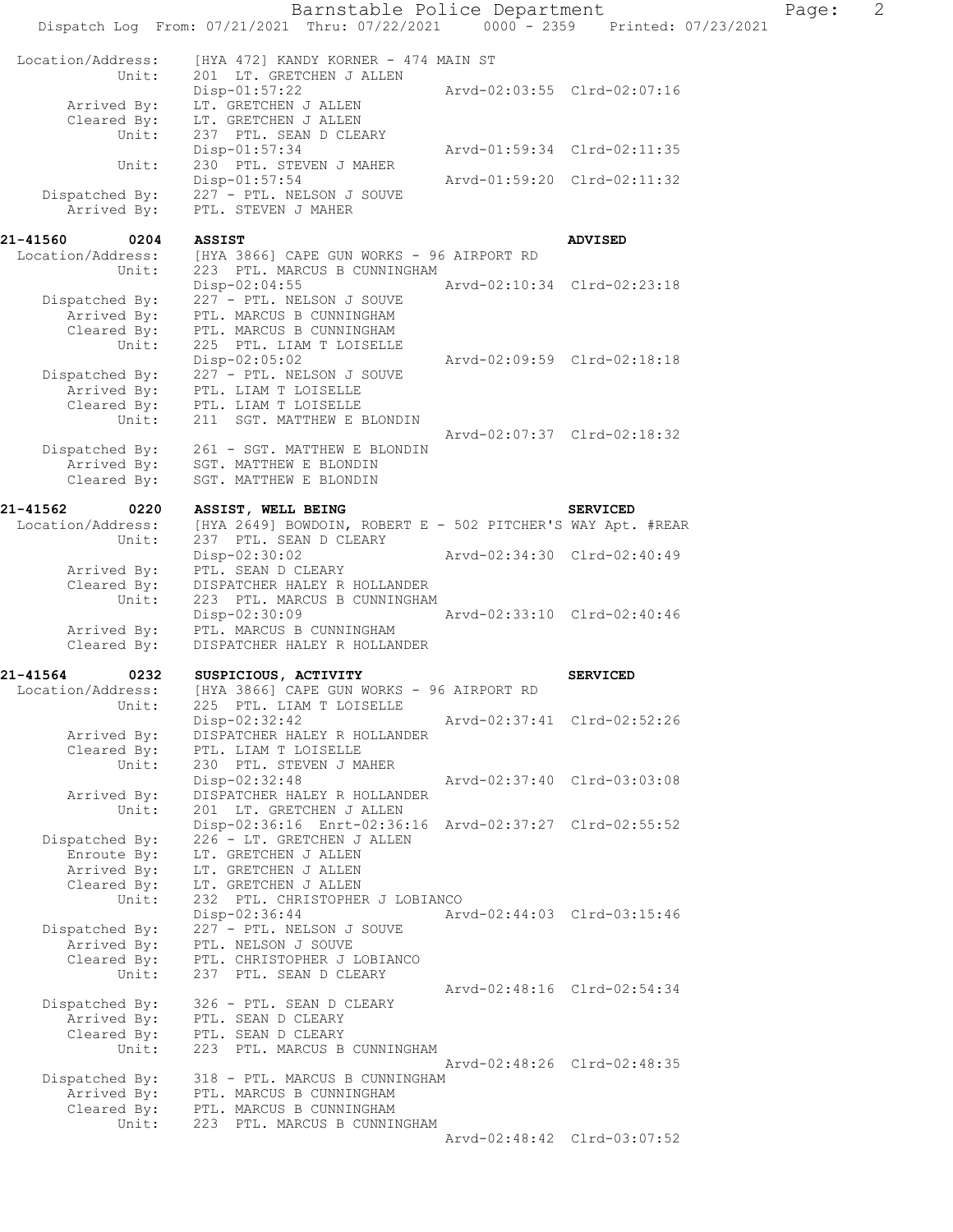|                                       | Barnstable Police Department<br>Dispatch Log From: 07/21/2021 Thru: 07/22/2021 0000 - 2359 |                             | Printed: 07/23/2021         |
|---------------------------------------|--------------------------------------------------------------------------------------------|-----------------------------|-----------------------------|
|                                       |                                                                                            |                             |                             |
| Location/Address:                     | [HYA 472] KANDY KORNER - 474 MAIN ST                                                       |                             |                             |
| Unit:                                 | 201 LT. GRETCHEN J ALLEN<br>$Disp-01:57:22$                                                |                             | Arvd-02:03:55 Clrd-02:07:16 |
| Arrived By:                           | LT. GRETCHEN J ALLEN                                                                       |                             |                             |
| Cleared By:                           | LT. GRETCHEN J ALLEN                                                                       |                             |                             |
| Unit:                                 | 237 PTL. SEAN D CLEARY<br>Disp-01:57:34                                                    |                             | Arvd-01:59:34 Clrd-02:11:35 |
| Unit:                                 | 230 PTL. STEVEN J MAHER                                                                    |                             |                             |
|                                       | Disp-01:57:54                                                                              |                             | Arvd-01:59:20 Clrd-02:11:32 |
| Dispatched By:<br>Arrived By:         | 227 - PTL. NELSON J SOUVE<br>PTL. STEVEN J MAHER                                           |                             |                             |
|                                       |                                                                                            |                             |                             |
| 21-41560<br>0204                      | <b>ASSIST</b>                                                                              |                             | <b>ADVISED</b>              |
| Location/Address:<br>Unit:            | [HYA 3866] CAPE GUN WORKS - 96 AIRPORT RD<br>223 PTL. MARCUS B CUNNINGHAM                  |                             |                             |
|                                       | Disp-02:04:55                                                                              | Arvd-02:10:34 Clrd-02:23:18 |                             |
| Dispatched By:                        | 227 - PTL. NELSON J SOUVE                                                                  |                             |                             |
| Arrived By:<br>Cleared By:            | PTL. MARCUS B CUNNINGHAM<br>PTL. MARCUS B CUNNINGHAM                                       |                             |                             |
| Unit:                                 | 225 PTL. LIAM T LOISELLE                                                                   |                             |                             |
|                                       | $Disp-02:05:02$                                                                            |                             | Arvd-02:09:59 Clrd-02:18:18 |
| Dispatched By:                        | 227 - PTL. NELSON J SOUVE                                                                  |                             |                             |
| Cleared By:                           | Arrived By: PTL. LIAM T LOISELLE<br>PTL. LIAM T LOISELLE                                   |                             |                             |
| Unit:                                 | 211 SGT. MATTHEW E BLONDIN                                                                 |                             |                             |
|                                       |                                                                                            |                             | Arvd-02:07:37 Clrd-02:18:32 |
| Dispatched By:<br>Arrived By:         | 261 - SGT. MATTHEW E BLONDIN<br>SGT. MATTHEW E BLONDIN                                     |                             |                             |
| Cleared By:                           | SGT. MATTHEW E BLONDIN                                                                     |                             |                             |
|                                       |                                                                                            |                             |                             |
| 21-41562<br>0220<br>Location/Address: | ASSIST, WELL BEING<br>[HYA 2649] BOWDOIN, ROBERT E - 502 PITCHER'S WAY Apt. #REAR          |                             | <b>SERVICED</b>             |
| Unit:                                 | 237 PTL. SEAN D CLEARY                                                                     |                             |                             |
|                                       | Disp-02:30:02                                                                              | Arvd-02:34:30 Clrd-02:40:49 |                             |
| Arrived By:                           | PTL. SEAN D CLEARY                                                                         |                             |                             |
| Cleared By:<br>Unit:                  | DISPATCHER HALEY R HOLLANDER<br>223 PTL. MARCUS B CUNNINGHAM                               |                             |                             |
|                                       | Disp-02:30:09                                                                              |                             | Arvd-02:33:10 Clrd-02:40:46 |
| Arrived By:                           | PTL. MARCUS B CUNNINGHAM                                                                   |                             |                             |
| Cleared By:                           | DISPATCHER HALEY R HOLLANDER                                                               |                             |                             |
| 21-41564<br>0232                      | SUSPICIOUS, ACTIVITY                                                                       |                             | <b>SERVICED</b>             |
| Location/Address:                     | [HYA 3866] CAPE GUN WORKS - 96 AIRPORT RD                                                  |                             |                             |
| Unit:                                 | 225 PTL. LIAM T LOISELLE<br>Disp-02:32:42                                                  |                             | Arvd-02:37:41 Clrd-02:52:26 |
| Arrived By:                           | DISPATCHER HALEY R HOLLANDER                                                               |                             |                             |
| Cleared By:                           | PTL. LIAM T LOISELLE                                                                       |                             |                             |
| Unit:                                 | 230 PTL. STEVEN J MAHER<br>Disp-02:32:48                                                   |                             | Arvd-02:37:40 Clrd-03:03:08 |
| Arrived By:                           | DISPATCHER HALEY R HOLLANDER                                                               |                             |                             |
| Unit:                                 | 201 LT. GRETCHEN J ALLEN                                                                   |                             |                             |
| Dispatched By:                        | Disp-02:36:16 Enrt-02:36:16 Arvd-02:37:27 Clrd-02:55:52<br>226 - LT. GRETCHEN J ALLEN      |                             |                             |
| Enroute By:                           | LT. GRETCHEN J ALLEN                                                                       |                             |                             |
| Arrived By:                           | LT. GRETCHEN J ALLEN                                                                       |                             |                             |
| Cleared By:<br>Unit:                  | LT. GRETCHEN J ALLEN<br>232 PTL. CHRISTOPHER J LOBIANCO                                    |                             |                             |
|                                       | Disp-02:36:44                                                                              |                             | Arvd-02:44:03 Clrd-03:15:46 |
| Dispatched By:                        | 227 - PTL. NELSON J SOUVE                                                                  |                             |                             |
| Arrived By:                           | PTL. NELSON J SOUVE                                                                        |                             |                             |
| Cleared By:<br>Unit:                  | PTL. CHRISTOPHER J LOBIANCO<br>237 PTL. SEAN D CLEARY                                      |                             |                             |
|                                       |                                                                                            |                             | Arvd-02:48:16 Clrd-02:54:34 |
| Dispatched By:                        | 326 - PTL. SEAN D CLEARY                                                                   |                             |                             |
| Arrived By:<br>Cleared By:            | PTL. SEAN D CLEARY<br>PTL. SEAN D CLEARY                                                   |                             |                             |
| Unit:                                 | 223 PTL. MARCUS B CUNNINGHAM                                                               |                             |                             |
|                                       |                                                                                            |                             | Arvd-02:48:26 Clrd-02:48:35 |
| Dispatched By:<br>Arrived By:         | 318 - PTL. MARCUS B CUNNINGHAM<br>PTL. MARCUS B CUNNINGHAM                                 |                             |                             |
| Cleared By:                           | PTL. MARCUS B CUNNINGHAM                                                                   |                             |                             |
| Unit:                                 | 223 PTL. MARCUS B CUNNINGHAM                                                               |                             |                             |
|                                       |                                                                                            |                             | Arvd-02:48:42 Clrd-03:07:52 |

 $Page: 2$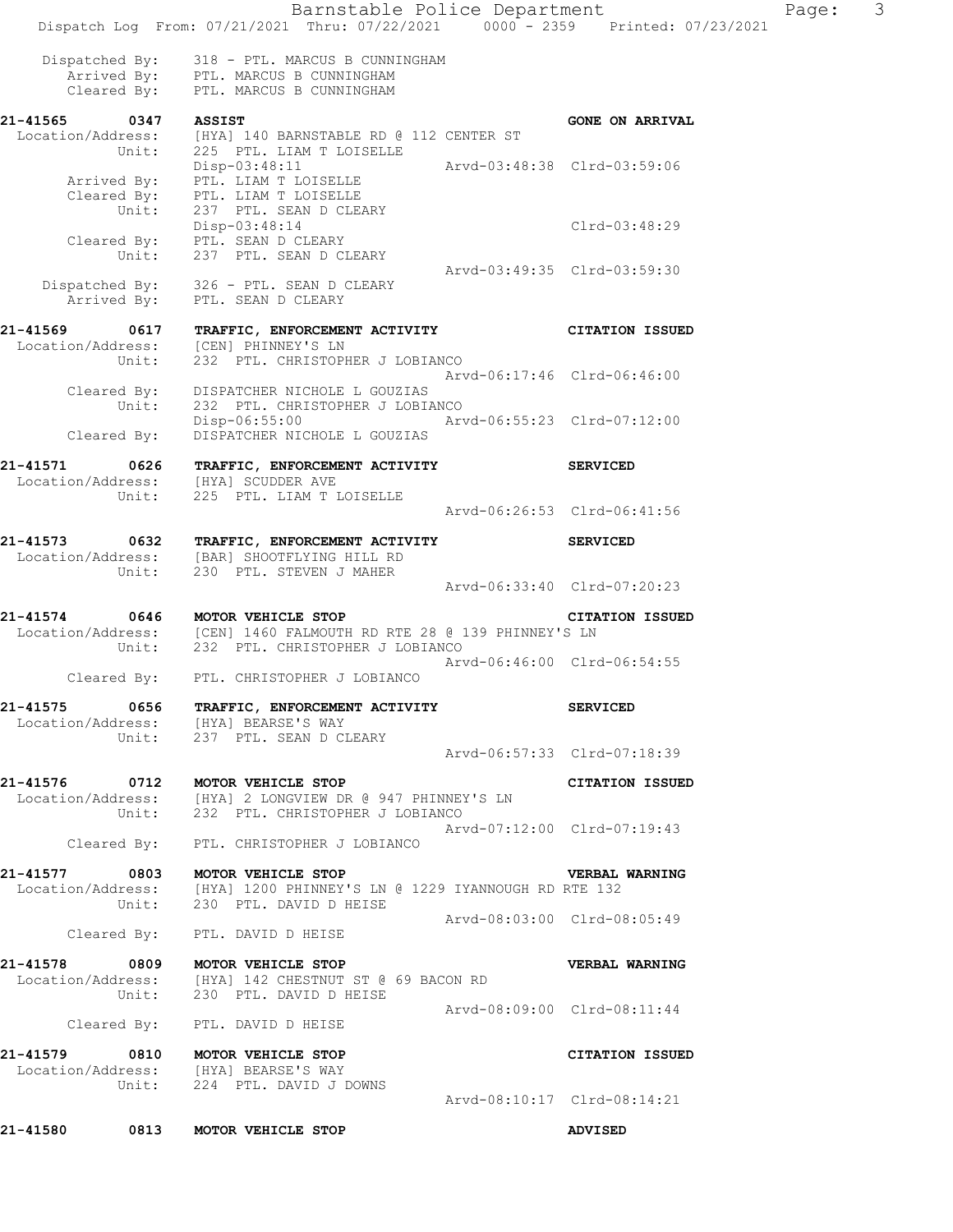Barnstable Police Department Fage: 3 Dispatch Log From: 07/21/2021 Thru: 07/22/2021 0000 - 2359 Printed: 07/23/2021 Dispatched By: 318 - PTL. MARCUS B CUNNINGHAM Arrived By: PTL. MARCUS B CUNNINGHAM Cleared By: PTL. MARCUS B CUNNINGHAM **21-41565 0347 ASSIST GONE ON ARRIVAL**  Location/Address: [HYA] 140 BARNSTABLE RD @ 112 CENTER ST Unit: 225 PTL. LIAM T LOISELLE Disp-03:48:11 Arvd-03:48:38 Clrd-03:59:06 Arrived By: PTL. LIAM T LOISELLE Cleared By: PTL. LIAM T LOISELLE Unit: 237 PTL. SEAN D CLEARY Disp-03:48:14 Clrd-03:48:29 Cleared By: PTL. SEAN D CLEARY Unit: 237 PTL. SEAN D CLEARY Arvd-03:49:35 Clrd-03:59:30 Dispatched By: 326 - PTL. SEAN D CLEARY Arrived By: PTL. SEAN D CLEARY **21-41569 0617 TRAFFIC, ENFORCEMENT ACTIVITY CITATION ISSUED**  Location/Address: [CEN] PHINNEY'S LN Unit: 232 PTL. CHRISTOPHER J LOBIANCO Arvd-06:17:46 Clrd-06:46:00 Cleared By: DISPATCHER NICHOLE L GOUZIAS Unit: 232 PTL. CHRISTOPHER J LOBIANCO<br>Disp-06:55:00 Art Disp-06:55:00 Arvd-06:55:23 Clrd-07:12:00 Cleared By: DISPATCHER NICHOLE L GOUZIAS **21-41571 0626 TRAFFIC, ENFORCEMENT ACTIVITY SERVICED**  Location/Address: [HYA] SCUDDER AVE Unit: 225 PTL. LIAM T LOISELLE Arvd-06:26:53 Clrd-06:41:56 **21-41573 0632 TRAFFIC, ENFORCEMENT ACTIVITY SERVICED**  Location/Address: [BAR] SHOOTFLYING HILL RD Unit: 230 PTL. STEVEN J MAHER Arvd-06:33:40 Clrd-07:20:23 **21-41574 0646 MOTOR VEHICLE STOP CITATION ISSUED**  Location/Address: [CEN] 1460 FALMOUTH RD RTE 28 @ 139 PHINNEY'S LN Unit: 232 PTL. CHRISTOPHER J LOBIANCO Arvd-06:46:00 Clrd-06:54:55 Cleared By: PTL. CHRISTOPHER J LOBIANCO **21-41575 0656 TRAFFIC, ENFORCEMENT ACTIVITY SERVICED**  Location/Address: [HYA] BEARSE'S WAY<br>Unit: 237 PTL. SEAN D CI 237 PTL. SEAN D CLEARY Arvd-06:57:33 Clrd-07:18:39 **21-41576 0712 MOTOR VEHICLE STOP CITATION ISSUED**  Location/Address: [HYA] 2 LONGVIEW DR @ 947 PHINNEY'S LN Unit: 232 PTL. CHRISTOPHER J LOBIANCO Arvd-07:12:00 Clrd-07:19:43 Cleared By: PTL. CHRISTOPHER J LOBIANCO **21-41577 0803 MOTOR VEHICLE STOP VERBAL WARNING**  Location/Address: [HYA] 1200 PHINNEY'S LN @ 1229 IYANNOUGH RD RTE 132 230 PTL. DAVID D HEISE Arvd-08:03:00 Clrd-08:05:49 Cleared By: PTL. DAVID D HEISE **21-41578 0809 MOTOR VEHICLE STOP VERBAL WARNING**  Location/Address: [HYA] 142 CHESTNUT ST @ 69 BACON RD Unit: 230 PTL. DAVID D HEISE Arvd-08:09:00 Clrd-08:11:44 Cleared By: PTL. DAVID D HEISE **21-41579 0810 MOTOR VEHICLE STOP CITATION ISSUED**  Location/Address: [HYA] BEARSE'S WAY Unit: 224 PTL. DAVID J DOWNS Arvd-08:10:17 Clrd-08:14:21

**21-41580 0813 MOTOR VEHICLE STOP ADVISED**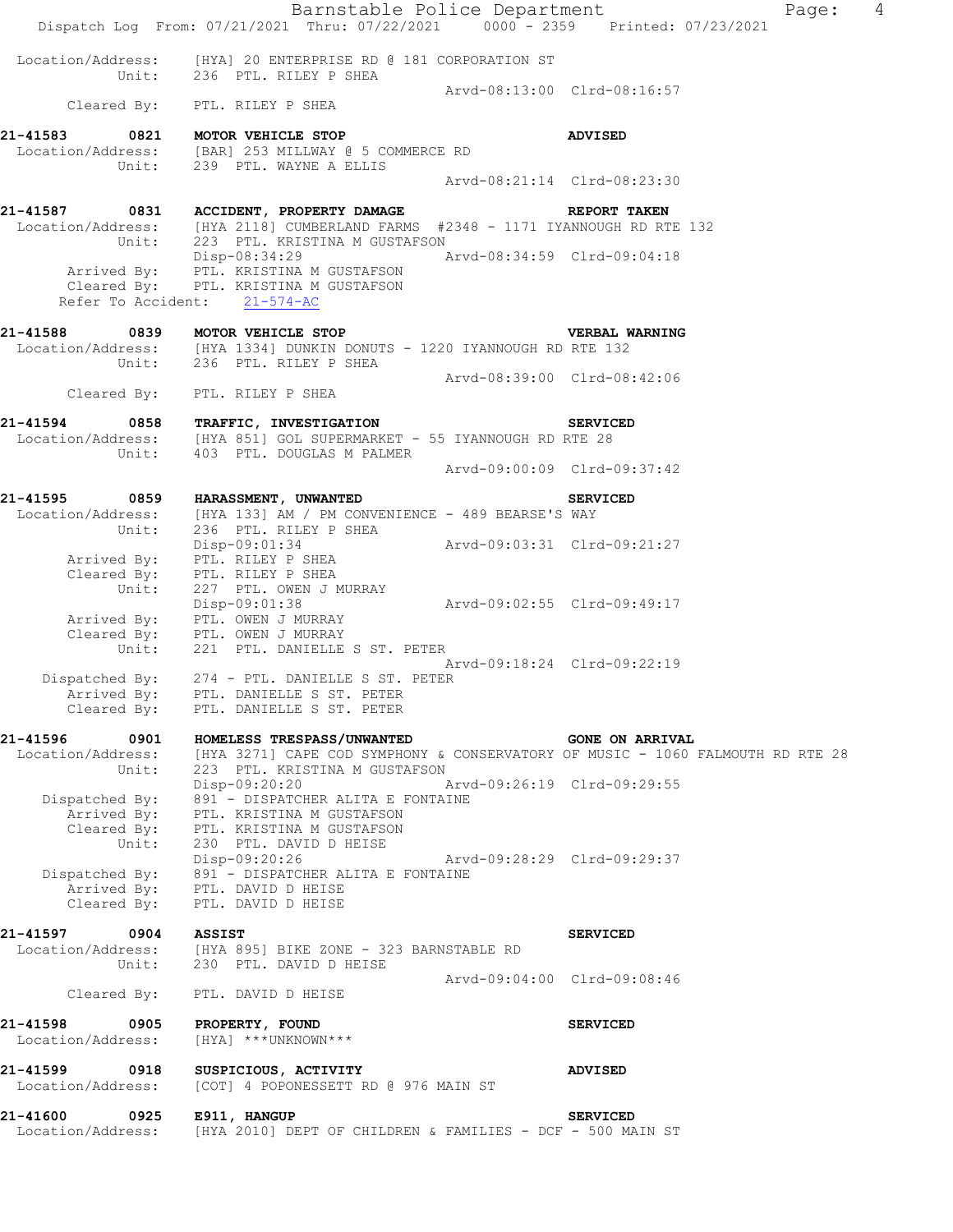|                                                       | Dispatch Log From: 07/21/2021 Thru: 07/22/2021 0000 - 2359 Printed: 07/23/2021                                                                                        | Barnstable Police Department |                             | $\overline{4}$<br>Page: |
|-------------------------------------------------------|-----------------------------------------------------------------------------------------------------------------------------------------------------------------------|------------------------------|-----------------------------|-------------------------|
|                                                       | Location/Address: [HYA] 20 ENTERPRISE RD @ 181 CORPORATION ST<br>Unit: 236 PTL. RILEY P SHEA                                                                          |                              |                             |                         |
|                                                       | Cleared By: PTL. RILEY P SHEA                                                                                                                                         |                              | Arvd-08:13:00 Clrd-08:16:57 |                         |
| 21-41583                                              | 0821 MOTOR VEHICLE STOP<br>Location/Address: [BAR] 253 MILLWAY @ 5 COMMERCE RD<br>Unit: 239 PTL. WAYNE A ELLIS                                                        |                              | <b>ADVISED</b>              |                         |
|                                                       |                                                                                                                                                                       |                              | Arvd-08:21:14 Clrd-08:23:30 |                         |
|                                                       | 21-41587 0831 ACCIDENT, PROPERTY DAMAGE<br>Location/Address: [HYA 2118] CUMBERLAND FARMS #2348 - 1171 IYANNOUGH RD RTE 132<br>Unit: 223 PTL. KRISTINA M GUSTAFSON     |                              | <b>REPORT TAKEN</b>         |                         |
|                                                       | Disp-08:34:29<br>Arrived By: PTL. KRISTINA M GUSTAFSON<br>Cleared By: PTL. KRISTINA M GUSTAFSON<br>Refer To Accident: 21-574-AC                                       | Arvd-08:34:59 Clrd-09:04:18  |                             |                         |
| 21-41588 0839 MOTOR VEHICLE STOP                      | Location/Address: [HYA 1334] DUNKIN DONUTS - 1220 IYANNOUGH RD RTE 132<br>Unit: 236 PTL. RILEY P SHEA                                                                 |                              | VERBAL WARNING              |                         |
|                                                       | Cleared By: PTL. RILEY P SHEA                                                                                                                                         | Arvd-08:39:00 Clrd-08:42:06  |                             |                         |
|                                                       | 21-41594 0858 TRAFFIC, INVESTIGATION<br>Location/Address: [HYA 851] GOL SUPERMARKET - 55 IYANNOUGH RD RTE 28<br>Unit: 403 PTL. DOUGLAS M PALMER                       |                              | <b>SERVICED</b>             |                         |
|                                                       |                                                                                                                                                                       |                              | Arvd-09:00:09 Clrd-09:37:42 |                         |
|                                                       | 21-41595 0859 HARASSMENT, UNWANTED<br>Location/Address: [HYA 133] AM / PM CONVENIENCE - 489 BEARSE'S WAY<br>Unit: 236 PTL. RILEY P SHEA                               |                              | <b>SERVICED</b>             |                         |
|                                                       | Disp-09:01:34<br>Arrived By: PTL. RILEY P SHEA<br>Cleared By: PTL. RILEY P SHEA                                                                                       | Arvd-09:03:31 Clrd-09:21:27  |                             |                         |
| Unit:                                                 | 227 PTL. OWEN J MURRAY<br>Disp-09:01:38<br>Arrived By: PTL. OWEN J MURRAY<br>Cleared By: PTL. OWEN J MURRAY<br>Unit: 221 PTL. DANIELLE S ST. PETER                    | Arvd-09:02:55 Clrd-09:49:17  |                             |                         |
| Arrived By:<br>Cleared By:                            | Dispatched By: 274 - PTL. DANIELLE S ST. PETER<br>PTL. DANIELLE S ST. PETER<br>PTL. DANIELLE S ST. PETER                                                              |                              | Arvd-09:18:24 Clrd-09:22:19 |                         |
| 21-41596<br>0901                                      | HOMELESS TRESPASS/UNWANTED<br>Location/Address: [HYA 3271] CAPE COD SYMPHONY & CONSERVATORY OF MUSIC - 1060 FALMOUTH RD RTE 28<br>Unit: 223 PTL. KRISTINA M GUSTAFSON |                              | <b>GONE ON ARRIVAL</b>      |                         |
| Dispatched By:<br>Arrived By:<br>Cleared By:<br>Unit: | Disp-09:20:20 Arvd-09:26:19 Clrd-09:29:55<br>891 - DISPATCHER ALITA E FONTAINE<br>PTL. KRISTINA M GUSTAFSON<br>PTL. KRISTINA M GUSTAFSON<br>230 PTL. DAVID D HEISE    |                              |                             |                         |
| Cleared By:                                           | Disp-09:20:26<br>Dispatched By: 891 - DISPATCHER ALITA E FONTAINE<br>Arrived By: PTL. DAVID D HEISE<br>PTL. DAVID D HEISE                                             | Arvd-09:28:29 Clrd-09:29:37  |                             |                         |
| 21-41597 0904                                         | <b>ASSIST</b><br>Location/Address: [HYA 895] BIKE ZONE - 323 BARNSTABLE RD<br>Unit: 230 PTL. DAVID D HEISE                                                            |                              | <b>SERVICED</b>             |                         |
|                                                       | Cleared By: PTL. DAVID D HEISE                                                                                                                                        |                              | Arvd-09:04:00 Clrd-09:08:46 |                         |
| 21-41598 0905<br>Location/Address:                    | PROPERTY, FOUND<br>[HYA] ***UNKNOWN***                                                                                                                                |                              | <b>SERVICED</b>             |                         |
| 21-41599<br>0918<br>Location/Address:                 | SUSPICIOUS, ACTIVITY<br>[COT] 4 POPONESSETT RD @ 976 MAIN ST                                                                                                          |                              | <b>ADVISED</b>              |                         |
| 21-41600 0925<br>Location/Address:                    | E911, HANGUP<br>[HYA 2010] DEPT OF CHILDREN & FAMILIES - DCF - 500 MAIN ST                                                                                            |                              | <b>SERVICED</b>             |                         |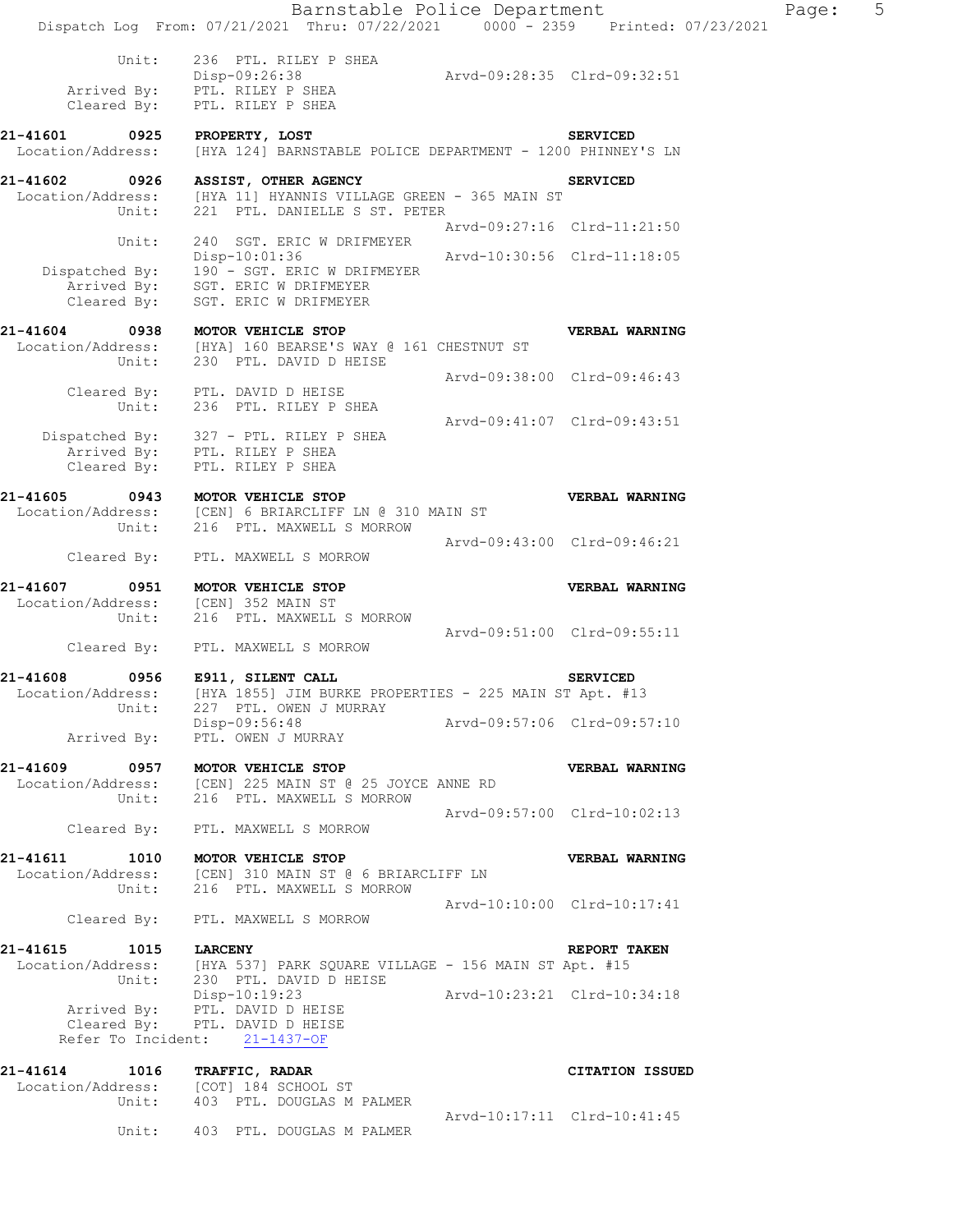|                                                                                  | Barnstable Police Department<br>Dispatch Log From: 07/21/2021 Thru: 07/22/2021 0000 - 2359 Printed: 07/23/2021                           |                             |                             | F |
|----------------------------------------------------------------------------------|------------------------------------------------------------------------------------------------------------------------------------------|-----------------------------|-----------------------------|---|
|                                                                                  |                                                                                                                                          |                             |                             |   |
| Unit:<br>Cleared By:                                                             | 236 PTL. RILEY P SHEA<br>Disp-09:26:38<br>Arrived By: PTL. RILEY P SHEA<br>PTL. RILEY P SHEA                                             | Arvd-09:28:35 Clrd-09:32:51 |                             |   |
|                                                                                  | 21-41601 0925 PROPERTY, LOST DEPARTMENT - 1200 PHINNEY'S LN COCALION/Address: [HYA 124] BARNSTABLE POLICE DEPARTMENT - 1200 PHINNEY'S LN |                             |                             |   |
|                                                                                  | 21-41602 0926 ASSIST, OTHER AGENCY                                                                                                       |                             | <b>SERVICED</b>             |   |
| Unit:                                                                            | Location/Address: [HYA 11] HYANNIS VILLAGE GREEN - 365 MAIN ST<br>221 PTL. DANIELLE S ST. PETER                                          |                             |                             |   |
|                                                                                  |                                                                                                                                          | Arvd-09:27:16 Clrd-11:21:50 |                             |   |
| Unit:                                                                            | 240 SGT. ERIC W DRIFMEYER<br>Disp-10:01:36                                                                                               | Arvd-10:30:56 Clrd-11:18:05 |                             |   |
|                                                                                  | Dispatched By: 190 - SGT. ERIC W DRIFMEYER<br>Arrived By: SGT. ERIC W DRIFMEYER<br>Cleared By: SGT. ERIC W DRIFMEYER                     |                             |                             |   |
| 21-41604 0938                                                                    | MOTOR VEHICLE STOP                                                                                                                       |                             | VERBAL WARNING              |   |
| Unit:                                                                            | Location/Address: [HYA] 160 BEARSE'S WAY @ 161 CHESTNUT ST<br>230 PTL. DAVID D HEISE                                                     |                             |                             |   |
|                                                                                  | Cleared By: PTL. DAVID D HEISE                                                                                                           | Arvd-09:38:00 Clrd-09:46:43 |                             |   |
|                                                                                  | Unit: 236 PTL. RILEY P SHEA                                                                                                              | Arvd-09:41:07 Clrd-09:43:51 |                             |   |
|                                                                                  | Dispatched By: 327 - PTL. RILEY P SHEA<br>Arrived By: PTL. RILEY P SHEA<br>Cleared By: PTL. RILEY P SHEA                                 |                             |                             |   |
| 21-41605 0943 MOTOR VEHICLE STOP<br>Unit:                                        | Location/Address: [CEN] 6 BRIARCLIFF LN @ 310 MAIN ST<br>216 PTL. MAXWELL S MORROW                                                       |                             | VERBAL WARNING              |   |
|                                                                                  | Cleared By: PTL. MAXWELL S MORROW                                                                                                        | Arvd-09:43:00 Clrd-09:46:21 |                             |   |
| 21-41607 0951 MOTOR VEHICLE STOP<br>Location/Address: [CEN] 352 MAIN ST<br>Unit: | 216 PTL. MAXWELL S MORROW                                                                                                                |                             | VERBAL WARNING              |   |
|                                                                                  | Cleared By: PTL. MAXWELL S MORROW                                                                                                        | Arvd-09:51:00 Clrd-09:55:11 |                             |   |
| 21-41608 0956 E911, SILENT CALL                                                  |                                                                                                                                          |                             | <b>SERVICED</b>             |   |
| Unit:                                                                            | Location/Address: [HYA 1855] JIM BURKE PROPERTIES - 225 MAIN ST Apt. #13<br>227 PTL. OWEN J MURRAY                                       |                             |                             |   |
|                                                                                  | Disp-09:56:48                                                                                                                            | Arvd-09:57:06 Clrd-09:57:10 |                             |   |
|                                                                                  | Arrived By: PTL. OWEN J MURRAY                                                                                                           |                             |                             |   |
| 21-41609 0957 MOTOR VEHICLE STOP                                                 | Location/Address: [CEN] 225 MAIN ST @ 25 JOYCE ANNE RD<br>Unit: 216 PTL. MAXWELL S MORROW                                                |                             | VERBAL WARNING              |   |
|                                                                                  | Cleared By: PTL. MAXWELL S MORROW                                                                                                        | Arvd-09:57:00 Clrd-10:02:13 |                             |   |
| 21-41611 1010 MOTOR VEHICLE STOP                                                 |                                                                                                                                          |                             | VERBAL WARNING              |   |
|                                                                                  | Location/Address: [CEN] 310 MAIN ST @ 6 BRIARCLIFF LN<br>Unit: 216 PTL. MAXWELL S MORROW                                                 |                             |                             |   |
|                                                                                  |                                                                                                                                          | Arvd-10:10:00 Clrd-10:17:41 |                             |   |
|                                                                                  | Cleared By: PTL. MAXWELL S MORROW                                                                                                        |                             |                             |   |
| 21-41615 1015 LARCENY                                                            | Location/Address: [HYA 537] PARK SQUARE VILLAGE - 156 MAIN ST Apt. #15                                                                   |                             | REPORT TAKEN                |   |
|                                                                                  | Unit: 230 PTL. DAVID D HEISE<br>Disp-10:19:23                                                                                            | Arvd-10:23:21 Clrd-10:34:18 |                             |   |
|                                                                                  | Disp-10:19:23<br>Arrived By: PTL. DAVID D HEISE                                                                                          |                             |                             |   |
|                                                                                  | Cleared By: PTL. DAVID D HEISE<br>Refer To Incident: 21-1437-OF                                                                          |                             |                             |   |
| 21-41614                                                                         | 1016 TRAFFIC, RADAR<br>Location/Address: [COT] 184 SCHOOL ST<br>Unit: 403 PTL. DOUGLAS M PALMER                                          |                             | CITATION ISSUED             |   |
|                                                                                  |                                                                                                                                          |                             | Arvd-10:17:11 Clrd-10:41:45 |   |

Unit: 403 PTL. DOUGLAS M PALMER

Page: 5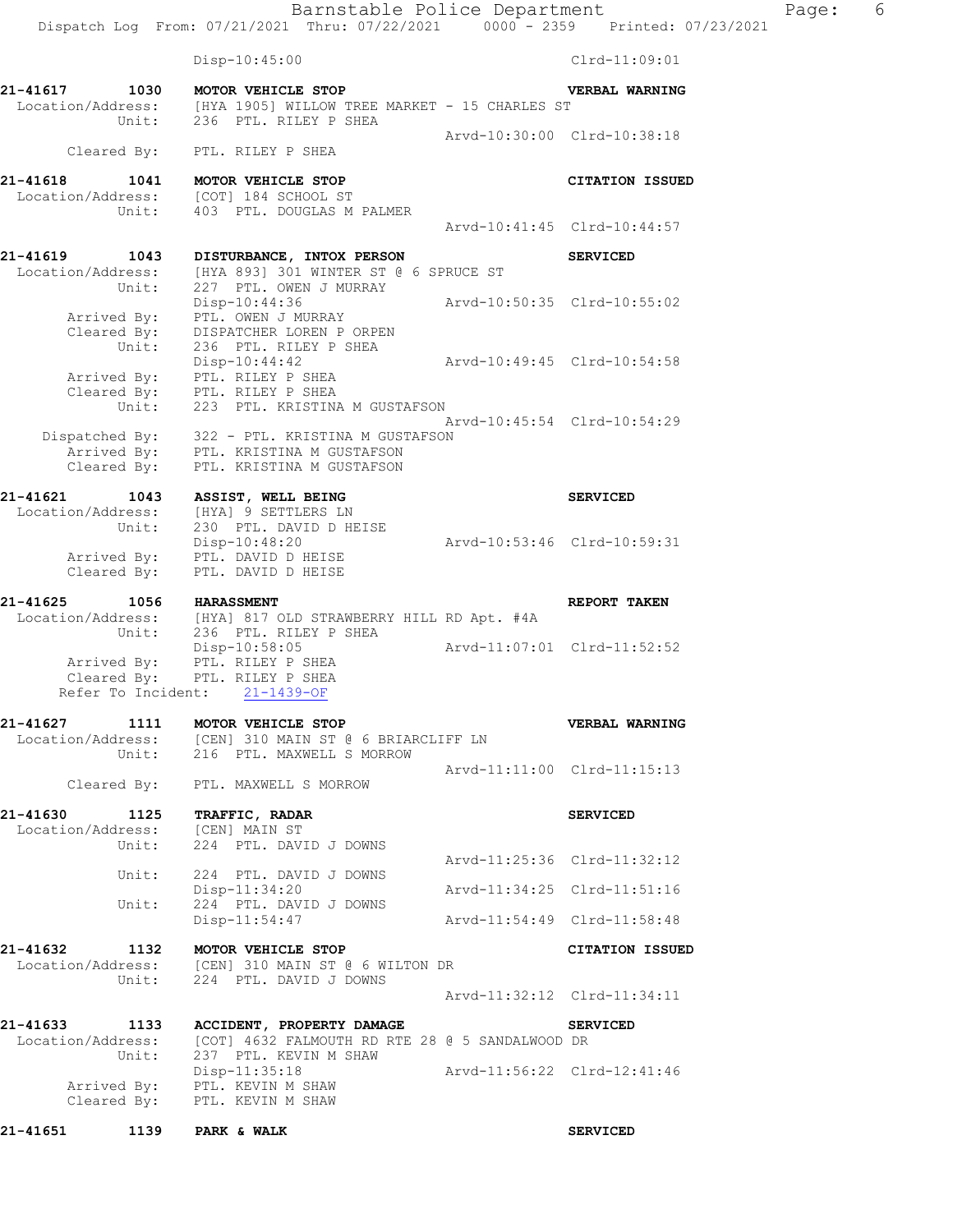Dispatch Log From: 07/21/2021 Thru: 07/22/2021 0000 - 2359 Printed: 07/23/2021 Disp-10:45:00 Clrd-11:09:01 **21-41617 1030 MOTOR VEHICLE STOP VERBAL WARNING**  Location/Address: [HYA 1905] WILLOW TREE MARKET - 15 CHARLES ST Unit: 236 PTL. RILEY P SHEA Arvd-10:30:00 Clrd-10:38:18 Cleared By: PTL. RILEY P SHEA **21-41618 1041 MOTOR VEHICLE STOP CITATION ISSUED**  Location/Address:<br>Unit: 403 PTL. DOUGLAS M PALMER Arvd-10:41:45 Clrd-10:44:57 **21-41619 1043 DISTURBANCE, INTOX PERSON SERVICED**  Location/Address: [HYA 893] 301 WINTER ST @ 6 SPRUCE ST Unit: 227 PTL. OWEN J MURRAY Disp-10:44:36 Arvd-10:50:35 Clrd-10:55:02 Arrived By: PTL. OWEN J MURRAY Cleared By: DISPATCHER LOREN P ORPEN Unit: 236 PTL. RILEY P SHEA<br>Disp-10:44:42 Disp-10:44:42 Arvd-10:49:45 Clrd-10:54:58 Arrived By: PTL. RILEY P SHEA Cleared By: PTL. RILEY P SHEA Unit: 223 PTL. KRISTINA M GUSTAFSON Arvd-10:45:54 Clrd-10:54:29 Dispatched By: 322 - PTL. KRISTINA M GUSTAFSON Arrived By: PTL. KRISTINA M GUSTAFSON Cleared By: PTL. KRISTINA M GUSTAFSON **21-41621 1043 ASSIST, WELL BEING SERVICED**  Location/Address: [HYA] 9 SETTLERS LN Unit: 230 PTL. DAVID D HEISE Disp-10:48:20 Arvd-10:53:46 Clrd-10:59:31 Arrived By: PTL. DAVID D HEISE Cleared By: PTL. DAVID D HEISE **21-41625 1056 HARASSMENT REPORT TAKEN**  Location/Address: [HYA] 817 OLD STRAWBERRY HILL RD Apt. #4A<br>Unit: 236 PTL. RILEY P SHEA 236 PTL. RILEY P SHEA Disp-10:58:05 Arvd-11:07:01 Clrd-11:52:52 Arrived By: PTL. RILEY P SHEA Cleared By: PTL. RILEY P SHEA Refer To Incident: 21-1439-OF **21-41627 1111 MOTOR VEHICLE STOP VERBAL WARNING**  Location/Address: [CEN] 310 MAIN ST @ 6 BRIARCLIFF LN Unit: 216 PTL. MAXWELL S MORROW Arvd-11:11:00 Clrd-11:15:13 Cleared By: PTL. MAXWELL S MORROW **21-41630 1125 TRAFFIC, RADAR SERVICED**  Location/Address: [CEN] MAIN ST Unit: 224 PTL. DAVID J DOWNS Arvd-11:25:36 Clrd-11:32:12 Unit: 224 PTL. DAVID J DOWNS<br>Disp-11:34:20 Disp-11:34:20 Arvd-11:34:25 Clrd-11:51:16<br>Unit: 224 PTL. DAVID J DOWNS 224 PTL. DAVID J DOWNS Disp-11:54:47 Arvd-11:54:49 Clrd-11:58:48 **21-41632 1132 MOTOR VEHICLE STOP CITATION ISSUED**  Location/Address: [CEN] 310 MAIN ST @ 6 WILTON DR Unit: 224 PTL. DAVID J DOWNS Arvd-11:32:12 Clrd-11:34:11 **21-41633 1133 ACCIDENT, PROPERTY DAMAGE SERVICED**  Location/Address: [COT] 4632 FALMOUTH RD RTE 28 @ 5 SANDALWOOD DR

 Unit: 237 PTL. KEVIN M SHAW Disp-11:35:18 Arvd-11:56:22 Clrd-12:41:46 Arrived By: PTL. KEVIN M SHAW Cleared By: PTL. KEVIN M SHAW

**21-41651 1139 PARK & WALK SERVICED** 

Barnstable Police Department Fage: 6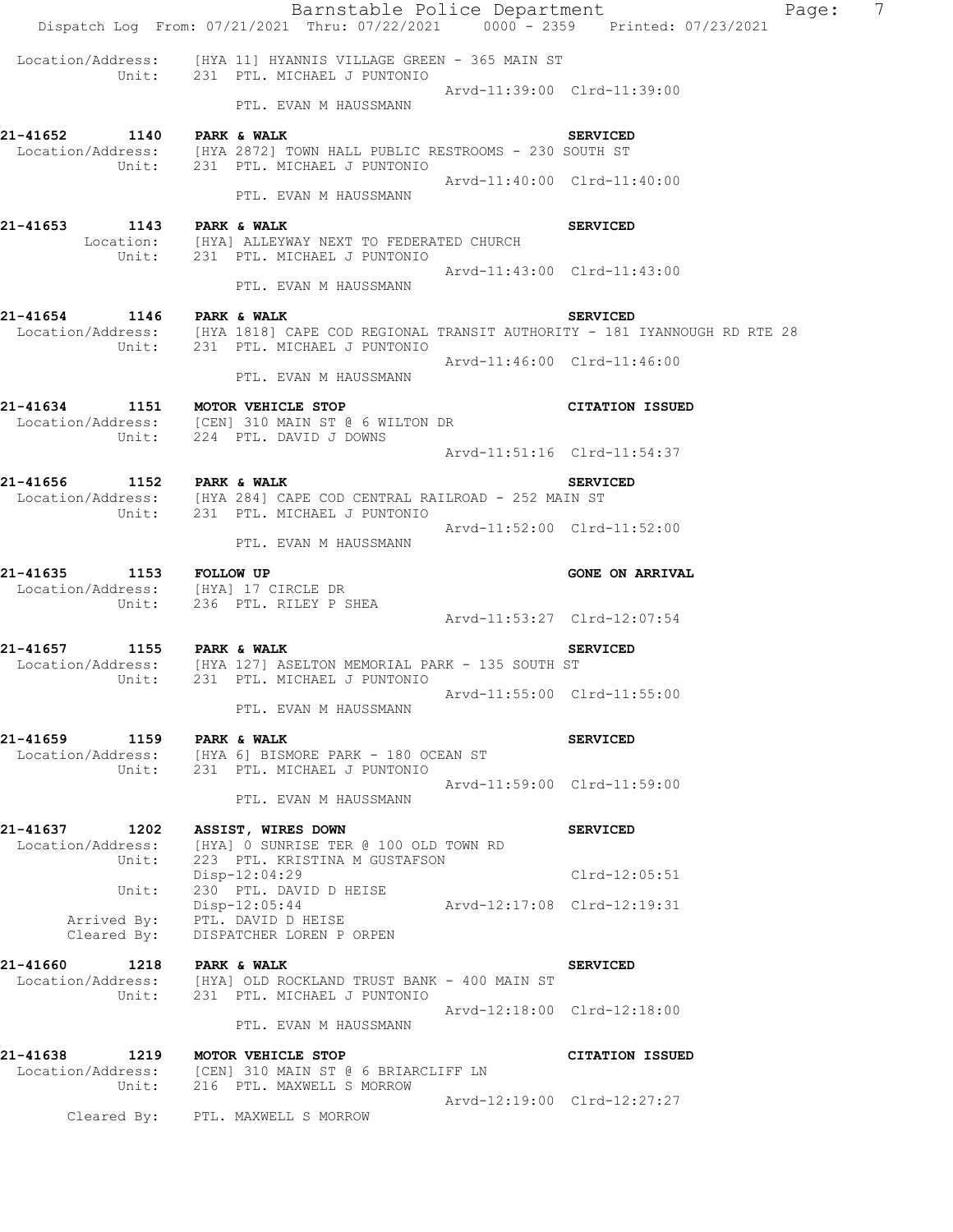|                                             | Barnstable Police Department<br>Dispatch Log From: 07/21/2021 Thru: 07/22/2021 0000 - 2359 Printed: 07/23/2021                  | Page:                       | $7\phantom{.0}$ |
|---------------------------------------------|---------------------------------------------------------------------------------------------------------------------------------|-----------------------------|-----------------|
|                                             | Location/Address: [HYA 11] HYANNIS VILLAGE GREEN - 365 MAIN ST<br>Unit: 231 PTL. MICHAEL J PUNTONIO                             |                             |                 |
|                                             | PTL. EVAN M HAUSSMANN                                                                                                           | Arvd-11:39:00 Clrd-11:39:00 |                 |
| 21-41652 1140 PARK & WALK                   | Location/Address: [HYA 2872] TOWN HALL PUBLIC RESTROOMS - 230 SOUTH ST<br>Unit: 231 PTL. MICHAEL J PUNTONIO                     | <b>SERVICED</b>             |                 |
|                                             | PTL. EVAN M HAUSSMANN                                                                                                           | Arvd-11:40:00 Clrd-11:40:00 |                 |
| 21-41653                                    | 1143 PARK & WALK<br>Location: [HYA] ALLEYWAY NEXT TO FEDERATED CHURCH<br>Unit: 231 PTL. MICHAEL J PUNTONIO                      | <b>SERVICED</b>             |                 |
|                                             | PTL. EVAN M HAUSSMANN                                                                                                           | Arvd-11:43:00 Clrd-11:43:00 |                 |
| 21-41654 1146 PARK & WALK                   | Location/Address: [HYA 1818] CAPE COD REGIONAL TRANSIT AUTHORITY - 181 IYANNOUGH RD RTE 28<br>Unit: 231 PTL. MICHAEL J PUNTONIO | <b>SERVICED</b>             |                 |
|                                             | PTL. EVAN M HAUSSMANN                                                                                                           | Arvd-11:46:00 Clrd-11:46:00 |                 |
| 21-41634 1151 MOTOR VEHICLE STOP            | Location/Address: [CEN] 310 MAIN ST @ 6 WILTON DR<br>Unit: 224 PTL. DAVID J DOWNS                                               | <b>CITATION ISSUED</b>      |                 |
|                                             |                                                                                                                                 | Arvd-11:51:16 Clrd-11:54:37 |                 |
| 21-41656 1152 PARK & WALK                   | Location/Address: [HYA 284] CAPE COD CENTRAL RAILROAD - 252 MAIN ST<br>Unit: 231 PTL. MICHAEL J PUNTONIO                        | <b>SERVICED</b>             |                 |
|                                             | PTL. EVAN M HAUSSMANN                                                                                                           | Arvd-11:52:00 Clrd-11:52:00 |                 |
| 21-41635<br>1153 FOLLOW UP                  | Location/Address: [HYA] 17 CIRCLE DR<br>Unit: 236 PTL. RILEY P SHEA                                                             | <b>GONE ON ARRIVAL</b>      |                 |
|                                             |                                                                                                                                 |                             |                 |
|                                             |                                                                                                                                 | Arvd-11:53:27 Clrd-12:07:54 |                 |
| 21-41657 1155 PARK & WALK                   |                                                                                                                                 | <b>SERVICED</b>             |                 |
|                                             | Location/Address: [HYA 127] ASELTON MEMORIAL PARK - 135 SOUTH ST<br>Unit: 231 PTL. MICHAEL J PUNTONIO<br>PTL. EVAN M HAUSSMANN  | Arvd-11:55:00 Clrd-11:55:00 |                 |
|                                             | 21-41659 1159 PARK & WALK<br>  Location/Address: [HYA 6] BISMORE PARK - 180 OCEAN ST                                            | <b>SERVICED</b>             |                 |
|                                             | Unit: 231 PTL. MICHAEL J PUNTONIO<br>PTL. EVAN M HAUSSMANN                                                                      | Arvd-11:59:00 Clrd-11:59:00 |                 |
| 21-41637 1202<br>Location/Address:<br>Unit: | ASSIST, WIRES DOWN<br>[HYA] O SUNRISE TER @ 100 OLD TOWN RD<br>223 PTL. KRISTINA M GUSTAFSON                                    | <b>SERVICED</b>             |                 |
| Unit:                                       | Disp-12:04:29<br>230 PTL. DAVID D HEISE                                                                                         | $Clrd-12:05:51$             |                 |
| Arrived By:<br>Cleared By:                  | $Disp-12:05:44$<br>PTL. DAVID D HEISE<br>DISPATCHER LOREN P ORPEN                                                               | Arvd-12:17:08 Clrd-12:19:31 |                 |
| 21-41660 1218 PARK & WALK                   | Location/Address: [HYA] OLD ROCKLAND TRUST BANK - 400 MAIN ST<br>Unit: 231 PTL. MICHAEL J PUNTONIO                              | <b>SERVICED</b>             |                 |
|                                             | PTL. EVAN M HAUSSMANN                                                                                                           | Arvd-12:18:00 Clrd-12:18:00 |                 |
| 21-41638 1219 MOTOR VEHICLE STOP            | Location/Address: [CEN] 310 MAIN ST @ 6 BRIARCLIFF LN<br>Unit: 216 PTL. MAXWELL S MORROW                                        | CITATION ISSUED             |                 |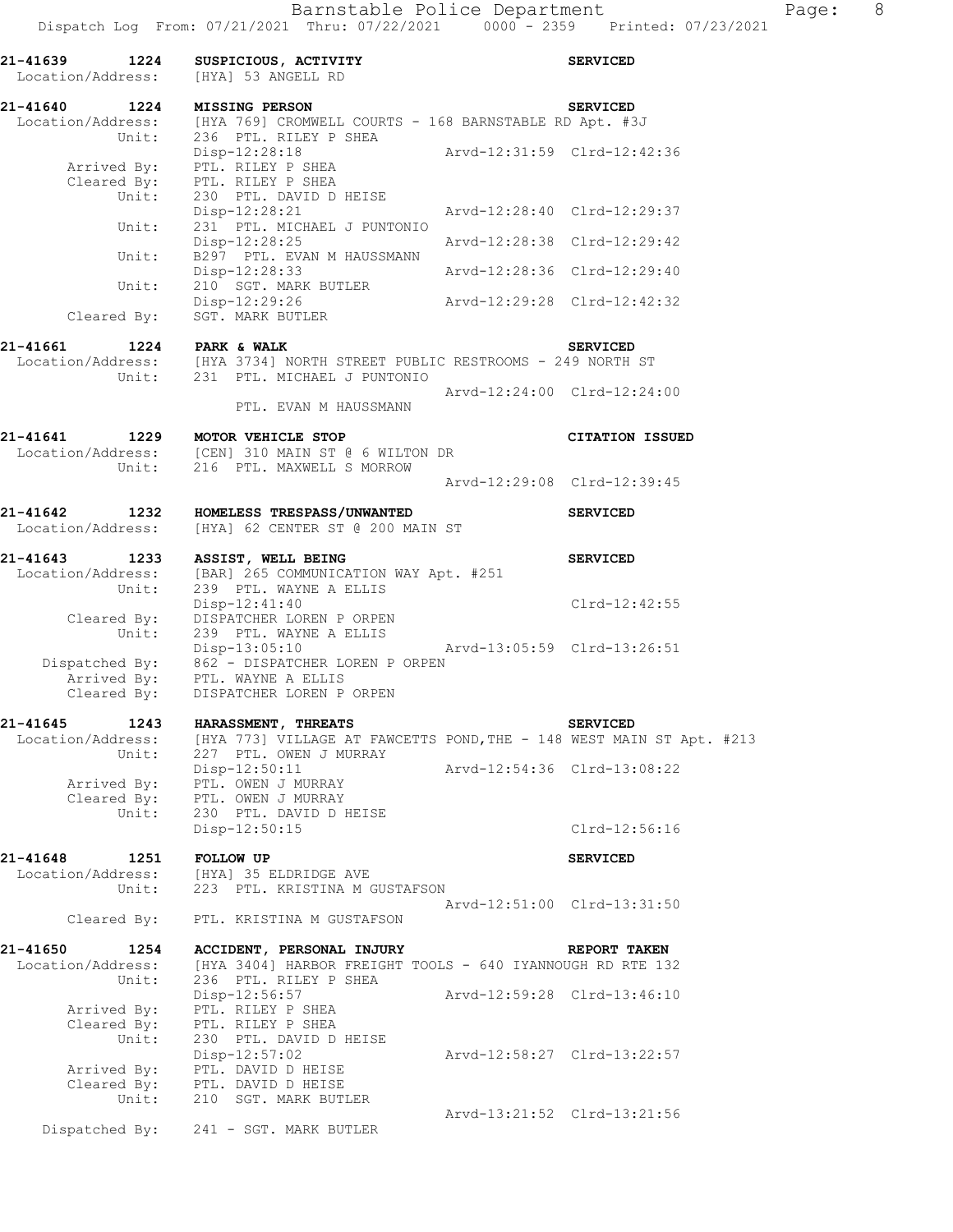| 21-41639 1224 SUSPICIOUS, ACTIVI!<br>Location/Address: [HYA] 53 ANGELL RD | SUSPICIOUS, ACTIVITY                                                                                                                                                  |                             | <b>SERVICED</b>             |
|---------------------------------------------------------------------------|-----------------------------------------------------------------------------------------------------------------------------------------------------------------------|-----------------------------|-----------------------------|
| 21-41640 1224                                                             | <b>MISSING PERSON</b><br>Location/Address: [HYA 769] CROMWELL COURTS - 168 BARNSTABLE RD Apt. #3J                                                                     |                             | <b>SERVICED</b>             |
|                                                                           | Unit: 236 PTL. RILEY P SHEA<br>Disp-12:28:18<br>Arrived By: PTL. RILEY P SHEA<br>Cleared By: PTL. RILEY P SHEA<br>Unit: 230 PTL. DAVID D HEISE                        | Arvd-12:31:59 Clrd-12:42:36 |                             |
| Unit:                                                                     | Disp-12:28:21<br>231 PTL. MICHAEL J PUNTONIO                                                                                                                          | Arvd-12:28:40 Clrd-12:29:37 |                             |
| Unit:                                                                     | Disp-12:28:25<br>B297 PTL. EVAN M HAUSSMANN                                                                                                                           | Arvd-12:28:38 Clrd-12:29:42 |                             |
|                                                                           | Disp-12:28:33                                                                                                                                                         | Arvd-12:28:36 Clrd-12:29:40 |                             |
| Unit:                                                                     | 210 SGT. MARK BUTLER<br>Disp-12:29:26<br>Cleared By: SGT. MARK BUTLER                                                                                                 | Arvd-12:29:28 Clrd-12:42:32 |                             |
| 21-41661 1224 PARK & WALK                                                 |                                                                                                                                                                       |                             | <b>SERVICED</b>             |
|                                                                           | $\texttt{Location/Address:} \qquad \texttt{[HYA 3734] NORTH STREET PUBLIC RESTROOMS - 249 NORTH ST \newline Unit: \qquad 231 \qquad \texttt{PTL. MICHAEL J PUNTONIO}$ |                             |                             |
|                                                                           | PTL. EVAN M HAUSSMANN                                                                                                                                                 | Arvd-12:24:00 Clrd-12:24:00 |                             |
|                                                                           | 21-41641 1229 MOTOR VEHICLE STOP<br>Location/Address: [CEN] 310 MAIN ST @ 6 WILTON DR<br>Unit: 216 PTL. MAXWELL S MORROW                                              |                             | <b>CITATION ISSUED</b>      |
|                                                                           |                                                                                                                                                                       | Arvd-12:29:08 Clrd-12:39:45 |                             |
| Location/Address:                                                         | 21-41642 1232 HOMELESS TRESPASS/UNWANTED<br>[HYA] 62 CENTER ST @ 200 MAIN ST                                                                                          |                             | <b>SERVICED</b>             |
| 21-41643                                                                  | 1233 ASSIST, WELL BEING<br>Location/Address: [BAR] 265 COMMUNICATION WAY Apt. #251<br>Unit: 239 PTL. WAYNE A ELLIS<br>239 PTL. WAYNE A ELLIS                          |                             | <b>SERVICED</b>             |
| Cleared By:<br>Unit:                                                      | Disp-12:41:40<br>DISPATCHER LOREN P ORPEN<br>239 PTL. WAYNE A ELLIS                                                                                                   |                             | $Clrd-12:42:55$             |
|                                                                           | Disp-13:05:10<br>Dispatched By: 862 - DISPATCHER LOREN P ORPEN<br>Arrived By: PTL. WAYNE A ELLIS<br>Cleared By: DISPATCHER LOREN P ORPEN                              | Arvd-13:05:59 Clrd-13:26:51 |                             |
| 21-41645 1243                                                             | HARASSMENT, THREATS                                                                                                                                                   |                             | <b>SERVICED</b>             |
| Unit:                                                                     | Location/Address: [HYA 773] VILLAGE AT FAWCETTS POND, THE - 148 WEST MAIN ST Apt. #213<br>227 PTL. OWEN J MURRAY                                                      |                             |                             |
|                                                                           | Disp-12:50:11<br>Arrived By: PTL. OWEN J MURRAY<br>Cleared By: PTL. OWEN J MURRAY<br>Unit: 230 PTL. DAVID D H<br>230 PTL. DAVID D HEISE                               | Arvd-12:54:36 Clrd-13:08:22 |                             |
|                                                                           | Disp-12:50:15                                                                                                                                                         |                             | Clrd-12:56:16               |
| 21-41648<br>Location/Address:<br>Unit:                                    | 1251 FOLLOW UP<br>[HYA] 35 ELDRIDGE AVE<br>223 PTL. KRISTINA M GUSTAFSON                                                                                              |                             | <b>SERVICED</b>             |
| Cleared By:                                                               | PTL. KRISTINA M GUSTAFSON                                                                                                                                             | Arvd-12:51:00 Clrd-13:31:50 |                             |
| 21-41650<br>1254                                                          | ACCIDENT, PERSONAL INJURY                                                                                                                                             |                             | REPORT TAKEN                |
| Location/Address:<br>Unit:                                                | [HYA 3404] HARBOR FREIGHT TOOLS - 640 IYANNOUGH RD RTE 132<br>236 PTL. RILEY P SHEA                                                                                   |                             |                             |
| Arrived By:<br>Cleared By:                                                | Disp-12:56:57<br>PTL. RILEY P SHEA<br>PTL. RILEY P SHEA                                                                                                               | Arvd-12:59:28 Clrd-13:46:10 |                             |
| Unit:                                                                     | 230 PTL. DAVID D HEISE<br>$Disp-12:57:02$<br>Arrived By: PTL. DAVID D HEISE<br>Cleared By: PTL. DAVID D HEISE                                                         |                             | Arvd-12:58:27 Clrd-13:22:57 |
| Unit:                                                                     | 210 SGT. MARK BUTLER<br>Dispatched By: 241 - SGT. MARK BUTLER                                                                                                         |                             | Arvd-13:21:52 Clrd-13:21:56 |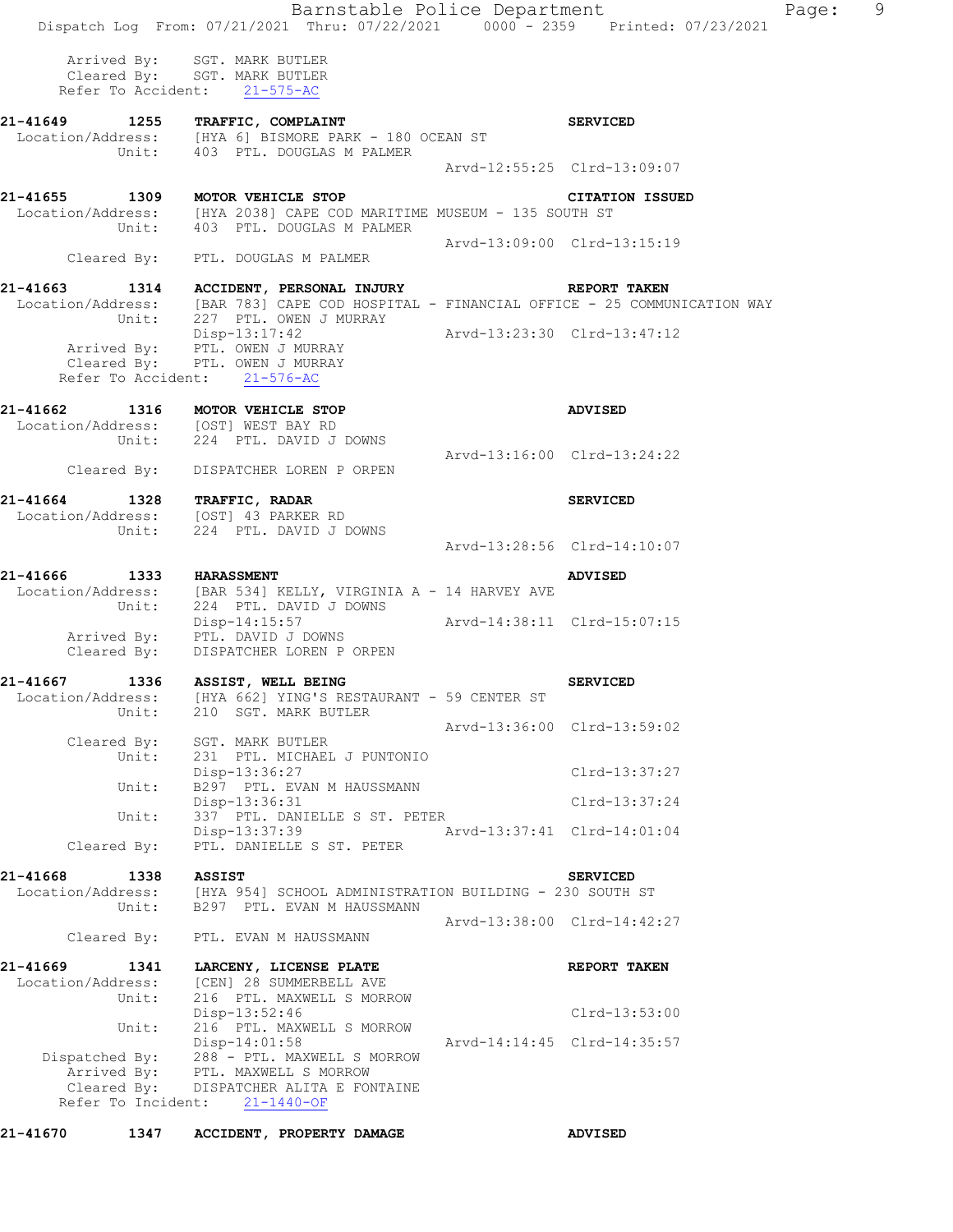|                                                                         | Barnstable Police Department<br>Dispatch Log From: 07/21/2021 Thru: 07/22/2021 0000 - 2359 Printed: 07/23/2021                                            |                             |                             | Page: 9 |  |
|-------------------------------------------------------------------------|-----------------------------------------------------------------------------------------------------------------------------------------------------------|-----------------------------|-----------------------------|---------|--|
|                                                                         | Arrived By: SGT. MARK BUTLER<br>Cleared By: SGT. MARK BUTLER<br>Refer To Accident: 21-575-AC                                                              |                             |                             |         |  |
| 21-41649 1255 TRAFFIC, COMPLAINT                                        | Location/Address: [HYA 6] BISMORE PARK - 180 OCEAN ST                                                                                                     |                             | <b>SERVICED</b>             |         |  |
|                                                                         | Unit: 403 PTL. DOUGLAS M PALMER                                                                                                                           |                             | Arvd-12:55:25 Clrd-13:09:07 |         |  |
|                                                                         | 21-41655 1309 MOTOR VEHICLE STOP<br>Location/Address: [HYA 2038] CAPE COD MARITIME MUSEUM - 135 SOUTH ST<br>Unit: 403 PTL. DOUGLAS M PALMER               |                             | <b>CITATION ISSUED</b>      |         |  |
|                                                                         | Cleared By: PTL. DOUGLAS M PALMER                                                                                                                         | Arvd-13:09:00 Clrd-13:15:19 |                             |         |  |
| 21-41663                                                                | 1314 ACCIDENT, PERSONAL INJURY<br>Location/Address: [BAR 783] CAPE COD HOSPITAL - FINANCIAL OFFICE - 25 COMMUNICATION WAY<br>Unit: 227 PTL. OWEN J MURRAY |                             | <b>REPORT TAKEN</b>         |         |  |
|                                                                         | Disp-13:17:42<br>Arrived By: PTL. OWEN J MURRAY<br>Cleared By: PTL. OWEN J MURRAY<br>Refer To Accident: 21-576-AC                                         | Arvd-13:23:30 Clrd-13:47:12 |                             |         |  |
| 21-41662 1316 MOTOR VEHICLE STOP<br>Location/Address: [OST] WEST BAY RD | Unit: 224 PTL. DAVID J DOWNS                                                                                                                              |                             | ADVISED                     |         |  |
| Cleared By:                                                             | DISPATCHER LOREN P ORPEN                                                                                                                                  | Arvd-13:16:00 Clrd-13:24:22 |                             |         |  |
| 21-41664 1328 TRAFFIC, RADAR<br>Location/Address: [OST] 43 PARKER RD    | Unit: 224 PTL. DAVID J DOWNS                                                                                                                              |                             | <b>SERVICED</b>             |         |  |
|                                                                         |                                                                                                                                                           |                             | Arvd-13:28:56 Clrd-14:10:07 |         |  |
| 21-41666 1333 HARASSMENT                                                | Location/Address: [BAR 534] KELLY, VIRGINIA A - 14 HARVEY AVE Unit: 224 PTL. DAVID J DOWNS                                                                |                             | <b>ADVISED</b>              |         |  |
|                                                                         | Disp-14:15:57<br>Arrived By: PTL. DAVID J DOWNS<br>Cleared By: DISPATCHER LOREN P ORPEN                                                                   | Arvd-14:38:11 Clrd-15:07:15 |                             |         |  |
| 1336<br>21-41667<br>Location/Address:<br>Unit:                          | <b>ASSIST, WELL BEING</b><br>[HYA 662] YING'S RESTAURANT - 59 CENTER ST<br>210 SGT. MARK BUTLER                                                           |                             | <b>SERVICED</b>             |         |  |
| Cleared By:                                                             | SGT. MARK BUTLER                                                                                                                                          |                             | Arvd-13:36:00 Clrd-13:59:02 |         |  |
| Unit:                                                                   | 231 PTL. MICHAEL J PUNTONIO<br>Disp-13:36:27                                                                                                              |                             | Clrd-13:37:27               |         |  |
| Unit:<br>Unit:                                                          | B297 PTL. EVAN M HAUSSMANN<br>Disp-13:36:31<br>337 PTL. DANIELLE S ST. PETER                                                                              |                             | Clrd-13:37:24               |         |  |
| Cleared By:                                                             | Disp-13:37:39<br>PTL. DANIELLE S ST. PETER                                                                                                                | Arvd-13:37:41 Clrd-14:01:04 |                             |         |  |
| 21-41668<br>1338<br>Location/Address:                                   | <b>ASSIST</b><br>[HYA 954] SCHOOL ADMINISTRATION BUILDING - 230 SOUTH ST                                                                                  |                             | <b>SERVICED</b>             |         |  |
| Unit:                                                                   | B297 PTL. EVAN M HAUSSMANN                                                                                                                                |                             | Arvd-13:38:00 Clrd-14:42:27 |         |  |
| Cleared By:                                                             | PTL. EVAN M HAUSSMANN                                                                                                                                     |                             |                             |         |  |
| 21-41669<br>1341<br>Location/Address:<br>Unit:                          | LARCENY, LICENSE PLATE<br>[CEN] 28 SUMMERBELL AVE<br>216 PTL. MAXWELL S MORROW                                                                            |                             | REPORT TAKEN                |         |  |
| Unit:                                                                   | Disp-13:52:46<br>216 PTL. MAXWELL S MORROW                                                                                                                |                             | Clrd-13:53:00               |         |  |
| Dispatched By:<br>Arrived By:<br>Cleared By:<br>Refer To Incident:      | $Disp-14:01:58$<br>288 - PTL. MAXWELL S MORROW<br>PTL. MAXWELL S MORROW<br>DISPATCHER ALITA E FONTAINE<br>$21 - 1440 - OF$                                |                             | Arvd-14:14:45 Clrd-14:35:57 |         |  |

**21-41670 1347 ACCIDENT, PROPERTY DAMAGE ADVISED**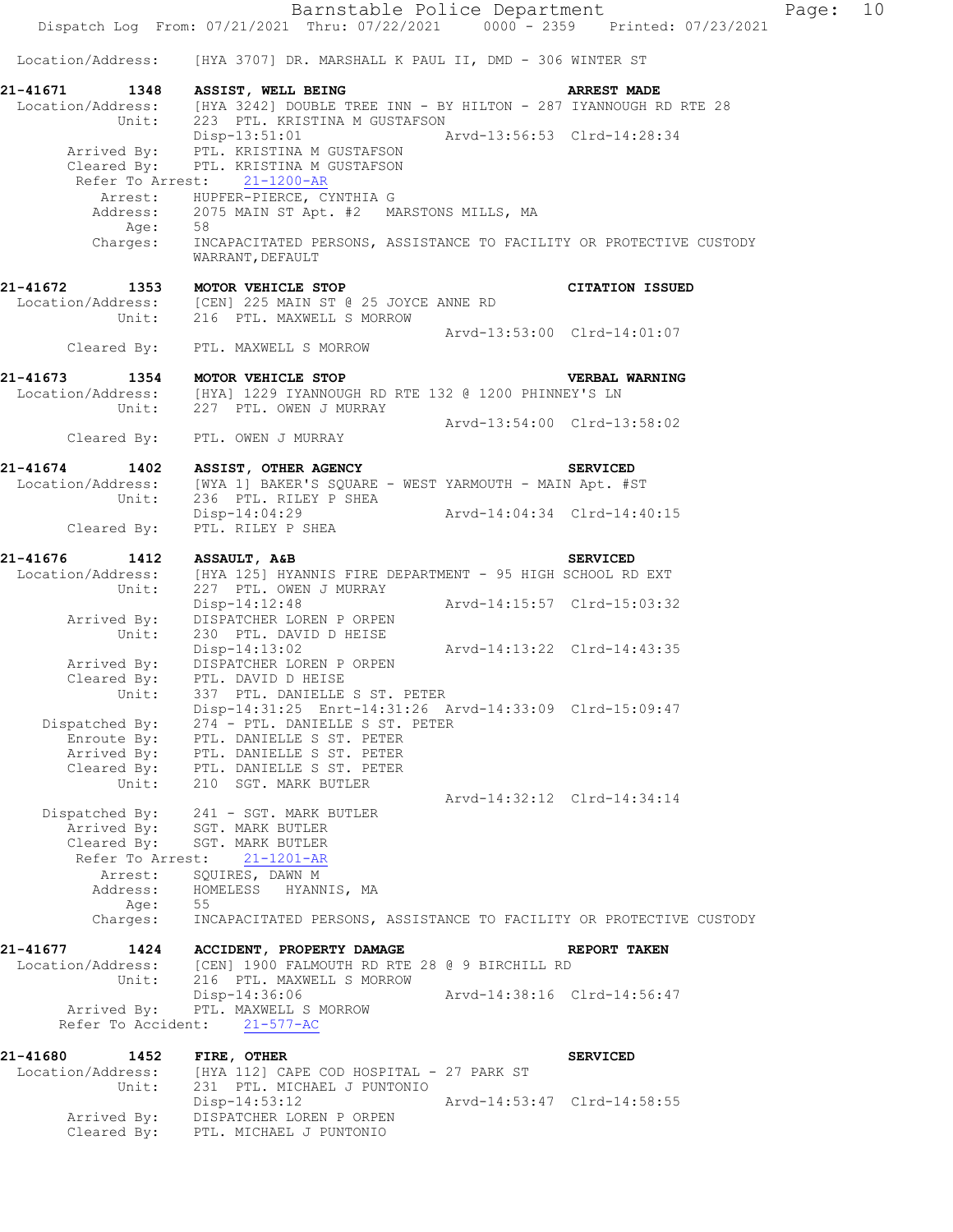Barnstable Police Department Page: 10 Dispatch Log From: 07/21/2021 Thru: 07/22/2021 0000 - 2359 Printed: 07/23/2021 Location/Address: [HYA 3707] DR. MARSHALL K PAUL II, DMD - 306 WINTER ST **21-41671 1348 ASSIST, WELL BEING ARREST MADE**  Location/Address: [HYA 3242] DOUBLE TREE INN - BY HILTON - 287 IYANNOUGH RD RTE 28 Unit: 223 PTL. KRISTINA M GUSTAFSON Disp-13:51:01 Arvd-13:56:53 Clrd-14:28:34 Arrived By: PTL. KRISTINA M GUSTAFSON Cleared By: PTL. KRISTINA M GUSTAFSON Refer To Arrest: 21-1200-AR Arrest: HUPFER-PIERCE, CYNTHIA G 2075 MAIN ST Apt. #2 MARSTONS MILLS, MA Address: 207<br>Age: 58 Charges: INCAPACITATED PERSONS, ASSISTANCE TO FACILITY OR PROTECTIVE CUSTODY WARRANT, DEFAULT **21-41672 1353 MOTOR VEHICLE STOP CITATION ISSUED**  Location/Address: [CEN] 225 MAIN ST @ 25 JOYCE ANNE RD Unit: 216 PTL. MAXWELL S MORROW Arvd-13:53:00 Clrd-14:01:07 Cleared By: PTL. MAXWELL S MORROW **21-41673 1354 MOTOR VEHICLE STOP VERBAL WARNING**<br>Location/Address: [HYA] 1229 IYANNOUGH RD RTE 132 @ 1200 PHINNEY'S LN<br>Unit: 227 PTL. OWEN J MURRAY [HYA] 1229 IYANNOUGH RD RTE 132 @ 1200 PHINNEY'S LN 227 PTL. OWEN J MURRAY Arvd-13:54:00 Clrd-13:58:02 Cleared By: PTL. OWEN J MURRAY **21-41674 1402 ASSIST, OTHER AGENCY SERVICED**  Location/Address: [WYA 1] BAKER'S SQUARE - WEST YARMOUTH - MAIN Apt. #ST Location/Address: [WYA 1] BAKER'S SQUARE .<br>Unit: 236 PTL. RILEY P SHEA Disp-14:04:29 Arvd-14:04:34 Clrd-14:40:15 Cleared By: PTL. RILEY P SHEA **21-41676 1412 ASSAULT, A&B SERVICED**  Location/Address: [HYA 125] HYANNIS FIRE DEPARTMENT - 95 HIGH SCHOOL RD EXT Unit: 227 PTL. OWEN J MURRAY Disp-14:12:48 Arvd-14:15:57 Clrd-15:03:32 Arrived By: DISPATCHER LOREN P ORPEN Unit: 230 PTL. DAVID D HEISE Disp-14:13:02 Arvd-14:13:22 Clrd-14:43:35 Arrived By: DISPATCHER LOREN P ORPEN Cleared By: PTL. DAVID D HEISE Unit: 337 PTL. DANIELLE S ST. PETER Disp-14:31:25 Enrt-14:31:26 Arvd-14:33:09 Clrd-15:09:47 Dispatched By: 274 - PTL. DANIELLE S ST. PETER Enroute By: PTL. DANIELLE S ST. PETER Arrived By: PTL. DANIELLE S ST. PETER Cleared By: PTL. DANIELLE S ST. PETER Unit: 210 SGT. MARK BUTLER Arvd-14:32:12 Clrd-14:34:14 Dispatched By: 241 - SGT. MARK BUTLER Arrived By: SGT. MARK BUTLER Cleared By: SGT. MARK BUTLER Refer To Arrest: 21-1201-AR Arrest: SQUIRES, DAWN M Address: HOMELESS HYANNIS, MA Age: 55 Charges: INCAPACITATED PERSONS, ASSISTANCE TO FACILITY OR PROTECTIVE CUSTODY **21-41677 1424 ACCIDENT, PROPERTY DAMAGE REPORT TAKEN**  Location/Address: [CEN] 1900 FALMOUTH RD RTE 28 @ 9 BIRCHILL RD Unit: 216 PTL. MAXWELL S MORROW<br>Disp-14:36:06 Disp-14:36:06 Arvd-14:38:16 Clrd-14:56:47 Arrived By: PTL. MAXWELL S MORROW Refer To Accident: 21-577-AC **21-41680 1452 FIRE, OTHER SERVICED**  Location/Address: [HYA 112] CAPE COD HOSPITAL - 27 PARK ST Unit: 231 PTL. MICHAEL J PUNTONIO Disp-14:53:12 Arvd-14:53:47 Clrd-14:58:55 Arrived By: DISPATCHER LOREN P ORPEN

Cleared By: PTL. MICHAEL J PUNTONIO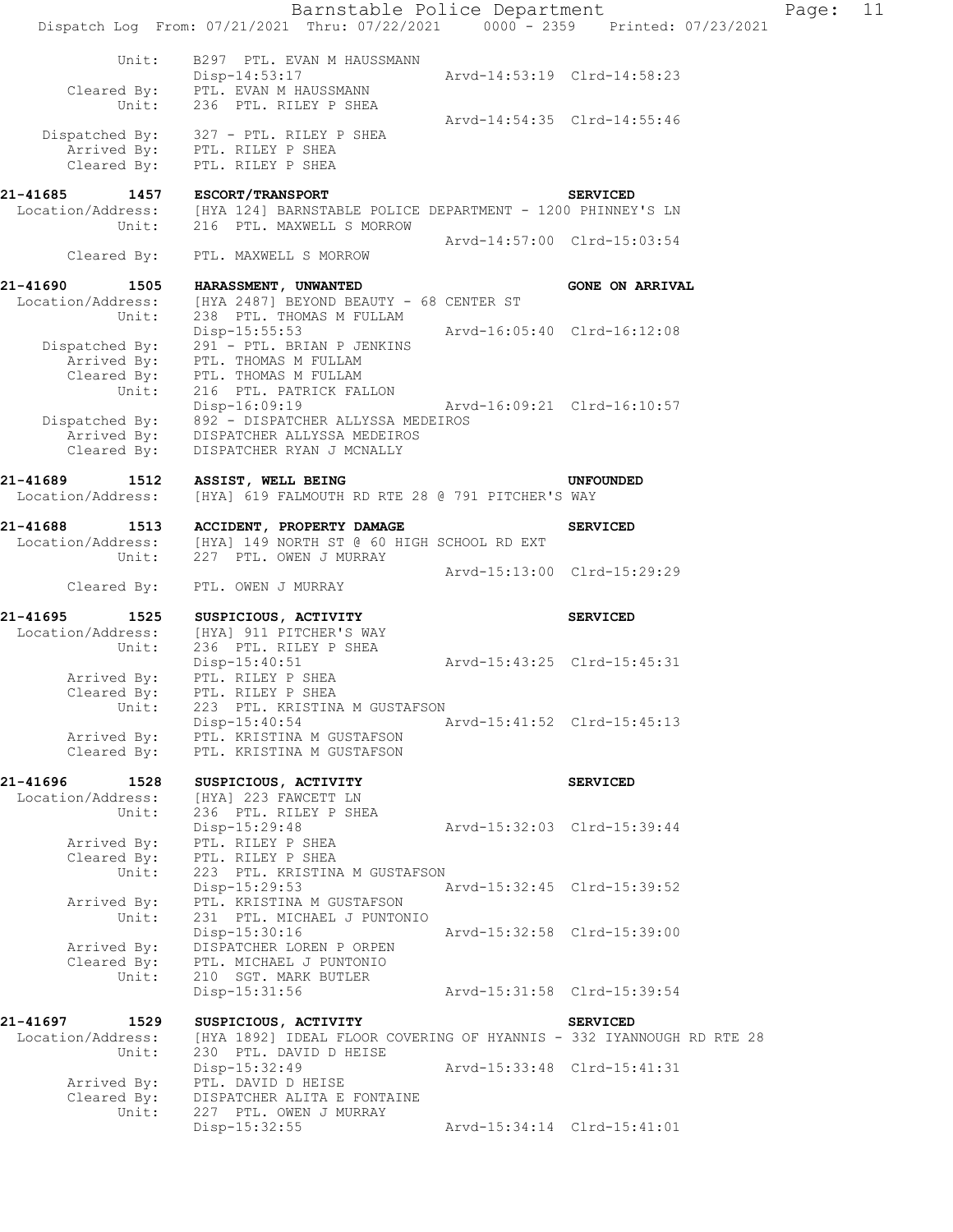|                                                | Barnstable Police Department<br>Dispatch Log From: 07/21/2021 Thru: 07/22/2021 0000 - 2359 Printed: 07/23/2021                                                       |                                                            |                        | Page: | 11 |
|------------------------------------------------|----------------------------------------------------------------------------------------------------------------------------------------------------------------------|------------------------------------------------------------|------------------------|-------|----|
| Unit:<br>Unit:                                 | B297 PTL. EVAN M HAUSSMANN<br>Disp-14:53:17<br>Cleared By: PTL. EVAN M HAUSSMANN<br>236 PTL. RILEY P SHEA                                                            | Arvd-14:53:19 Clrd-14:58:23                                |                        |       |    |
|                                                | Dispatched By: 327 - PTL. RILEY P SHEA<br>Arrived By: PTL. RILEY P SHEA<br>Cleared By: PTL. RILEY P SHEA                                                             | Arvd-14:54:35 Clrd-14:55:46                                |                        |       |    |
| 21-41685 1457 ESCORT/TRANSPORT<br>Unit:        | Location/Address: [HYA 124] BARNSTABLE POLICE DEPARTMENT - 1200 PHINNEY'S LN<br>216 PTL. MAXWELL S MORROW                                                            |                                                            | <b>SERVICED</b>        |       |    |
| Cleared By:                                    | PTL. MAXWELL S MORROW                                                                                                                                                | Arvd-14:57:00 Clrd-15:03:54                                |                        |       |    |
| 21-41690 1505                                  | HARASSMENT, UNWANTED                                                                                                                                                 |                                                            | <b>GONE ON ARRIVAL</b> |       |    |
| Location/Address:<br>Unit:                     | [HYA 2487] BEYOND BEAUTY - 68 CENTER ST<br>238 PTL. THOMAS M FULLAM                                                                                                  |                                                            |                        |       |    |
|                                                | $Disp-15:55:53$<br>291 - PTL. BRIAN P JENKINS<br>Dispatched By: 291 - PTL. BRIAN P JE<br>Arrived By: PTL. THOMAS M FULLAM<br>Cleared By: PTL. THOMAS M FULLAM        | Arvd-16:05:40 Clrd-16:12:08                                |                        |       |    |
| Unit:<br>Cleared By:                           | 216 PTL. PATRICK FALLON<br>Disp-16:09:19<br>Dispatched By: 892 - DISPATCHER ALLYSSA MEDEIROS<br>Arrived By: DISPATCHER ALLYSSA MEDEIROS<br>DISPATCHER RYAN J MCNALLY | Arvd-16:09:21 Clrd-16:10:57                                |                        |       |    |
| 21-41689<br>1512<br>Location/Address:          | ASSIST, WELL BEING<br>[HYA] 619 FALMOUTH RD RTE 28 @ 791 PITCHER'S WAY                                                                                               |                                                            | <b>UNFOUNDED</b>       |       |    |
| 21-41688 1513<br>Location/Address:<br>Unit:    | ACCIDENT, PROPERTY DAMAGE<br>[HYA] 149 NORTH ST @ 60 HIGH SCHOOL RD EXT<br>227 PTL. OWEN J MURRAY                                                                    |                                                            | <b>SERVICED</b>        |       |    |
| Cleared By:                                    | PTL. OWEN J MURRAY                                                                                                                                                   | Arvd-15:13:00 Clrd-15:29:29                                |                        |       |    |
|                                                | 21-41695 1525 SUSPICIOUS, ACTIVITY                                                                                                                                   |                                                            | <b>SERVICED</b>        |       |    |
| Location/Address:<br>Unit:<br>Arrived By:      | [HYA] 911 PITCHER'S WAY<br>236 PTL. RILEY P SHEA<br>Disp-15:40:51<br>PTL. RILEY P SHEA                                                                               | Arvd-15:43:25 Clrd-15:45:31                                |                        |       |    |
| Cleared By:<br>Unit:<br>Arrived By:            | PTL. RILEY P SHEA<br>223 PTL. KRISTINA M GUSTAFSON<br>Disp-15:40:54<br>PTL. KRISTINA M GUSTAFSON                                                                     | Arvd-15:41:52 Clrd-15:45:13                                |                        |       |    |
| Cleared By:                                    | PTL. KRISTINA M GUSTAFSON                                                                                                                                            |                                                            |                        |       |    |
| 21-41696 1528<br>Location/Address:<br>Unit:    | SUSPICIOUS, ACTIVITY<br>[HYA] 223 FAWCETT LN<br>236 PTL. RILEY P SHEA<br>Disp-15:29:48                                                                               | Arvd-15:32:03 Clrd-15:39:44                                | <b>SERVICED</b>        |       |    |
| Arrived By:<br>Cleared By:<br>Unit:            | PTL. RILEY P SHEA<br>PTL. RILEY P SHEA<br>223 PTL. KRISTINA M GUSTAFSON                                                                                              |                                                            |                        |       |    |
| Arrived By:<br>Unit:                           | Disp-15:29:53<br>PTL. KRISTINA M GUSTAFSON<br>231 PTL. MICHAEL J PUNTONIO<br>Disp-15:30:16                                                                           | Arvd-15:32:45 Clrd-15:39:52<br>Arvd-15:32:58 Clrd-15:39:00 |                        |       |    |
| Arrived By:<br>Cleared By:<br>Unit:            | DISPATCHER LOREN P ORPEN<br>PTL. MICHAEL J PUNTONIO<br>210 SGT. MARK BUTLER                                                                                          |                                                            |                        |       |    |
|                                                | Disp-15:31:56                                                                                                                                                        | Arvd-15:31:58 Clrd-15:39:54                                |                        |       |    |
| 21-41697<br>1529<br>Location/Address:<br>Unit: | SUSPICIOUS, ACTIVITY<br>[HYA 1892] IDEAL FLOOR COVERING OF HYANNIS - 332 IYANNOUGH RD RTE 28<br>230 PTL. DAVID D HEISE                                               |                                                            | <b>SERVICED</b>        |       |    |
| Arrived By:<br>Cleared By:                     | Disp-15:32:49<br>PTL. DAVID D HEISE<br>DISPATCHER ALITA E FONTAINE                                                                                                   | Arvd-15:33:48 Clrd-15:41:31                                |                        |       |    |
| Unit:                                          | 227 PTL. OWEN J MURRAY<br>Disp-15:32:55                                                                                                                              | Arvd-15:34:14 Clrd-15:41:01                                |                        |       |    |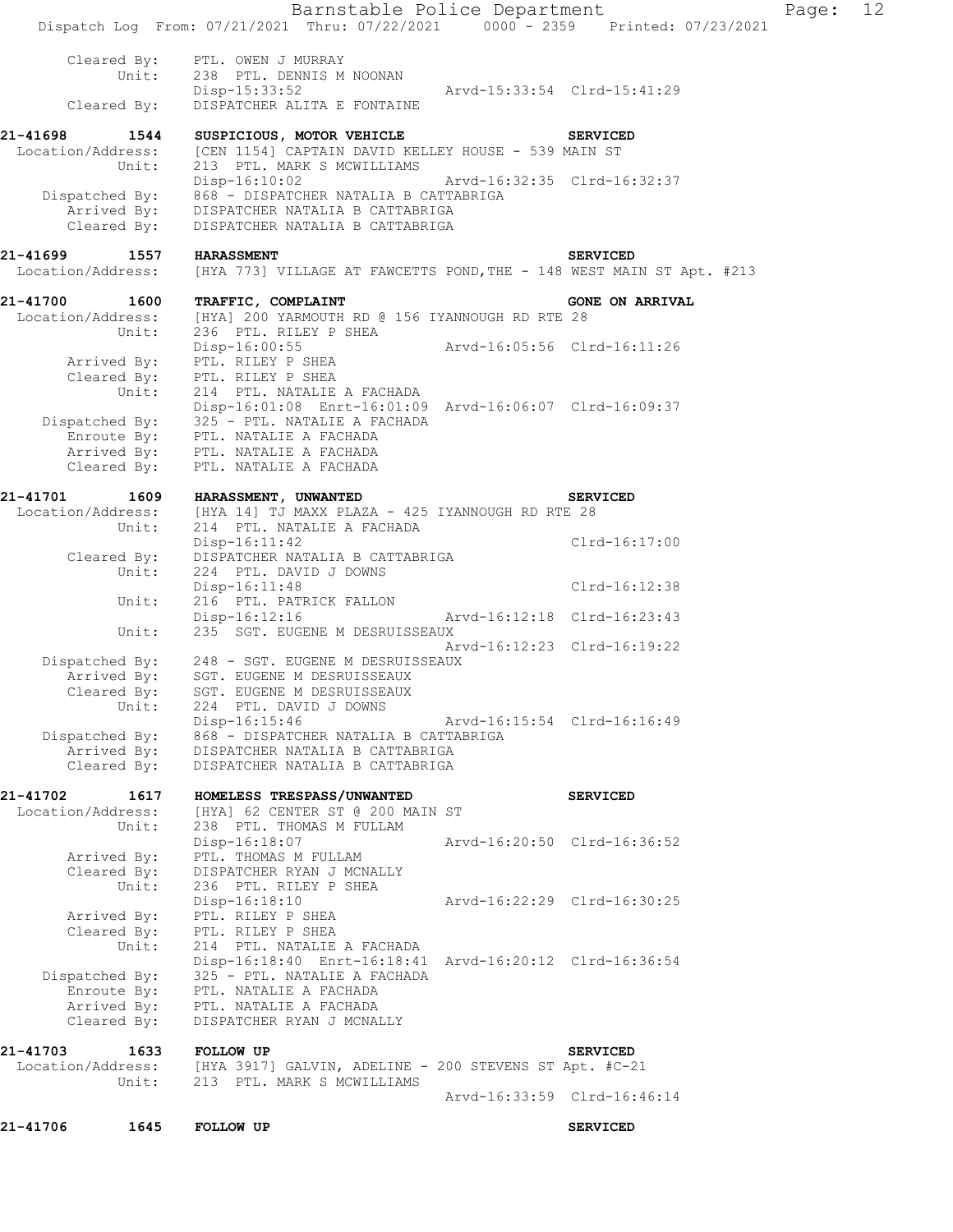| 21-41706                      | 1645                                   | <b>FOLLOW UP</b>                                                                                                                                                                                             |                             | <b>SERVICED</b>        |       |    |
|-------------------------------|----------------------------------------|--------------------------------------------------------------------------------------------------------------------------------------------------------------------------------------------------------------|-----------------------------|------------------------|-------|----|
|                               | Unit:                                  | 213 PTL. MARK S MCWILLIAMS                                                                                                                                                                                   | Arvd-16:33:59 Clrd-16:46:14 |                        |       |    |
| 21-41703                      | 1633                                   | <b>FOLLOW UP</b><br>Location/Address: [HYA 3917] GALVIN, ADELINE - 200 STEVENS ST Apt. #C-21                                                                                                                 |                             | <b>SERVICED</b>        |       |    |
|                               | Arrived By:<br>Cleared By:             | PTL. NATALIE A FACHADA<br>DISPATCHER RYAN J MCNALLY                                                                                                                                                          |                             |                        |       |    |
|                               | Dispatched By:<br>Enroute By:          | Disp-16:18:40 Enrt-16:18:41 Arvd-16:20:12 Clrd-16:36:54<br>325 - PTL. NATALIE A FACHADA<br>PTL. NATALIE A FACHADA                                                                                            |                             |                        |       |    |
|                               | Cleared By:<br>Unit:                   | PTL. RILEY P SHEA<br>214 PTL. NATALIE A FACHADA                                                                                                                                                              |                             |                        |       |    |
|                               | Arrived By:                            | Disp-16:18:10<br>PTL. RILEY P SHEA                                                                                                                                                                           | Arvd-16:22:29 Clrd-16:30:25 |                        |       |    |
|                               | Arrived By:<br>Cleared By:<br>Unit:    | PTL. THOMAS M FULLAM<br>DISPATCHER RYAN J MCNALLY<br>236 PTL. RILEY P SHEA                                                                                                                                   |                             |                        |       |    |
|                               | Unit:                                  | 238 PTL. THOMAS M FULLAM<br>Disp-16:18:07                                                                                                                                                                    | Arvd-16:20:50 Clrd-16:36:52 |                        |       |    |
| 21-41702<br>Location/Address: | 1617                                   | HOMELESS TRESPASS/UNWANTED<br>[HYA] 62 CENTER ST @ 200 MAIN ST                                                                                                                                               |                             | <b>SERVICED</b>        |       |    |
|                               | Arrived By:<br>Cleared By:             | DISPATCHER NATALIA B CATTABRIGA<br>DISPATCHER NATALIA B CATTABRIGA                                                                                                                                           |                             |                        |       |    |
|                               | Cleared By:<br>Unit:<br>Dispatched By: | SGT. EUGENE M DESRUISSEAUX<br>224 PTL. DAVID J DOWNS<br>Disp-16:15:46<br>868 - DISPATCHER NATALIA B CATTABRIGA                                                                                               | Arvd-16:15:54 Clrd-16:16:49 |                        |       |    |
|                               | Arrived By:                            | Dispatched By: 248 - SGT. EUGENE M DESRUISSEAUX<br>SGT. EUGENE M DESRUISSEAUX                                                                                                                                | Arvd-16:12:23 Clrd-16:19:22 |                        |       |    |
|                               | Unit:                                  | Disp-16:12:16<br>235 SGT. EUGENE M DESRUISSEAUX                                                                                                                                                              | Arvd-16:12:18 Clrd-16:23:43 |                        |       |    |
|                               | Unit:                                  | $Disp-16:11:48$<br>216 PTL. PATRICK FALLON                                                                                                                                                                   |                             | Clrd-16:12:38          |       |    |
|                               | Cleared By:<br>Unit:                   | $Disp-16:11:42$<br>DISPATCHER NATALIA B CATTABRIGA<br>224 PTL. DAVID J DOWNS                                                                                                                                 |                             | Clrd-16:17:00          |       |    |
|                               | Unit:                                  | Location/Address: [HYA 14] TJ MAXX PLAZA - 425 IYANNOUGH RD RTE 28<br>214 PTL. NATALIE A FACHADA                                                                                                             |                             |                        |       |    |
| 21-41701                      | 1609                                   | <b>HARASSMENT, UNWANTED</b>                                                                                                                                                                                  |                             | <b>SERVICED</b>        |       |    |
|                               | Cleared By:                            | Disp-16:01:08 Enrt-16:01:09 Arvd-16:06:07 Clrd-16:09:37<br>Dispatched By: 325 - PTL. NATALIE A FACHADA<br>Enroute By: PTL. NATALIE A FACHADA<br>Arrived By: PTL. NATALIE A FACHADA<br>PTL. NATALIE A FACHADA |                             |                        |       |    |
|                               | Arrived By:<br>Unit:                   | PTL. RILEY P SHEA<br>Cleared By: PTL. RILEY P SHEA<br>214 PTL. NATALIE A FACHADA                                                                                                                             |                             |                        |       |    |
| 21-41700<br>Location/Address: | 1600<br>Unit:                          | <b>TRAFFIC, COMPLAINT</b><br>[HYA] 200 YARMOUTH RD @ 156 IYANNOUGH RD RTE 28<br>236 PTL. RILEY P SHEA<br>Disp-16:00:55                                                                                       | Arvd-16:05:56 Clrd-16:11:26 | <b>GONE ON ARRIVAL</b> |       |    |
|                               |                                        |                                                                                                                                                                                                              |                             |                        |       |    |
| 21-41699<br>Location/Address: | 1557                                   | <b>HARASSMENT</b><br>[HYA 773] VILLAGE AT FAWCETTS POND, THE - 148 WEST MAIN ST Apt. #213                                                                                                                    |                             | <b>SERVICED</b>        |       |    |
|                               | Cleared By:                            | Dispatched By: 868 - DISPATCHER NATALIA B CATTABRIGA<br>Arrived By: DISPATCHER NATALIA B CATTABRIGA<br>DISPATCHER NATALIA B CATTABRIGA                                                                       |                             |                        |       |    |
|                               | Unit:                                  | Location/Address: [CEN 1154] CAPTAIN DAVID KELLEY HOUSE - 539 MAIN ST<br>213 PTL. MARK S MCWILLIAMS<br>Disp-16:10:02                                                                                         | Arvd-16:32:35 Clrd-16:32:37 |                        |       |    |
| 21-41698                      | 1544                                   | SUSPICIOUS, MOTOR VEHICLE                                                                                                                                                                                    |                             | <b>SERVICED</b>        |       |    |
|                               | Unit:<br>Cleared By:                   | 238 PTL. DENNIS M NOONAN<br>Disp-15:33:52<br>DISPATCHER ALITA E FONTAINE                                                                                                                                     | Arvd-15:33:54 Clrd-15:41:29 |                        |       |    |
|                               | Cleared By:                            | PTL. OWEN J MURRAY                                                                                                                                                                                           |                             |                        |       |    |
|                               |                                        | Barnstable Police Department<br>Dispatch Log From: 07/21/2021 Thru: 07/22/2021 0000 - 2359 Printed: 07/23/2021                                                                                               |                             |                        | Page: | 12 |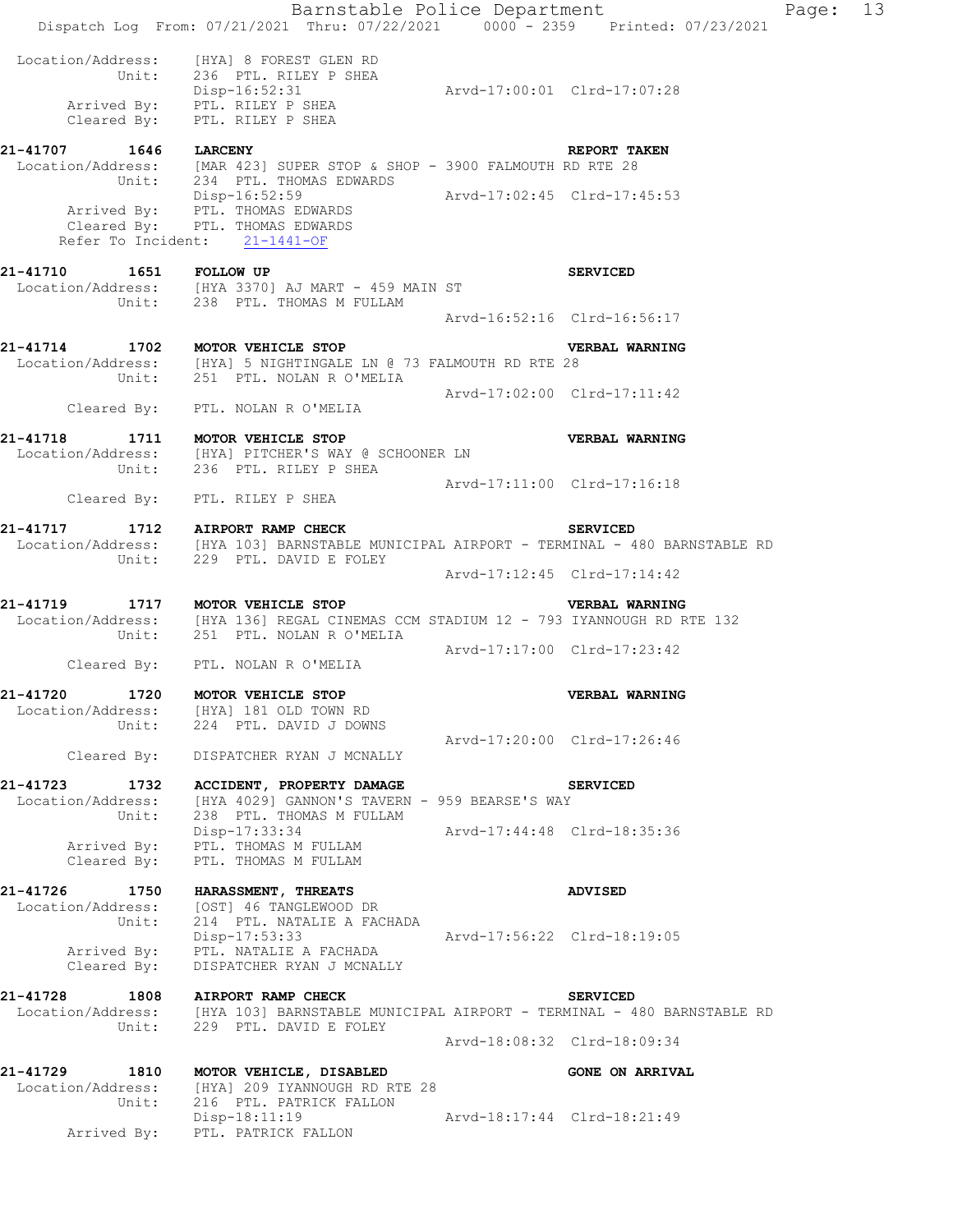|                                             | Dispatch Log From: 07/21/2021 Thru: 07/22/2021 0000 - 2359 Printed: 07/23/2021                                                                             |                             | Barnstable Police Department | Page: 13 |  |
|---------------------------------------------|------------------------------------------------------------------------------------------------------------------------------------------------------------|-----------------------------|------------------------------|----------|--|
|                                             | Location/Address: [HYA] 8 FOREST GLEN RD<br>Unit: 236 PTL. RILEY P SHEA<br>Disp-16:52:31<br>Arrived By: PTL. RILEY P SHEA<br>Cleared By: PTL. RILEY P SHEA | Arvd-17:00:01 Clrd-17:07:28 |                              |          |  |
|                                             | 21-41707 1646 LARCENY<br>Location/Address: [MAR 423] SUPER STOP & SHOP - 3900 FALMOUTH RD RTE 28<br>Unit: 234 PTL. THOMAS EDWARDS                          |                             | REPORT TAKEN                 |          |  |
|                                             | Disp-16:52:59<br>Arrived By: PTL. THOMAS EDWARDS<br>Clrd-17:02:45 Clrd-17:45:53<br>Cleared By: PTL. THOMAS EDWARDS<br>Refer To Incident: 21-1441-OF        |                             |                              |          |  |
|                                             | 21-41710   1651   FOLLOW UP<br>Location/Address: [HYA 3370] AJ MART - 459 MAIN ST<br>Unit: 238 PTL. THOMAS M FULLAM                                        |                             | <b>SERVICED</b>              |          |  |
|                                             |                                                                                                                                                            |                             | Arvd-16:52:16 Clrd-16:56:17  |          |  |
|                                             | 21-41714 1702 MOTOR VEHICLE STOP<br>Location/Address: [HYA] 5 NIGHTINGALE LN @ 73 FALMOUTH RD RTE 28<br>Unit: 251 PTL. NOLAN R O'MELIA                     |                             | VERBAL WARNING               |          |  |
|                                             | Cleared By: PTL. NOLAN R O'MELIA                                                                                                                           | Arvd-17:02:00 Clrd-17:11:42 |                              |          |  |
|                                             | 21-41718 1711 MOTOR VEHICLE STOP<br>Location/Address: [HYA] PITCHER'S WAY @ SCHOONER LN                                                                    |                             | VERBAL WARNING               |          |  |
|                                             | Unit: 236 PTL. RILEY P SHEA<br>Cleared By: PTL. RILEY P SHEA                                                                                               | Arvd-17:11:00 Clrd-17:16:18 |                              |          |  |
| 21-41717 1712 AIRPORT RAMP CHECK            | Location/Address: [HYA 103] BARNSTABLE MUNICIPAL AIRPORT - TERMINAL - 480 BARNSTABLE RD                                                                    |                             | <b>SERVICED</b>              |          |  |
|                                             | Unit: 229 PTL. DAVID E FOLEY                                                                                                                               |                             | Arvd-17:12:45 Clrd-17:14:42  |          |  |
| 21-41719 1717 MOTOR VEHICLE STOP            | Location/Address: [HYA 136] REGAL CINEMAS CCM STADIUM 12 - 793 IYANNOUGH RD RTE 132<br>Unit: 251 PTL. NOLAN R O'MELIA                                      |                             | VERBAL WARNING               |          |  |
|                                             | Cleared By: PTL. NOLAN R O'MELIA                                                                                                                           | Arvd-17:17:00 Clrd-17:23:42 |                              |          |  |
| 21-41720 1720 MOTOR VEHICLE STOP            | Location/Address: [HYA] 181 OLD TOWN RD<br>Unit: 224 PTL. DAVID J DOWNS                                                                                    |                             | VERBAL WARNING               |          |  |
|                                             | Cleared By: DISPATCHER RYAN J MCNALLY                                                                                                                      | Arvd-17:20:00 Clrd-17:26:46 |                              |          |  |
| 21-41723 1732<br>Location/Address:<br>Unit: | ACCIDENT, PROPERTY DAMAGE<br>[HYA 4029] GANNON'S TAVERN - 959 BEARSE'S WAY<br>238 PTL. THOMAS M FULLAM                                                     |                             | <b>SERVICED</b>              |          |  |
| Cleared By:                                 | Disp-17:33:34<br>Arrived By: PTL. THOMAS M FULLAM<br>PTL. THOMAS M FULLAM                                                                                  | Arvd-17:44:48 Clrd-18:35:36 |                              |          |  |
| Location/Address:<br>Unit:                  | 21-41726 1750 HARASSMENT, THREATS<br>[OST] 46 TANGLEWOOD DR<br>214 PTL. NATALIE A FACHADA                                                                  |                             | <b>ADVISED</b>               |          |  |
| Arrived By:<br>Cleared By:                  | Disp-17:53:33<br>PTL. NATALIE A FACHADA<br>DISPATCHER RYAN J MCNALLY                                                                                       | Arvd-17:56:22 Clrd-18:19:05 |                              |          |  |
| 21-41728 1808 AIRPORT RAMP CHECK<br>Unit:   | Location/Address: [HYA 103] BARNSTABLE MUNICIPAL AIRPORT - TERMINAL - 480 BARNSTABLE RD<br>229 PTL. DAVID E FOLEY                                          |                             | <b>SERVICED</b>              |          |  |
|                                             |                                                                                                                                                            | Arvd-18:08:32 Clrd-18:09:34 |                              |          |  |
| Location/Address:<br>Unit:                  | 21-41729 1810 MOTOR VEHICLE, DISABLED<br>[HYA] 209 IYANNOUGH RD RTE 28<br>216 PTL. PATRICK FALLON                                                          |                             | <b>GONE ON ARRIVAL</b>       |          |  |
|                                             | $Disp-18:11:19$<br>Arrived By: PTL. PATRICK FALLON                                                                                                         | Arvd-18:17:44 Clrd-18:21:49 |                              |          |  |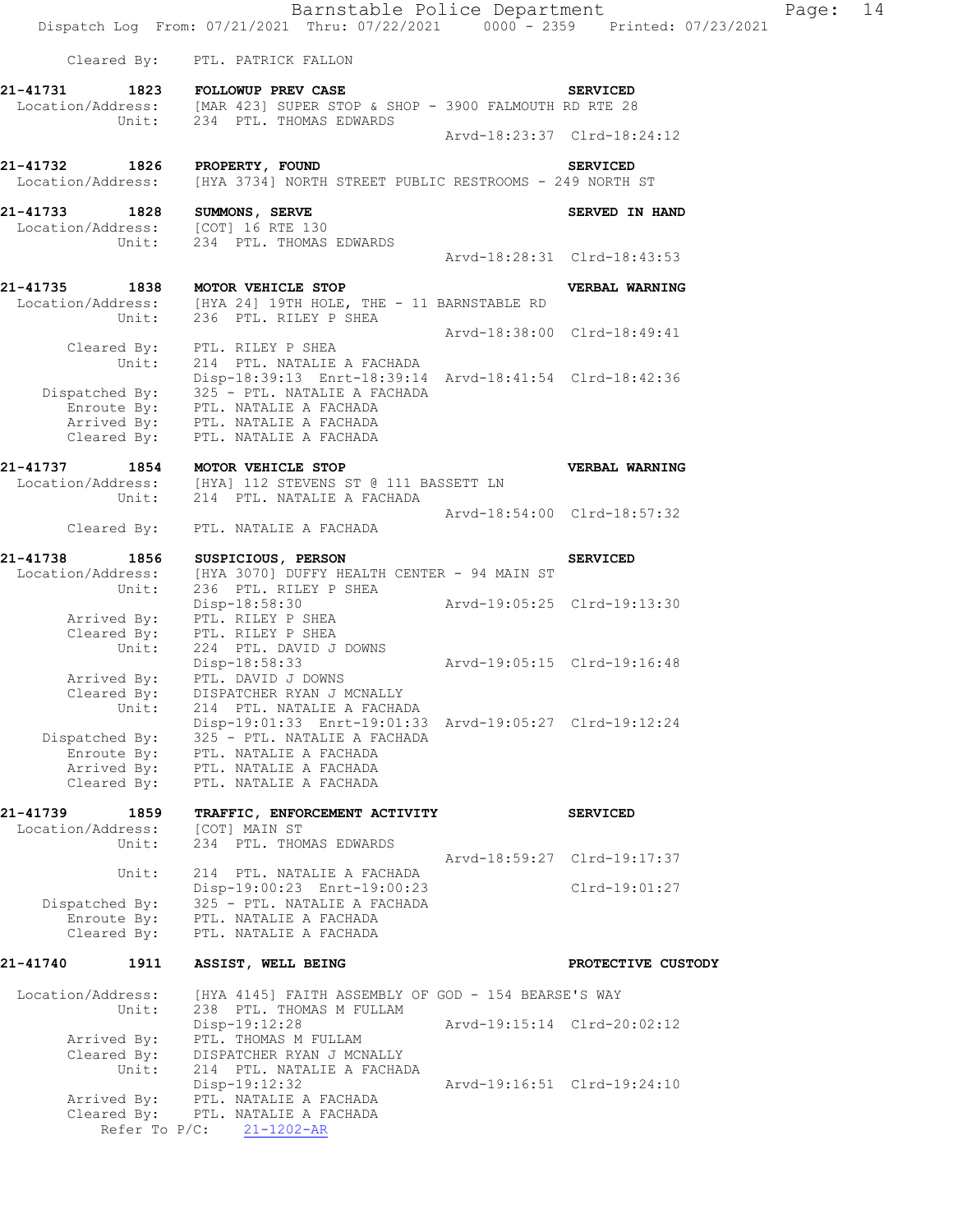Barnstable Police Department Page: 14 Dispatch Log From: 07/21/2021 Thru: 07/22/2021 0000 - 2359 Printed: 07/23/2021 Cleared By: PTL. PATRICK FALLON **21-41731 1823 FOLLOWUP PREV CASE SERVICED**  Location/Address: [MAR 423] SUPER STOP & SHOP - 3900 FALMOUTH RD RTE 28 Unit: 234 PTL. THOMAS EDWARDS Arvd-18:23:37 Clrd-18:24:12 **21-41732 1826 PROPERTY, FOUND SERVICED**  Location/Address: [HYA 3734] NORTH STREET PUBLIC RESTROOMS - 249 NORTH ST 21-41733 1828 SUMMONS, SERVE **SERVE SERVED** IN HAND Location/Address: [COT] 16 RTE 130 Unit: 234 PTL. THOMAS EDWARDS Arvd-18:28:31 Clrd-18:43:53 **21-41735 1838 MOTOR VEHICLE STOP VERBAL WARNING**  Location/Address: [HYA 24] 19TH HOLE, THE - 11 BARNSTABLE RD Unit: 236 PTL. RILEY P SHEA Arvd-18:38:00 Clrd-18:49:41 Cleared By: PTL. RILEY P SHEA Unit: 214 PTL. NATALIE A FACHADA Disp-18:39:13 Enrt-18:39:14 Arvd-18:41:54 Clrd-18:42:36 Dispatched By: 325 - PTL. NATALIE A FACHADA Enroute By: PTL. NATALIE A FACHADA Arrived By: PTL. NATALIE A FACHADA Cleared By: PTL. NATALIE A FACHADA **21-41737 1854 MOTOR VEHICLE STOP VERBAL WARNING**  Location/Address: [HYA] 112 STEVENS ST @ 111 BASSETT LN Unit: 214 PTL. NATALIE A FACHADA Arvd-18:54:00 Clrd-18:57:32 Cleared By: PTL. NATALIE A FACHADA **21-41738 1856 SUSPICIOUS, PERSON SERVICED**  Location/Address: [HYA 3070] DUFFY HEALTH CENTER - 94 MAIN ST Unit: 236 PTL. RILEY P SHEA Disp-18:58:30 Arvd-19:05:25 Clrd-19:13:30 Arrived By: PTL. RILEY P SHEA Cleared By: PTL. RILEY P SHEA Unit: 224 PTL. DAVID J DOWNS Disp-18:58:33 Arvd-19:05:15 Clrd-19:16:48 Arrived By: PTL. DAVID J DOWNS Cleared By: DISPATCHER RYAN J MCNALLY Unit: 214 PTL. NATALIE A FACHADA Disp-19:01:33 Enrt-19:01:33 Arvd-19:05:27 Clrd-19:12:24 Dispatched By: 325 - PTL. NATALIE A FACHADA Enroute By: PTL. NATALIE A FACHADA Arrived By: PTL. NATALIE A FACHADA Cleared  $\overrightarrow{By}$ : PTL. NATALIE A FACHADA **21-41739 1859 TRAFFIC, ENFORCEMENT ACTIVITY SERVICED**  Location/Address: [COT] MAIN ST Unit: 234 PTL. THOMAS EDWARDS Arvd-18:59:27 Clrd-19:17:37 Unit: 214 PTL. NATALIE A FACHADA Disp-19:00:23 Enrt-19:00:23 Clrd-19:01:27 Dispatched By: 325 - PTL. NATALIE A FACHADA Enroute By: PTL. NATALIE A FACHADA Cleared By: PTL. NATALIE A FACHADA **21-41740 1911 ASSIST, WELL BEING PROTECTIVE CUSTODY**  Location/Address: [HYA 4145] FAITH ASSEMBLY OF GOD - 154 BEARSE'S WAY Unit: 238 PTL. THOMAS M FULLAM Disp-19:12:28 Arvd-19:15:14 Clrd-20:02:12 Arrived By: PTL. THOMAS M FULLAM Cleared By: DISPATCHER RYAN J MCNALLY Unit: 214 PTL. NATALIE A FACHADA Disp-19:12:32 Arvd-19:16:51 Clrd-19:24:10 Arrived By: PTL. NATALIE A FACHADA Cleared By: PTL. NATALIE A FACHADA Refer To P/C: 21-1202-AR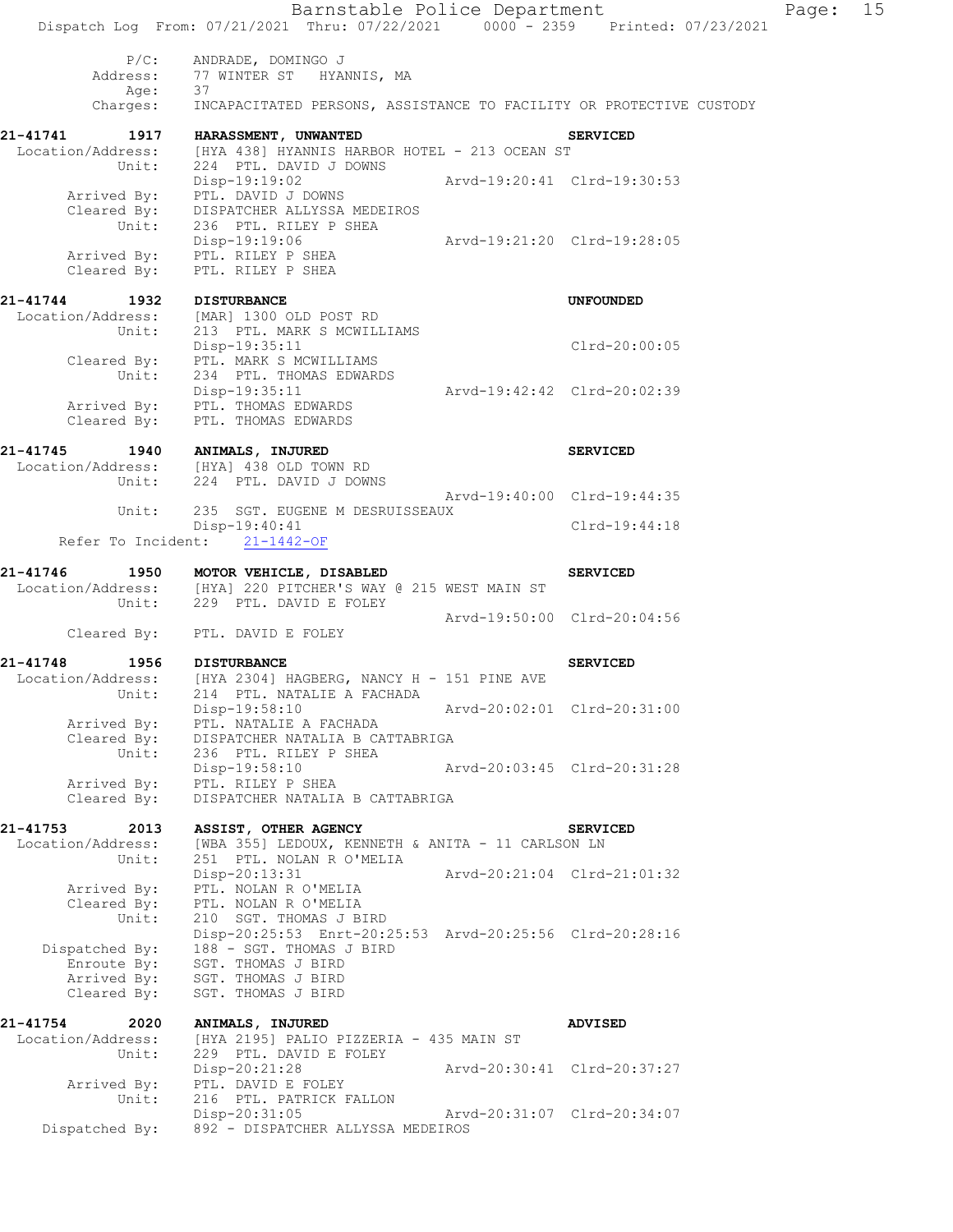|                                                       | Barnstable Police Department<br>Dispatch Log From: 07/21/2021 Thru: 07/22/2021 0000 - 2359 Printed: 07/23/2021                                            |                             |                             | Page: | 15 |
|-------------------------------------------------------|-----------------------------------------------------------------------------------------------------------------------------------------------------------|-----------------------------|-----------------------------|-------|----|
| $P/C$ :<br>Address:<br>Age:                           | ANDRADE, DOMINGO J<br>77 WINTER ST HYANNIS, MA<br>37                                                                                                      |                             |                             |       |    |
| Charges:                                              | INCAPACITATED PERSONS, ASSISTANCE TO FACILITY OR PROTECTIVE CUSTODY                                                                                       |                             |                             |       |    |
|                                                       | 21-41741 1917 HARASSMENT, UNWANTED<br>Location/Address: [HYA 438] HYANNIS HARBOR HOTEL - 213 OCEAN ST                                                     |                             | <b>SERVICED</b>             |       |    |
| Unit:                                                 | 224 PTL. DAVID J DOWNS<br>Disp-19:19:02<br>Arrived By: PTL. DAVID J DOWNS<br>Cleared By: DISPATCHER ALLYSSA MEDEIROS                                      |                             | Arvd-19:20:41 Clrd-19:30:53 |       |    |
| Unit:                                                 | 236 PTL. RILEY P SHEA<br>Disp-19:19:06                                                                                                                    | Arvd-19:21:20 Clrd-19:28:05 |                             |       |    |
| Cleared By:                                           | Arrived By: PTL. RILEY P SHEA<br>PTL. RILEY P SHEA                                                                                                        |                             |                             |       |    |
| 21-41744 1932 DISTURBANCE                             | Location/Address: [MAR] 1300 OLD POST RD<br>Unit: 213 PTL. MARK S MCWILLIAMS                                                                              |                             | <b>UNFOUNDED</b>            |       |    |
| Unit:                                                 | Disp-19:35:11<br>Cleared By: PTL. MARK S MCWILLIAMS<br>234 PTL. THOMAS EDWARDS                                                                            |                             | Clrd-20:00:05               |       |    |
| Cleared By:                                           | Disp-19:35:11<br>Arrived By: PTL. THOMAS EDWARDS<br>PTL. THOMAS EDWARDS                                                                                   | Arvd-19:42:42 Clrd-20:02:39 |                             |       |    |
| 21-41745 1940 ANIMALS, INJURED                        | Location/Address: [HYA] 438 OLD TOWN RD                                                                                                                   |                             | <b>SERVICED</b>             |       |    |
|                                                       | Unit: 224 PTL. DAVID J DOWNS                                                                                                                              | Arvd-19:40:00 Clrd-19:44:35 |                             |       |    |
| Unit:                                                 | 235 SGT. EUGENE M DESRUISSEAUX<br>$Disp-19:40:41$<br>Refer To Incident: 21-1442-OF                                                                        |                             | Clrd-19:44:18               |       |    |
|                                                       |                                                                                                                                                           |                             |                             |       |    |
| 21-41746<br>Unit:                                     | 1950 MOTOR VEHICLE, DISABLED<br>Location/Address: [HYA] 220 PITCHER'S WAY @ 215 WEST MAIN ST<br>229 PTL. DAVID E FOLEY                                    |                             | <b>SERVICED</b>             |       |    |
|                                                       | Cleared By: PTL. DAVID E FOLEY                                                                                                                            |                             | Arvd-19:50:00 Clrd-20:04:56 |       |    |
| 21-41748<br>1956                                      | <b>DISTURBANCE</b>                                                                                                                                        |                             | <b>SERVICED</b>             |       |    |
|                                                       | Location/Address: [HYA 2304] HAGBERG, NANCY H - 151 PINE AVE<br>Unit: 214 PTL. NATALIE A FACHADA                                                          |                             | Arvd-20:02:01 Clrd-20:31:00 |       |    |
| Arrived By:<br>Cleared By:                            | Disp-19:58:10<br>PTL. NATALIE A FACHADA<br>DISPATCHER NATALIA B CATTABRIGA                                                                                |                             |                             |       |    |
| Unit:<br>Arrived By:                                  | 236 PTL. RILEY P SHEA<br>Disp-19:58:10<br>PTL. RILEY P SHEA                                                                                               |                             | Arvd-20:03:45 Clrd-20:31:28 |       |    |
| Cleared By:                                           | DISPATCHER NATALIA B CATTABRIGA                                                                                                                           |                             |                             |       |    |
| 21-41753<br>2013<br>Location/Address:<br>Unit:        | ASSIST, OTHER AGENCY<br>[WBA 355] LEDOUX, KENNETH & ANITA - 11 CARLSON LN<br>251 PTL. NOLAN R O'MELIA                                                     |                             | <b>SERVICED</b>             |       |    |
| Arrived By:<br>Cleared By:                            | Disp-20:13:31<br>PTL. NOLAN R O'MELIA<br>PTL. NOLAN R O'MELIA                                                                                             | Arvd-20:21:04 Clrd-21:01:32 |                             |       |    |
| Unit:<br>Dispatched By:<br>Enroute By:<br>Arrived By: | 210 SGT. THOMAS J BIRD<br>Disp-20:25:53 Enrt-20:25:53 Arvd-20:25:56 Clrd-20:28:16<br>188 - SGT. THOMAS J BIRD<br>SGT. THOMAS J BIRD<br>SGT. THOMAS J BIRD |                             |                             |       |    |
| Cleared By:                                           | SGT. THOMAS J BIRD                                                                                                                                        |                             |                             |       |    |
| 21-41754<br>2020<br>Location/Address:<br>Unit:        | ANIMALS, INJURED<br>[HYA 2195] PALIO PIZZERIA - 435 MAIN ST<br>229 PTL. DAVID E FOLEY                                                                     |                             | <b>ADVISED</b>              |       |    |
| Arrived By:<br>Unit:                                  | Disp-20:21:28<br>PTL. DAVID E FOLEY<br>216 PTL. PATRICK FALLON                                                                                            |                             | Arvd-20:30:41 Clrd-20:37:27 |       |    |
| Dispatched By:                                        | $Disp-20:31:05$<br>892 - DISPATCHER ALLYSSA MEDEIROS                                                                                                      | Arvd-20:31:07 Clrd-20:34:07 |                             |       |    |
|                                                       |                                                                                                                                                           |                             |                             |       |    |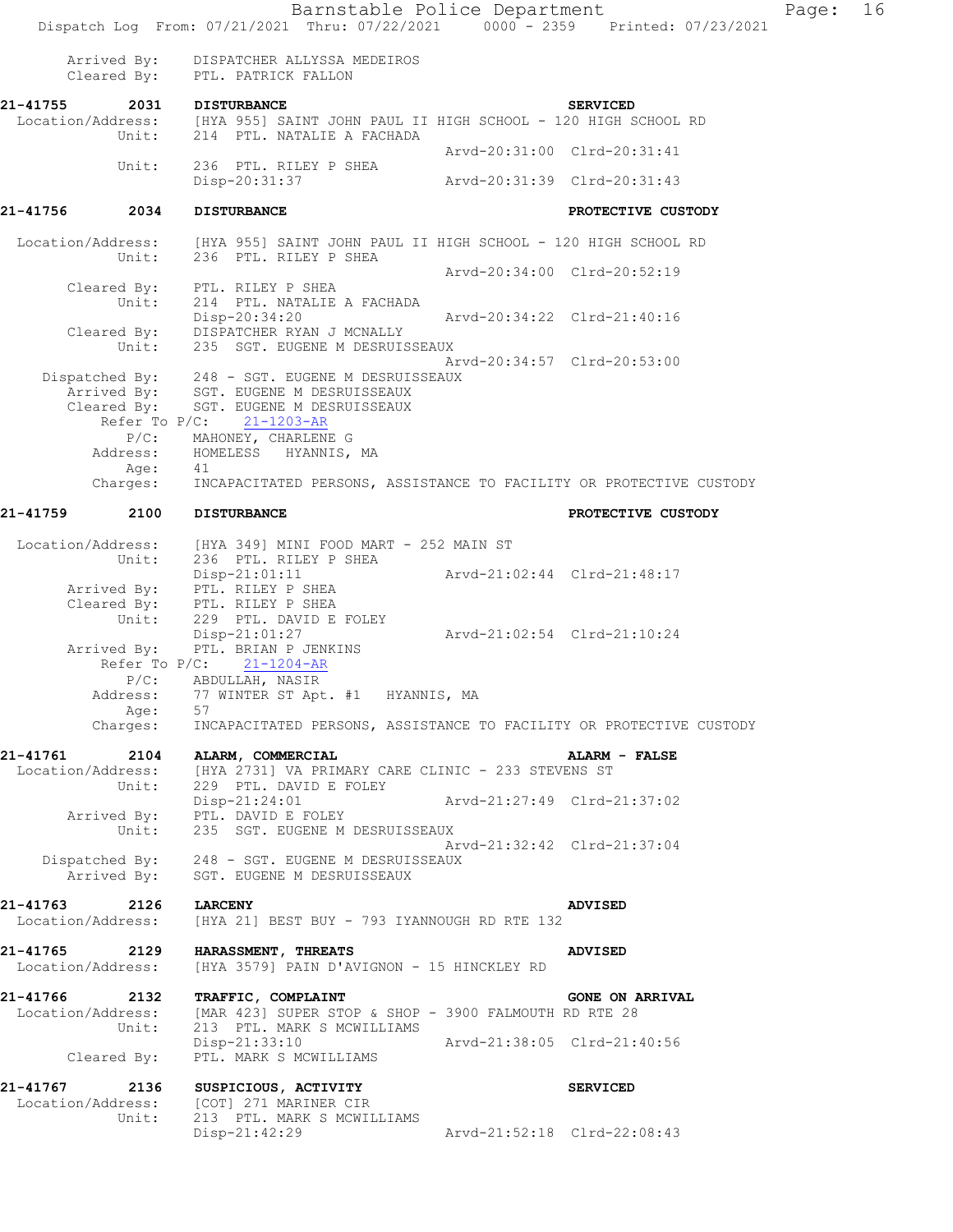Barnstable Police Department Fage: 16 Dispatch Log From: 07/21/2021 Thru: 07/22/2021 0000 - 2359 Printed: 07/23/2021 Arrived By: DISPATCHER ALLYSSA MEDEIROS Cleared By: PTL. PATRICK FALLON **21-41755 2031 DISTURBANCE SERVICED**  Location/Address: [HYA 955] SAINT JOHN PAUL II HIGH SCHOOL - 120 HIGH SCHOOL RD Unit: 214 PTL. NATALIE A FACHADA Arvd-20:31:00 Clrd-20:31:41 Unit: 236 PTL. RILEY P SHEA<br>Disp-20:31:37 Disp-20:31:37 Arvd-20:31:39 Clrd-20:31:43 **21-41756 2034 DISTURBANCE PROTECTIVE CUSTODY**  Location/Address: [HYA 955] SAINT JOHN PAUL II HIGH SCHOOL - 120 HIGH SCHOOL RD Unit: 236 PTL. RILEY P SHEA Arvd-20:34:00 Clrd-20:52:19 Cleared By: PTL. RILEY P SHEA Unit: 214 PTL. NATALIE A FACHADA Disp-20:34:20 Arvd-20:34:22 Clrd-21:40:16 Cleared By: DISPATCHER RYAN J MCNALLY Unit: 235 SGT. EUGENE M DESRUISSEAUX Arvd-20:34:57 Clrd-20:53:00 Dispatched By: 248 - SGT. EUGENE M DESRUISSEAUX Arrived By: SGT. EUGENE M DESRUISSEAUX Cleared By: SGT. EUGENE M DESRUISSEAUX Refer To P/C: 21-1203-AR P/C: MAHONEY, CHARLENE G Address: HOMELESS HYANNIS, MA Age: 41 Charges: INCAPACITATED PERSONS, ASSISTANCE TO FACILITY OR PROTECTIVE CUSTODY **21-41759 2100 DISTURBANCE PROTECTIVE CUSTODY**  Location/Address: [HYA 349] MINI FOOD MART - 252 MAIN ST Unit: 236 PTL. RILEY P SHEA Disp-21:01:11 Arvd-21:02:44 Clrd-21:48:17 Arrived By: PTL. RILEY P SHEA Cleared By: PTL. RILEY P SHEA Unit: 229 PTL. DAVID E FOLEY Disp-21:01:27 Arvd-21:02:54 Clrd-21:10:24 Arrived By: PTL. BRIAN P JENKINS Refer To P/C: 21-1204-AR P/C: ABDULLAH, NASIR Address: 77 WINTER ST Apt. #1 HYANNIS, MA Age: 57 Charges: INCAPACITATED PERSONS, ASSISTANCE TO FACILITY OR PROTECTIVE CUSTODY **21-41761 2104 ALARM, COMMERCIAL ALARM - FALSE**  [HYA 2731] VA PRIMARY CARE CLINIC - 233 STEVENS ST Unit: 229 PTL. DAVID E FOLEY Disp-21:24:01 Arvd-21:27:49 Clrd-21:37:02 Arrived By: PTL. DAVID E FOLEY Unit: 235 SGT. EUGENE M DESRUISSEAUX Arvd-21:32:42 Clrd-21:37:04 Dispatched By: 248 - SGT. EUGENE M DESRUISSEAUX Arrived By: SGT. EUGENE M DESRUISSEAUX **21-41763 2126 LARCENY ADVISED**  Location/Address: [HYA 21] BEST BUY - 793 IYANNOUGH RD RTE 132 **21-41765 2129 HARASSMENT, THREATS ADVISED**  [HYA 3579] PAIN D'AVIGNON - 15 HINCKLEY RD **21-41766 2132 TRAFFIC, COMPLAINT GONE ON ARRIVAL**  Location/Address: [MAR 423] SUPER STOP & SHOP - 3900 FALMOUTH RD RTE 28<br>Unit: 213 PTL. MARK S MCWILLIAMS 213 PTL. MARK S MCWILLIAMS<br>Disp-21:33:10 Disp-21:33:10 Arvd-21:38:05 Clrd-21:40:56 Cleared By: PTL. MARK S MCWILLIAMS **21-41767 2136 SUSPICIOUS, ACTIVITY SERVICED**  Location/Address: [COT] 271 MARINER CIR<br>Unit: 213 PTL. MARK S MCWIL 213 PTL. MARK S MCWILLIAMS Disp-21:42:29 Arvd-21:52:18 Clrd-22:08:43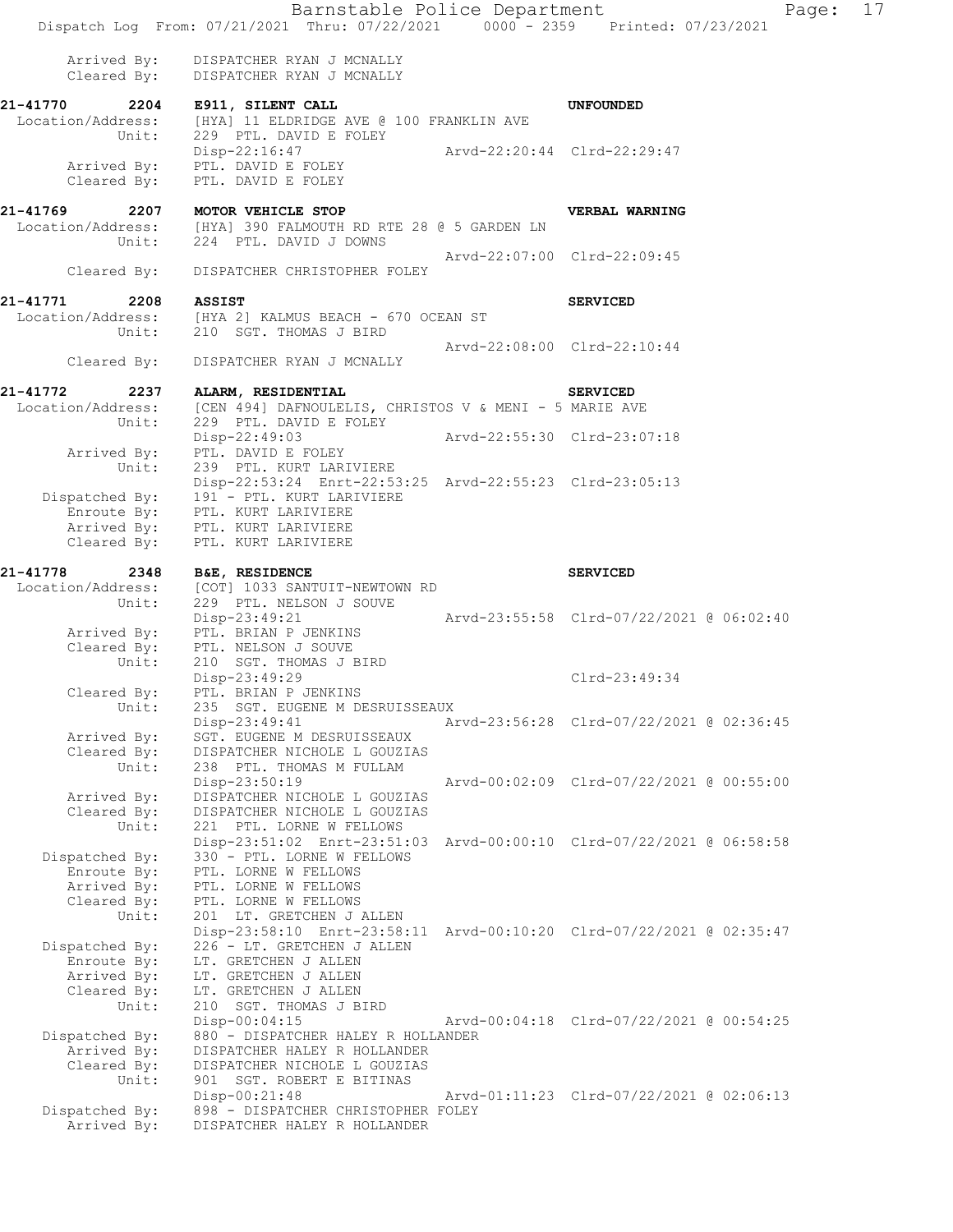Barnstable Police Department Page: 17 Dispatch Log From: 07/21/2021 Thru: 07/22/2021 0000 - 2359 Printed: 07/23/2021 Arrived By: DISPATCHER RYAN J MCNALLY Cleared By: DISPATCHER RYAN J MCNALLY **21-41770 2204 E911, SILENT CALL UNFOUNDED**  Location/Address: [HYA] 11 ELDRIDGE AVE @ 100 FRANKLIN AVE Unit: 229 PTL. DAVID E FOLEY Disp-22:16:47 Arvd-22:20:44 Clrd-22:29:47 Arrived By: PTL. DAVID E FOLEY Cleared By: PTL. DAVID E FOLEY **21-41769 2207 MOTOR VEHICLE STOP VERBAL WARNING**  Location/Address: [HYA] 390 FALMOUTH RD RTE 28 @ 5 GARDEN LN Unit: 224 PTL. DAVID J DOWNS Arvd-22:07:00 Clrd-22:09:45 Cleared By: DISPATCHER CHRISTOPHER FOLEY **21-41771 2208 ASSIST SERVICED**  Location/Address: [HYA 2] KALMUS BEACH - 670 OCEAN ST Unit: 210 SGT. THOMAS J BIRD Arvd-22:08:00 Clrd-22:10:44 Cleared By: DISPATCHER RYAN J MCNALLY **21-41772 2237 ALARM, RESIDENTIAL SERVICED**  Location/Address: [CEN 494] DAFNOULELIS, CHRISTOS V & MENI - 5 MARIE AVE Unit: 229 PTL. DAVID E FOLEY<br>Disp-22:49:03 Arvd-22:55:30 Clrd-23:07:18 Arrived By: PTL. DAVID E FOLEY Unit: 239 PTL. KURT LARIVIERE Disp-22:53:24 Enrt-22:53:25 Arvd-22:55:23 Clrd-23:05:13 Dispatched By: 191 - PTL. KURT LARIVIERE Enroute By: PTL. KURT LARIVIERE Arrived By: PTL. KURT LARIVIERE Cleared By: PTL. KURT LARIVIERE **21-41778 2348 B&E, RESIDENCE SERVICED**  Location/Address: [COT] 1033 SANTUIT-NEWTOWN RD Unit: 229 PTL. NELSON J SOUVE Disp-23:49:21 Arvd-23:55:58 Clrd-07/22/2021 @ 06:02:40 Arrived By: PTL. BRIAN P JENKINS Cleared By: PTL. NELSON J SOUVE Unit: 210 SGT. THOMAS J BIRD Disp-23:49:29 Clrd-23:49:34 Cleared By: PTL. BRIAN P JENKINS<br>Unit: 235 SGT. EUGENE M DE 235 SGT. EUGENE M DESRUISSEAUX Disp-23:49:41 Arvd-23:56:28 Clrd-07/22/2021 @ 02:36:45 Arrived By: SGT. EUGENE M DESRUISSEAUX Cleared By: DISPATCHER NICHOLE L GOUZIAS Unit: 238 PTL. THOMAS M FULLAM Disp-23:50:19 Arvd-00:02:09 Clrd-07/22/2021 @ 00:55:00 Arrived By: DISPATCHER NICHOLE L GOUZIAS Cleared By: DISPATCHER NICHOLE L GOUZIAS Unit: 221 PTL. LORNE W FELLOWS Disp-23:51:02 Enrt-23:51:03 Arvd-00:00:10 Clrd-07/22/2021 @ 06:58:58 Dispatched By: 330 - PTL. LORNE W FELLOWS Enroute By: PTL. LORNE W FELLOWS Arrived By: PTL. LORNE W FELLOWS Cleared By: PTL. LORNE W FELLOWS Unit: 201 LT. GRETCHEN J ALLEN Disp-23:58:10 Enrt-23:58:11 Arvd-00:10:20 Clrd-07/22/2021 @ 02:35:47 Dispatched By: 226 - LT. GRETCHEN J ALLEN Enroute By: LT. GRETCHEN J ALLEN Arrived By: LT. GRETCHEN J ALLEN Cleared By: LT. GRETCHEN J ALLEN Unit: 210 SGT. THOMAS J BIRD Disp-00:04:15 Arvd-00:04:18 Clrd-07/22/2021 @ 00:54:25 Dispatched By: 880 - DISPATCHER HALEY R HOLLANDER Arrived By: DISPATCHER HALEY R HOLLANDER Cleared By: DISPATCHER NICHOLE L GOUZIAS Unit: 901 SGT. ROBERT E BITINAS Disp-00:21:48 Arvd-01:11:23 Clrd-07/22/2021 @ 02:06:13 Dispatched By: 898 - DISPATCHER CHRISTOPHER FOLEY<br>Arrived By: DISPATCHER HALEY R HOLLANDER DISPATCHER HALEY R HOLLANDER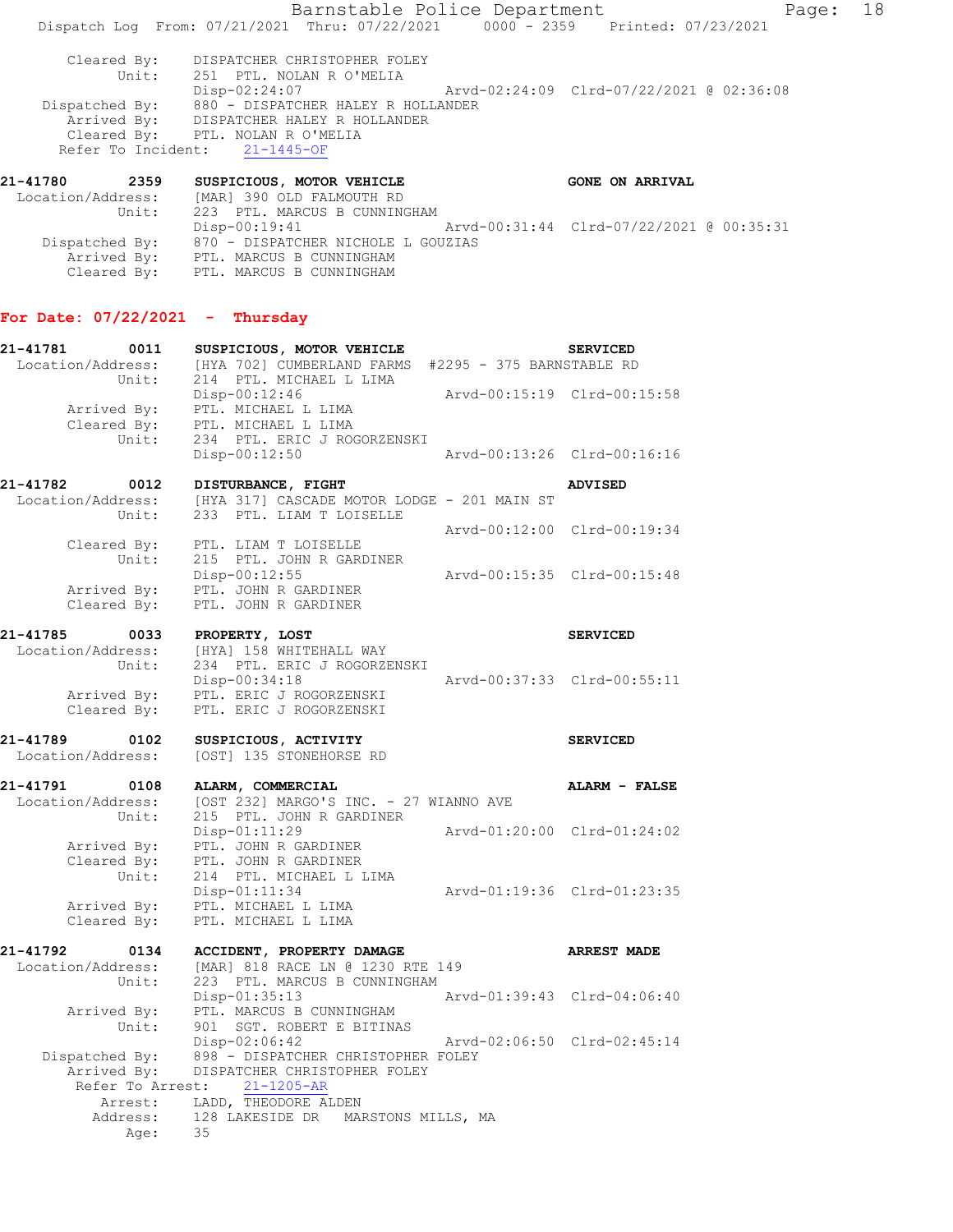Barnstable Police Department Page: 18 Dispatch Log From: 07/21/2021 Thru: 07/22/2021 0000 - 2359 Printed: 07/23/2021 Cleared By: DISPATCHER CHRISTOPHER FOLEY Unit: 251 PTL. NOLAN R O'MELIA Disp-02:24:07 Arvd-02:24:09 Clrd-07/22/2021 @ 02:36:08 Dispatched By: 880 - DISPATCHER HALEY R HOLLANDER Arrived By: DISPATCHER HALEY R HOLLANDER Cleared By: PTL. NOLAN R O'MELIA Refer To Incident: 21-1445-OF 21-41780 2359 SUSPICIOUS, MOTOR VEHICLE **CONE ON ARRIVAL** 

 Location/Address: [MAR] 390 OLD FALMOUTH RD Unit: 223 PTL. MARCUS B CUNNINGHAM Disp-00:19:41 Arvd-00:31:44 Clrd-07/22/2021 @ 00:35:31 Dispatched By: 870 - DISPATCHER NICHOLE L GOUZIAS Arrived By: PTL. MARCUS B CUNNINGHAM Cleared By: PTL. MARCUS B CUNNINGHAM

## **For Date: 07/22/2021 - Thursday**

| 21-41781          | 0011                       | SUSPICIOUS, MOTOR VEHICLE                                                       |                             | <b>SERVICED</b>             |
|-------------------|----------------------------|---------------------------------------------------------------------------------|-----------------------------|-----------------------------|
| Location/Address: | Unit:                      | [HYA 702] CUMBERLAND FARMS #2295 - 375 BARNSTABLE RD<br>214 PTL. MICHAEL L LIMA |                             |                             |
|                   | Arrived By:<br>Cleared By: | Disp-00:12:46<br>PTL. MICHAEL L LIMA<br>PTL. MICHAEL L LIMA                     |                             | Arvd-00:15:19 Clrd-00:15:58 |
|                   | Unit:                      | 234 PTL. ERIC J ROGORZENSKI<br>$Disp-00:12:50$                                  |                             | Arvd-00:13:26 Clrd-00:16:16 |
| 21-41782          | 0012                       | DISTURBANCE, FIGHT                                                              |                             | <b>ADVISED</b>              |
| Location/Address: | Unit:                      | [HYA 317] CASCADE MOTOR LODGE - 201 MAIN ST<br>233 PTL. LIAM T LOISELLE         |                             |                             |
|                   |                            |                                                                                 |                             | Arvd-00:12:00 Clrd-00:19:34 |
|                   | Cleared By:<br>Unit:       | PTL. LIAM T LOISELLE<br>215 PTL. JOHN R GARDINER<br>Disp-00:12:55               |                             | Arvd-00:15:35 Clrd-00:15:48 |
|                   | Arrived By:                | PTL. JOHN R GARDINER                                                            |                             |                             |
|                   | Cleared By:                | PTL. JOHN R GARDINER                                                            |                             |                             |
| 21-41785          | 0033                       | PROPERTY, LOST                                                                  |                             | <b>SERVICED</b>             |
| Location/Address: | Unit:                      | [HYA] 158 WHITEHALL WAY<br>234 PTL. ERIC J ROGORZENSKI                          |                             |                             |
|                   |                            | Disp-00:34:18                                                                   |                             | Arvd-00:37:33 Clrd-00:55:11 |
|                   | Arrived By:                | PTL. ERIC J ROGORZENSKI                                                         |                             |                             |
|                   | Cleared By:                | PTL. ERIC J ROGORZENSKI                                                         |                             |                             |
| 21-41789          | 0102                       | SUSPICIOUS, ACTIVITY                                                            |                             | <b>SERVICED</b>             |
|                   |                            |                                                                                 |                             |                             |
| Location/Address: |                            | [OST] 135 STONEHORSE RD                                                         |                             |                             |
| 21-41791          | 0108                       | ALARM, COMMERCIAL                                                               |                             | ALARM - FALSE               |
| Location/Address: |                            | [OST 232] MARGO'S INC. - 27 WIANNO AVE                                          |                             |                             |
|                   | Unit:                      | 215 PTL. JOHN R GARDINER                                                        |                             |                             |
|                   |                            | Disp-01:11:29                                                                   |                             | Arvd-01:20:00 Clrd-01:24:02 |
|                   | Arrived By:<br>Cleared By: | PTL. JOHN R GARDINER<br>PTL. JOHN R GARDINER                                    |                             |                             |
|                   | Unit:                      | 214 PTL. MICHAEL L LIMA                                                         |                             |                             |
|                   |                            | $Disp-01:11:34$                                                                 | Arvd-01:19:36 Clrd-01:23:35 |                             |
|                   | Arrived By:                | PTL. MICHAEL L LIMA<br>PTL. MICHAEL L LIMA                                      |                             |                             |
|                   | Cleared By:                |                                                                                 |                             |                             |
| 21-41792          | 0134                       | ACCIDENT, PROPERTY DAMAGE                                                       |                             | <b>ARREST MADE</b>          |
| Location/Address: |                            | [MAR] 818 RACE LN @ 1230 RTE 149                                                |                             |                             |
|                   | Unit:                      | 223 PTL. MARCUS B CUNNINGHAM                                                    |                             | Arvd-01:39:43 Clrd-04:06:40 |
|                   | Arrived By:                | Disp-01:35:13<br>PTL. MARCUS B CUNNINGHAM                                       |                             |                             |
|                   | Unit:                      | 901 SGT. ROBERT E BITINAS                                                       |                             |                             |
|                   |                            | Disp-02:06:42                                                                   | Arvd-02:06:50 Clrd-02:45:14 |                             |
|                   | Dispatched By:             | 898 - DISPATCHER CHRISTOPHER FOLEY<br>DISPATCHER CHRISTOPHER FOLEY              |                             |                             |
|                   | Arrived By:                | Refer To Arrest: 21-1205-AR                                                     |                             |                             |
|                   | Arrest:                    | LADD, THEODORE ALDEN                                                            |                             |                             |
|                   | Address:<br>Age:           | 128 LAKESIDE DR<br>MARSTONS MILLS, MA<br>35                                     |                             |                             |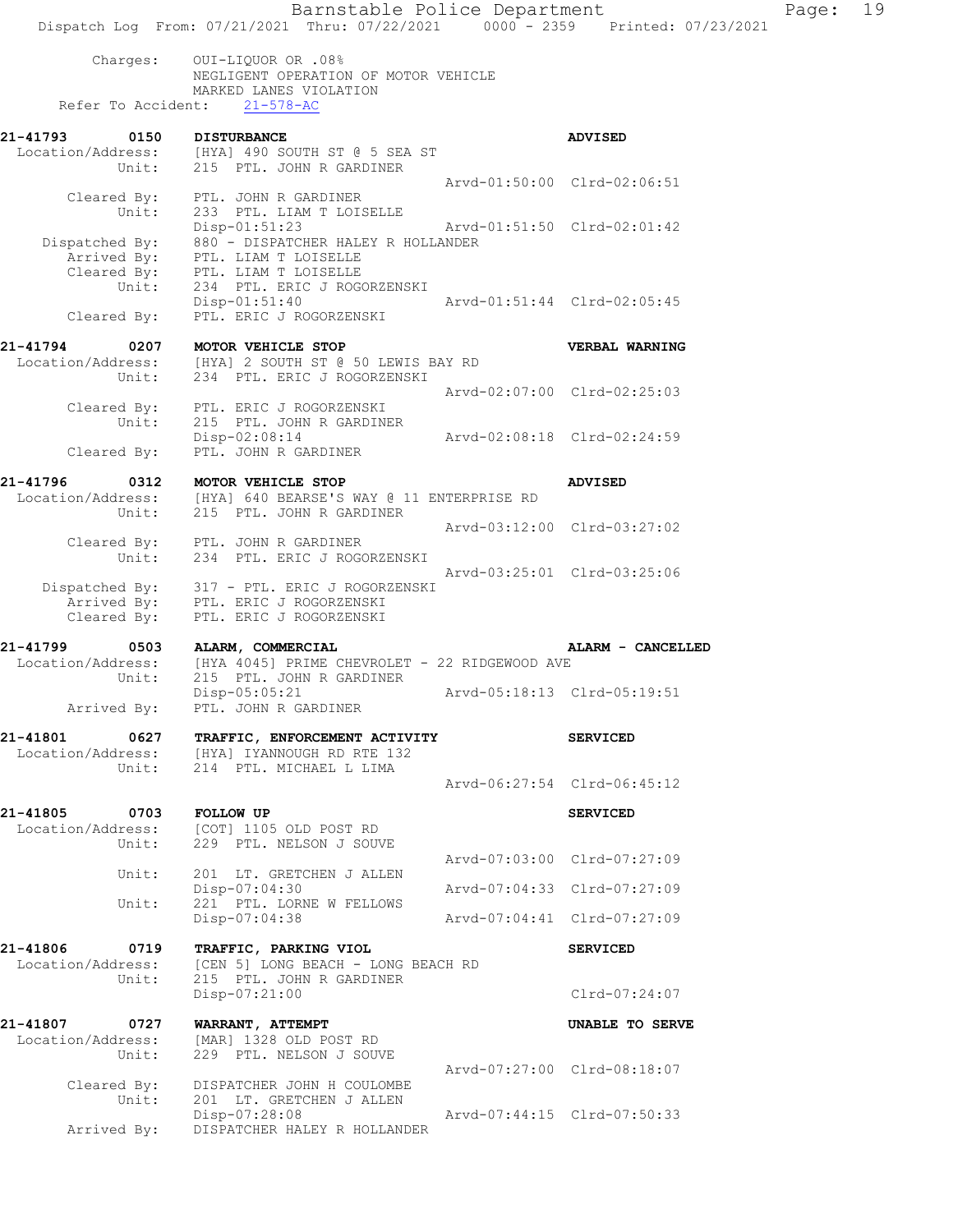Charges: OUI-LIQUOR OR .08% NEGLIGENT OPERATION OF MOTOR VEHICLE MARKED LANES VIOLATION Refer To Accident: 21-578-AC

| 21-41793          | 0150                       | <b>DISTURBANCE</b><br>Location/Address: [HYA] 490 SOUTH ST @ 5 SEA ST<br>Unit: 215 PTL. JOHN R GARDINER                                    | <b>ADVISED</b>              |
|-------------------|----------------------------|--------------------------------------------------------------------------------------------------------------------------------------------|-----------------------------|
|                   |                            |                                                                                                                                            | Aryd-01:50:00 Clrd-02:06:51 |
|                   | Cleared By:                | PTL. JOHN R GARDINER<br>Unit: 233 PTL. LIAM T LOISELLE                                                                                     |                             |
|                   |                            | $Disp-01:51:23$                                                                                                                            |                             |
| Dispatched By:    | Arrived By:<br>Cleared By: | 880 - DISPATCHER HALEY R HOLLANDER<br>PTL. LIAM T LOISELLE<br>PTL. LIAM T LOISELLE<br>Unit: 234 PTL. ERIC J ROGORZENSKI<br>$Disp-01:51:40$ | Arvd-01:51:44 Clrd-02:05:45 |
|                   | Cleared By:                | PTL. ERIC J ROGORZENSKI                                                                                                                    |                             |
| 21-41794          |                            | 0207 MOTOR VEHICLE STOP                                                                                                                    | VERBAL WARNING              |
| Location/Address: | Unit:                      | [HYA] 2 SOUTH ST @ 50 LEWIS BAY RD<br>234 PTL. ERIC J ROGORZENSKI                                                                          |                             |
|                   |                            |                                                                                                                                            | Arvd-02:07:00 Clrd-02:25:03 |
|                   | Unit:                      | Cleared By: PTL. ERIC J ROGORZENSKI<br>215 PTL. JOHN R GARDINER                                                                            |                             |

Disp-02:08:14 Arvd-02:08:18 Cleared By: PTL. JOHN R GARDINER PTL. JOHN R GARDINER **21-41796 0312 MOTOR VEHICLE STOP ADVISED** 

 Location/Address: [HYA] 640 BEARSE'S WAY @ 11 ENTERPRISE RD Unit: 215 PTL. JOHN R GARDINER Arvd-03:12:00 Clrd-03:27:02 Cleared By: PTL. JOHN R GARDINER Unit: 234 PTL. ERIC J ROGORZENSKI Arvd-03:25:01 Clrd-03:25:06 Dispatched By: 317 - PTL. ERIC J ROGORZENSKI Arrived By: PTL. ERIC J ROGORZENSKI Cleared By: PTL. ERIC J ROGORZENSKI

**21-41799 0503 ALARM, COMMERCIAL ALARM - CANCELLED**  Location/Address: [HYA 4045] PRIME CHEVROLET - 22 RIDGEWOOD AVE Unit: 215 PTL. JOHN R GARDINER Disp-05:05:21 Arvd-05:18:13 Clrd-05:19:51 Arrived By: PTL. JOHN R GARDINER

**21-41801 0627 TRAFFIC, ENFORCEMENT ACTIVITY SERVICED**  [HYA] IYANNOUGH RD RTE 132<br>214 PTL. MICHAEL L LIMA Location/Address:<br>Unit: Arvd-06:27:54 Clrd-06:45:12

**21-41805 0703 FOLLOW UP SERVICED**  Location/Address: [COT] 1105 OLD POST RD Unit: 229 PTL. NELSON J SOUVE Arvd-07:03:00 Clrd-07:27:09 Unit: 201 LT. GRETCHEN J ALLEN Disp-07:04:30 Arvd-07:04:33 Clrd-07:27:09 Unit: 221 PTL. LORNE W FELLOWS<br>Disp-07:04:38 Disp-07:04:38 Arvd-07:04:41 Clrd-07:27:09

**21-41806 0719 TRAFFIC, PARKING VIOL SERVICED**  Location/Address: [CEN 5] LONG BEACH - LONG BEACH RD<br>Unit: 215 PTL. JOHN R GARDINER 215 PTL. JOHN R GARDINER Disp-07:21:00 Clrd-07:24:07 **21-41807 0727 WARRANT, ATTEMPT UNABLE TO SERVE** 

 Location/Address: [MAR] 1328 OLD POST RD Unit: 229 PTL. NELSON J SOUVE Arvd-07:27:00 Clrd-08:18:07<br>Cleared By: DISPATCHER JOHN H COULOMBE DISPATCHER JOHN H COULOMBE Unit: 201 LT. GRETCHEN J ALLEN<br>Disp-07:28:08 Disp-07:28:08 Arvd-07:44:15 Clrd-07:50:33 Arrived By: DISPATCHER HALEY R HOLLANDER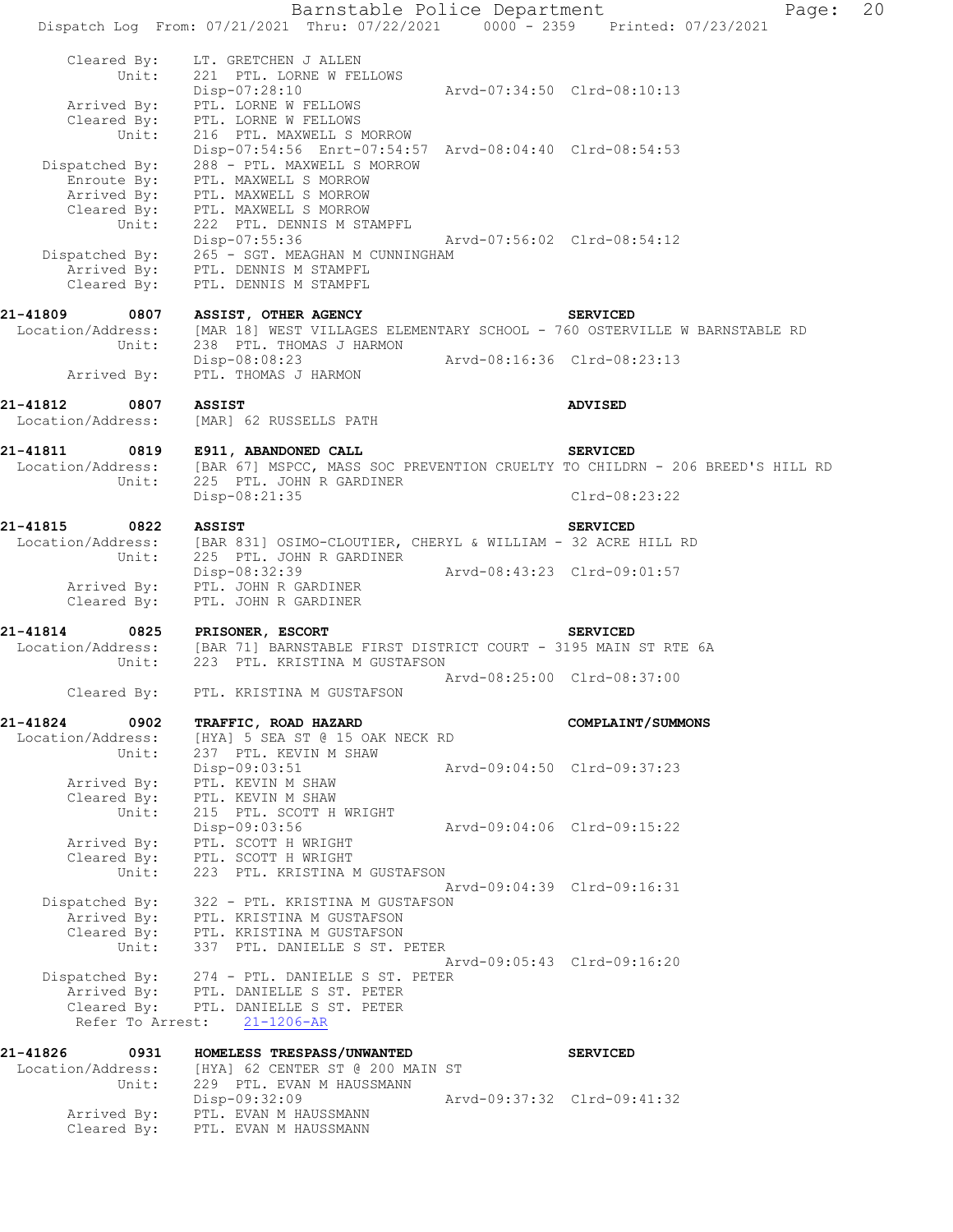Barnstable Police Department Page: 20 Dispatch Log From: 07/21/2021 Thru: 07/22/2021 0000 - 2359 Printed: 07/23/2021 Cleared By: LT. GRETCHEN J ALLEN Unit: 221 PTL. LORNE W FELLOWS Disp-07:28:10 Arvd-07:34:50 Clrd-08:10:13 Arrived By: PTL. LORNE W FELLOWS Cleared By: PTL. LORNE W FELLOWS Unit: 216 PTL. MAXWELL S MORROW Disp-07:54:56 Enrt-07:54:57 Arvd-08:04:40 Clrd-08:54:53 Dispatched By: 288 - PTL. MAXWELL S MORROW Enroute By: PTL. MAXWELL S MORROW Arrived By: PTL. MAXWELL S MORROW Cleared By: PTL. MAXWELL S MORROW Unit: 222 PTL. DENNIS M STAMPFL Disp-07:55:36 Arvd-07:56:02 Clrd-08:54:12 Dispatched By: 265 - SGT. MEAGHAN M CUNNINGHAM Arrived By: PTL. DENNIS M STAMPFL Cleared By: PTL. DENNIS M STAMPFL **21-41809 0807 ASSIST, OTHER AGENCY SERVICED**  Location/Address: [MAR 18] WEST VILLAGES ELEMENTARY SCHOOL - 760 OSTERVILLE W BARNSTABLE RD Unit: 238 PTL. THOMAS J HARMON Disp-08:08:23 Arvd-08:16:36 Clrd-08:23:13 Arrived By: PTL. THOMAS J HARMON **21-41812 0807 ASSIST ADVISED**  Location/Address: [MAR] 62 RUSSELLS PATH **21-41811 0819 E911, ABANDONED CALL SERVICED**  Location/Address: [BAR 67] MSPCC, MASS SOC PREVENTION CRUELTY TO CHILDRN - 206 BREED'S HILL RD Unit: 225 PTL. JOHN R GARDINER Disp-08:21:35 Clrd-08:23:22 **21-41815 0822 ASSIST SERVICED**  Location/Address: [BAR 831] OSIMO-CLOUTIER, CHERYL & WILLIAM - 32 ACRE HILL RD Unit: 225 PTL. JOHN R GARDINER Disp-08:32:39 Arvd-08:43:23 Clrd-09:01:57 Arrived By: PTL. JOHN R GARDINER Cleared By: PTL. JOHN R GARDINER **21-41814 0825 PRISONER, ESCORT SERVICED**  Location/Address: [BAR 71] BARNSTABLE FIRST DISTRICT COURT - 3195 MAIN ST RTE 6A Unit: 223 PTL. KRISTINA M GUSTAFSON Arvd-08:25:00 Clrd-08:37:00 Cleared By: PTL. KRISTINA M GUSTAFSON **21-41824 0902 TRAFFIC, ROAD HAZARD COMPLAINT/SUMMONS**  Location/Address: [HYA] 5 SEA ST @ 15 OAK NECK RD Unit: 237 PTL. KEVIN M SHAW Disp-09:03:51 Arvd-09:04:50 Clrd-09:37:23 Arrived By: PTL. KEVIN M SHAW Cleared By: PTL. KEVIN M SHAW Unit: 215 PTL. SCOTT H WRIGHT Disp-09:03:56 Arvd-09:04:06 Clrd-09:15:22 Arrived By: PTL. SCOTT H WRIGHT Cleared By: PTL. SCOTT H WRIGHT Unit: 223 PTL. KRISTINA M GUSTAFSON Arvd-09:04:39 Clrd-09:16:31 Dispatched By: 322 - PTL. KRISTINA M GUSTAFSON Arrived By: PTL. KRISTINA M GUSTAFSON Cleared By: PTL. KRISTINA M GUSTAFSON Unit: 337 PTL. DANIELLE S ST. PETER Arvd-09:05:43 Clrd-09:16:20 Dispatched By: 274 - PTL. DANIELLE S ST. PETER Arrived By: PTL. DANIELLE S ST. PETER Cleared By: PTL. DANIELLE S ST. PETER Refer To Arrest: 21-1206-AR **21-41826 0931 HOMELESS TRESPASS/UNWANTED SERVICED**  Location/Address: [HYA] 62 CENTER ST @ 200 MAIN ST Unit: 229 PTL. EVAN M HAUSSMANN Disp-09:32:09 Arvd-09:37:32 Clrd-09:41:32 Arrived By: PTL. EVAN M HAUSSMANN Cleared  $B_y$ : PTL. EVAN M HAUSSMANN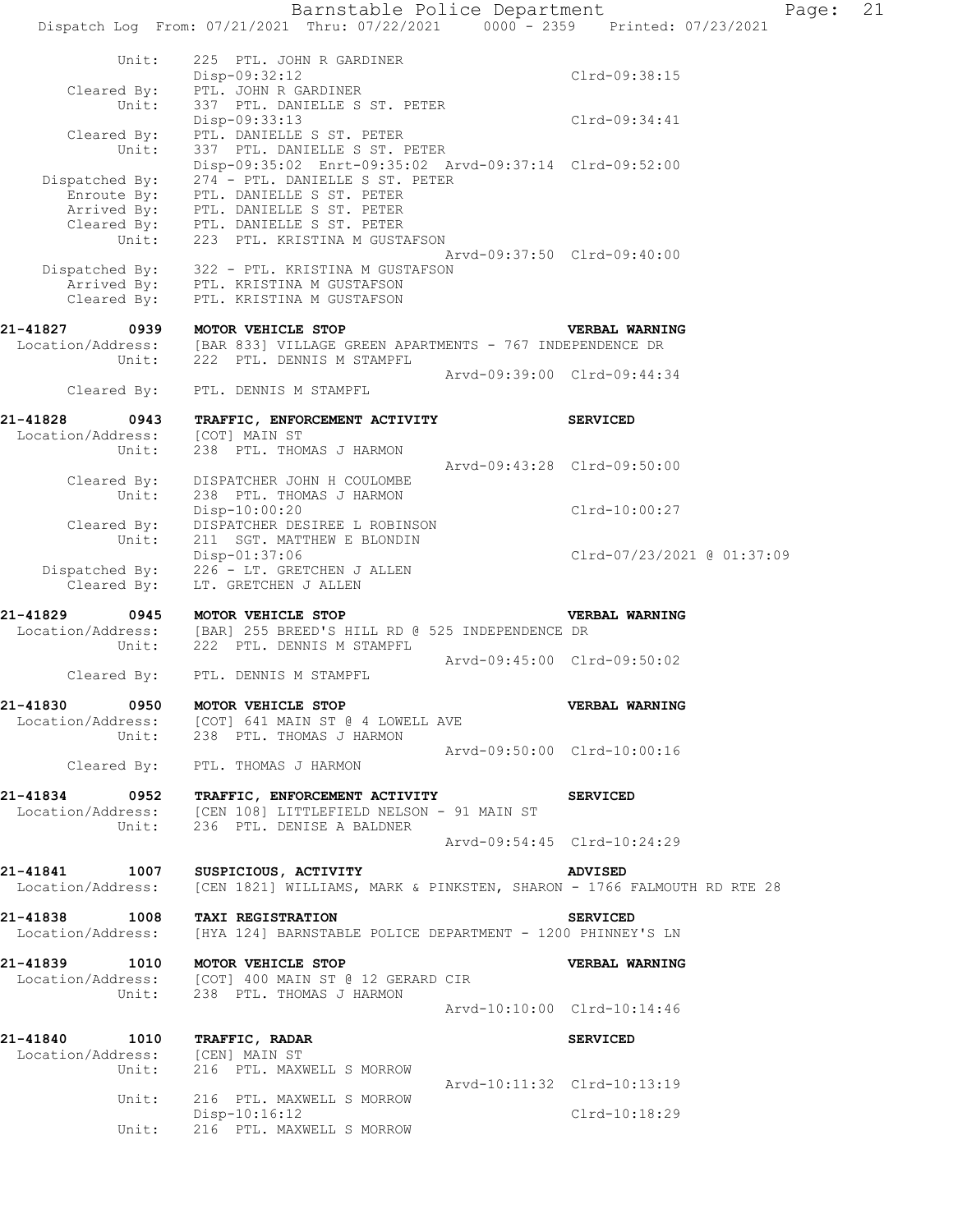Barnstable Police Department Page: 21 Dispatch Log From: 07/21/2021 Thru: 07/22/2021 0000 - 2359 Printed: 07/23/2021 Unit: 225 PTL. JOHN R GARDINER<br>Disp-09:32:12 Disp-09:32:12 Clrd-09:38:15 Cleared By: PTL. JOHN R GARDINER Unit: 337 PTL. DANIELLE S ST. PETER Disp-09:33:13 Clrd-09:34:41 Cleared By: PTL. DANIELLE S ST. PETER Unit: 337 PTL. DANIELLE S ST. PETER Disp-09:35:02 Enrt-09:35:02 Arvd-09:37:14 Clrd-09:52:00 Dispatched By: 274 - PTL. DANIELLE S ST. PETER Enroute By: PTL. DANIELLE S ST. PETER Arrived By: PTL. DANIELLE S ST. PETER Cleared By: PTL. DANIELLE S ST. PETER Unit: 223 PTL. KRISTINA M GUSTAFSON Arvd-09:37:50 Clrd-09:40:00 Dispatched By: 322 - PTL. KRISTINA M GUSTAFSON Arrived By: PTL. KRISTINA M GUSTAFSON Cleared By: PTL. KRISTINA M GUSTAFSON **21-41827 0939 MOTOR VEHICLE STOP VERBAL WARNING**  Location/Address: [BAR 833] VILLAGE GREEN APARTMENTS - 767 INDEPENDENCE DR Unit: 222 PTL. DENNIS M STAMPFL Arvd-09:39:00 Clrd-09:44:34 Cleared By: PTL. DENNIS M STAMPFL **21-41828 0943 TRAFFIC, ENFORCEMENT ACTIVITY SERVICED**  Location/Address: [COT] MAIN ST Unit: 238 PTL. THOMAS J HARMON Arvd-09:43:28 Clrd-09:50:00 Cleared By: DISPATCHER JOHN H COULOMBE Unit: 238 PTL. THOMAS J HARMON Disp-10:00:20 Clrd-10:00:27 Cleared By: DISPATCHER DESIREE L ROBINSON Unit: 211 SGT. MATTHEW E BLONDIN Disp-01:37:06 Clrd-07/23/2021 @ 01:37:09 Dispatched By: 226 - LT. GRETCHEN J ALLEN Cleared By: LT. GRETCHEN J ALLEN **21-41829 0945 MOTOR VEHICLE STOP VERBAL WARNING**  Location/Address: [BAR] 255 BREED'S HILL RD @ 525 INDEPENDENCE DR Unit: 222 PTL. DENNIS M STAMPFL Arvd-09:45:00 Clrd-09:50:02 Cleared By: PTL. DENNIS M STAMPFL **21-41830 0950 MOTOR VEHICLE STOP VERBAL WARNING**  Location/Address: [COT] 641 MAIN ST @ 4 LOWELL AVE Unit: 238 PTL. THOMAS J HARMON Arvd-09:50:00 Clrd-10:00:16 Cleared By: PTL. THOMAS J HARMON **21-41834 0952 TRAFFIC, ENFORCEMENT ACTIVITY SERVICED**  Location/Address: [CEN 108] LITTLEFIELD NELSON - 91 MAIN ST Unit: 236 PTL. DENISE A BALDNER Arvd-09:54:45 Clrd-10:24:29 **21-41841 1007 SUSPICIOUS, ACTIVITY ADVISED**  Location/Address: [CEN 1821] WILLIAMS, MARK & PINKSTEN, SHARON - 1766 FALMOUTH RD RTE 28 **21-41838 1008 TAXI REGISTRATION SERVICED**  Location/Address: [HYA 124] BARNSTABLE POLICE DEPARTMENT - 1200 PHINNEY'S LN **21-41839 1010 MOTOR VEHICLE STOP VERBAL WARNING**  Location/Address: [COT] 400 MAIN ST @ 12 GERARD CIR Unit: 238 PTL. THOMAS J HARMON Arvd-10:10:00 Clrd-10:14:46 **21-41840 1010 TRAFFIC, RADAR SERVICED**  Location/Address: [CEN] MAIN ST Unit: 216 PTL. MAXWELL S MORROW Arvd-10:11:32 Clrd-10:13:19 Unit: 216 PTL. MAXWELL S MORROW Disp-10:16:12 Clrd-10:18:29 Unit: 216 PTL. MAXWELL S MORROW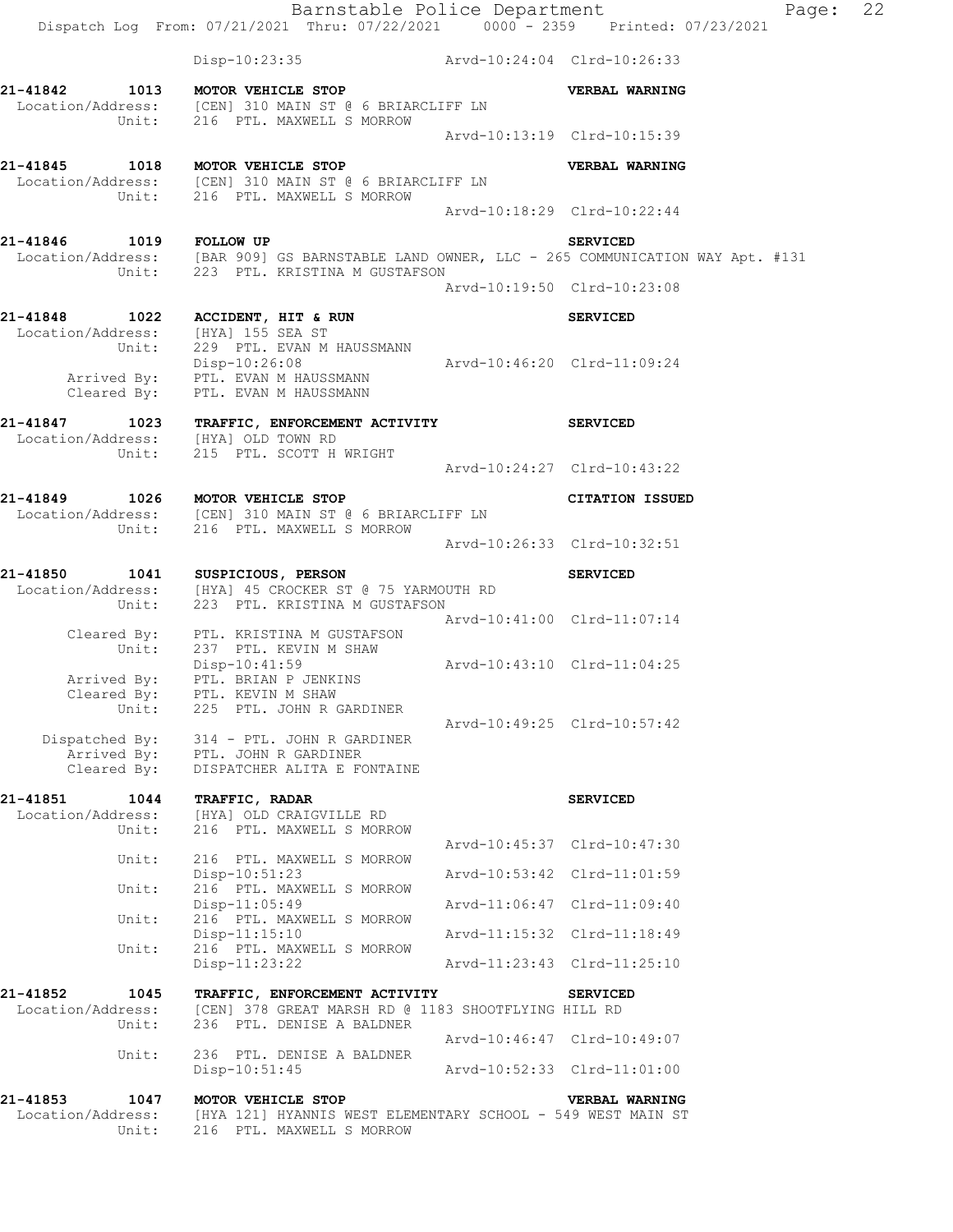|                                                          | Barnstable Police Department<br>Dispatch Log From: 07/21/2021 Thru: 07/22/2021 0000 - 2359 Printed: 07/23/2021                     |                             | Page: 22                    |  |
|----------------------------------------------------------|------------------------------------------------------------------------------------------------------------------------------------|-----------------------------|-----------------------------|--|
|                                                          | Disp-10:23:35 Arvd-10:24:04 Clrd-10:26:33                                                                                          |                             |                             |  |
|                                                          | 21-41842 1013 MOTOR VEHICLE STOP<br>Location/Address: [CEN] 310 MAIN ST @ 6 BRIARCLIFF LN<br>Unit: 216 PTL. MAXWELL S MORROW       |                             | VERBAL WARNING              |  |
|                                                          |                                                                                                                                    |                             | Arvd-10:13:19 Clrd-10:15:39 |  |
| 21-41845 1018 MOTOR VEHICLE STOP                         | Location/Address: [CEN] 310 MAIN ST @ 6 BRIARCLIFF LN<br>Unit: 216 PTL. MAXWELL S MORROW                                           |                             | VERBAL WARNING              |  |
|                                                          |                                                                                                                                    |                             | Arvd-10:18:29 Clrd-10:22:44 |  |
| 21-41846 1019 FOLLOW UP                                  | Location/Address: [BAR 909] GS BARNSTABLE LAND OWNER, LLC - 265 COMMUNICATION WAY Apt. #131<br>Unit: 223 PTL. KRISTINA M GUSTAFSON |                             | <b>SERVICED</b>             |  |
|                                                          |                                                                                                                                    |                             | Arvd-10:19:50 Clrd-10:23:08 |  |
| Location/Address: [HYA] 155 SEA ST<br>Unit:              | 21-41848 1022 ACCIDENT, HIT & RUN<br>229 PTL. EVAN M HAUSSMANN                                                                     |                             | <b>SERVICED</b>             |  |
| Cleared By:                                              | Disp-10:26:08<br>Arrived By: PTL. EVAN M HAUSSMANN<br>PTL. EVAN M HAUSSMANN                                                        | Arvd-10:46:20 Clrd-11:09:24 |                             |  |
| 21-41847<br>Location/Address: [HYA] OLD TOWN RD<br>Unit: | 1023 TRAFFIC, ENFORCEMENT ACTIVITY<br>215 PTL. SCOTT H WRIGHT                                                                      |                             | <b>SERVICED</b>             |  |
|                                                          |                                                                                                                                    | Arvd-10:24:27 Clrd-10:43:22 |                             |  |
|                                                          | 21-41849 1026 MOTOR VEHICLE STOP<br>Location/Address: [CEN] 310 MAIN ST @ 6 BRIARCLIFF LN<br>Unit: 216 PTL. MAXWELL S MORROW       |                             | CITATION ISSUED             |  |
|                                                          |                                                                                                                                    |                             | Arvd-10:26:33 Clrd-10:32:51 |  |
|                                                          | 21-41850 1041 SUSPICIOUS, PERSON<br>Location/Address: [HYA] 45 CROCKER ST @ 75 YARMOUTH RD<br>Unit: 223 PTL. KRISTINA M GUSTAFSON  |                             | <b>SERVICED</b>             |  |
| Unit:                                                    | Cleared By: PTL. KRISTINA M GUSTAFSON<br>237 PTL. KEVIN M SHAW                                                                     | Arvd-10:41:00 Clrd-11:07:14 |                             |  |
| Arrived By:<br>Unit:                                     | Disp-10:41:59<br>PTL. BRIAN P JENKINS<br>Cleared By: PTL. KEVIN M SHAW<br>225 PTL. JOHN R GARDINER                                 | Arvd-10:43:10 Clrd-11:04:25 |                             |  |
| Cleared By:                                              | Dispatched By: 314 - PTL. JOHN R GARDINER<br>Arrived By: PTL. JOHN R GARDINER<br>DISPATCHER ALITA E FONTAINE                       |                             | Arvd-10:49:25 Clrd-10:57:42 |  |
| 21-41851<br>1044<br>Location/Address:<br>Unit:           | TRAFFIC, RADAR<br>[HYA] OLD CRAIGVILLE RD<br>216 PTL. MAXWELL S MORROW                                                             |                             | <b>SERVICED</b>             |  |
| Unit:                                                    | 216 PTL. MAXWELL S MORROW                                                                                                          |                             | Arvd-10:45:37 Clrd-10:47:30 |  |
| Unit:                                                    | Disp-10:51:23<br>216 PTL. MAXWELL S MORROW                                                                                         |                             | Arvd-10:53:42 Clrd-11:01:59 |  |
| Unit:                                                    | $Disp-11:05:49$<br>216 PTL. MAXWELL S MORROW                                                                                       |                             | Arvd-11:06:47 Clrd-11:09:40 |  |
| Unit:                                                    | Disp-11:15:10<br>216 PTL. MAXWELL S MORROW                                                                                         |                             | Arvd-11:15:32 Clrd-11:18:49 |  |
|                                                          | $Disp-11:23:22$                                                                                                                    |                             | Arvd-11:23:43 Clrd-11:25:10 |  |
| 21-41852<br>1045<br>Location/Address:<br>Unit:           | TRAFFIC, ENFORCEMENT ACTIVITY<br>[CEN] 378 GREAT MARSH RD @ 1183 SHOOTFLYING HILL RD<br>236 PTL. DENISE A BALDNER                  |                             | <b>SERVICED</b>             |  |
| Unit:                                                    | 236 PTL. DENISE A BALDNER                                                                                                          |                             | Arvd-10:46:47 Clrd-10:49:07 |  |
|                                                          | $Disp-10:51:45$                                                                                                                    |                             | Arvd-10:52:33 Clrd-11:01:00 |  |
| 21-41853<br>1047<br>Location/Address:<br>Unit:           | MOTOR VEHICLE STOP<br>[HYA 121] HYANNIS WEST ELEMENTARY SCHOOL - 549 WEST MAIN ST<br>216 PTL. MAXWELL S MORROW                     |                             | VERBAL WARNING              |  |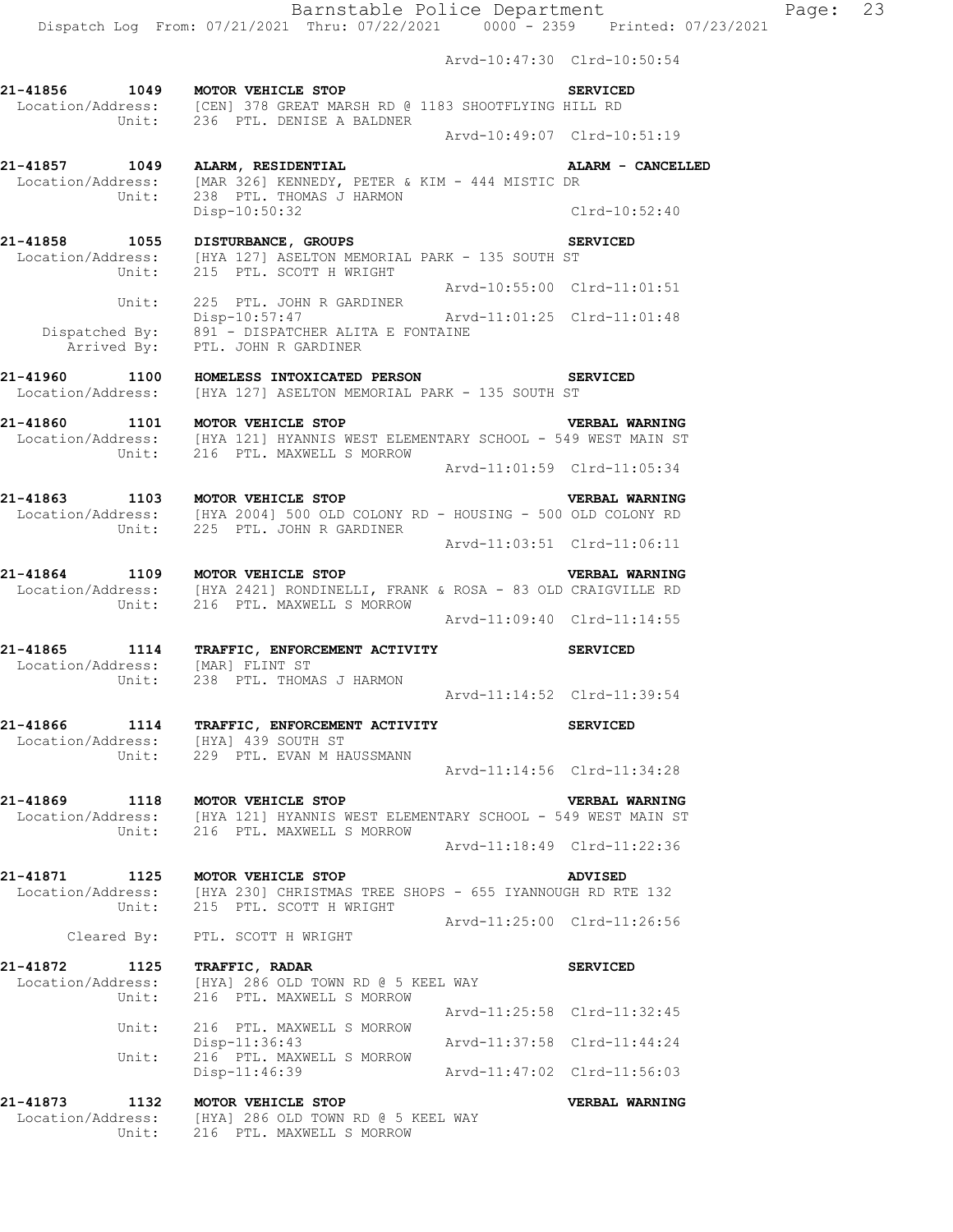Dispatch Log From: 07/21/2021 Thru: 07/22/2021 0000 - 2359 Printed: 07/23/2021

Arvd-10:47:30 Clrd-10:50:54

| 21-41856 1049                                 | MOTOR VEHICLE STOP<br>Location/Address: [CEN] 378 GREAT MARSH RD @ 1183 SHOOTFLYING HILL RD<br>Unit: 236 PTL. DENISE A BALDNER                                      | <b>SERVICED</b>             |
|-----------------------------------------------|---------------------------------------------------------------------------------------------------------------------------------------------------------------------|-----------------------------|
|                                               |                                                                                                                                                                     | Arvd-10:49:07 Clrd-10:51:19 |
| 21-41857 1049                                 | ALARM, RESIDENTIAL<br>Location/Address: [MAR 326] KENNEDY, PETER & KIM - 444 MISTIC DR                                                                              | ALARM - CANCELLED           |
| Unit:                                         | 238 PTL. THOMAS J HARMON<br>Disp-10:50:32                                                                                                                           | $Clrd-10:52:40$             |
|                                               | 21-41858 1055 DISTURBANCE, GROUPS 5E<br>Location/Address: [HYA 127] ASELTON MEMORIAL PARK - 135 SOUTH ST<br>Unit: 215 PTL. SCOTT H WRIGHT                           | <b>SERVICED</b>             |
|                                               | Unit: 225 PTL. JOHN R GARDINER                                                                                                                                      | Arvd-10:55:00 Clrd-11:01:51 |
|                                               | Disp-10:57:47<br>Disp-10:57:47<br>Dispatched By: 891 - DISPATCHER ALITA E FONTAINE<br>Arrived By: PTL. JOHN R GARDINER                                              | Arvd-11:01:25 Clrd-11:01:48 |
|                                               | 21-41960 1100 HOMELESS INTOXICATED PERSON<br>Location/Address: [HYA 127] ASELTON MEMORIAL PARK - 135 SOUTH ST                                                       | <b>SERVICED</b>             |
| 21-41860 1101 MOTOR VEHICLE STOP              | Location/Address: [HYA 121] HYANNIS WEST ELEMENTARY SCHOOL - 549 WEST MAIN ST<br>Unit: 216 PTL. MAXWELL S MORROW                                                    | <b>VERBAL WARNING</b>       |
|                                               |                                                                                                                                                                     | Arvd-11:01:59 Clrd-11:05:34 |
|                                               | 21-41863 1103 MOTOR VEHICLE STOP<br>Location/Address: [HYA 2004] 500 OLD COLONY RD - HOUSING - 500 OLD COLONY RD<br>Unit: 225 PTL. JOHN R GARDINER                  | <b>VERBAL WARNING</b>       |
|                                               |                                                                                                                                                                     |                             |
| Unit:                                         | 21-41864 1109 MOTOR VEHICLE STOP<br>Location/Address: [HYA 2421] RONDINELLI, FRANK & ROSA - 83 OLD CRAIGVILLE RD<br>216 PTL. MAXWELL S MORROW                       | VERBAL WARNING              |
|                                               |                                                                                                                                                                     | Arvd-11:09:40 Clrd-11:14:55 |
| Location/Address: [MAR] FLINT ST<br>Unit:     | 21-41865 1114 TRAFFIC, ENFORCEMENT ACTIVITY<br>238 PTL. THOMAS J HARMON                                                                                             | <b>SERVICED</b>             |
|                                               |                                                                                                                                                                     | Arvd-11:14:52 Clrd-11:39:54 |
| Location/Address: [HYA] 439 SOUTH ST<br>Unit: | 21-41866 1114 TRAFFIC, ENFORCEMENT ACTIVITY<br>229 PTL. EVAN M HAUSSMANN                                                                                            | <b>SERVICED</b>             |
|                                               |                                                                                                                                                                     | Arvd-11:14:56 Clrd-11:34:28 |
|                                               | 21-41869 1118 MOTOR VEHICLE STOP VERBAL WARNING<br>Location/Address: [HYA 121] HYANNIS WEST ELEMENTARY SCHOOL - 549 WEST MAIN ST<br>Unit: 216 PTL. MAXWELL S MORROW |                             |
|                                               |                                                                                                                                                                     | Arvd-11:18:49 Clrd-11:22:36 |
| 21-41871<br>Location/Address:                 | 1125 MOTOR VEHICLE STOP<br>[HYA 230] CHRISTMAS TREE SHOPS - 655 IYANNOUGH RD RTE 132<br>Unit: 215 PTL. SCOTT H WRIGHT                                               | ADVISED                     |
|                                               | Cleared By: PTL. SCOTT H WRIGHT                                                                                                                                     | Arvd-11:25:00 Clrd-11:26:56 |
|                                               |                                                                                                                                                                     |                             |
| 21-41872 1125 TRAFFIC, RADAR<br>Unit:         | Location/Address: [HYA] 286 OLD TOWN RD @ 5 KEEL WAY<br>216 PTL. MAXWELL S MORROW                                                                                   | <b>SERVICED</b>             |
| Unit:                                         | 216 PTL. MAXWELL S MORROW                                                                                                                                           | Arvd-11:25:58 Clrd-11:32:45 |
| Unit:                                         | $Disp-11:36:43$<br>216 PTL. MAXWELL S MORROW                                                                                                                        | Arvd-11:37:58 Clrd-11:44:24 |
|                                               | Disp-11:46:39                                                                                                                                                       | Arvd-11:47:02 Clrd-11:56:03 |
| 21-41873<br>Location/Address:<br>Unit:        | 1132 MOTOR VEHICLE STOP<br>[HYA] 286 OLD TOWN RD @ 5 KEEL WAY<br>216 PTL. MAXWELL S MORROW                                                                          | VERBAL WARNING              |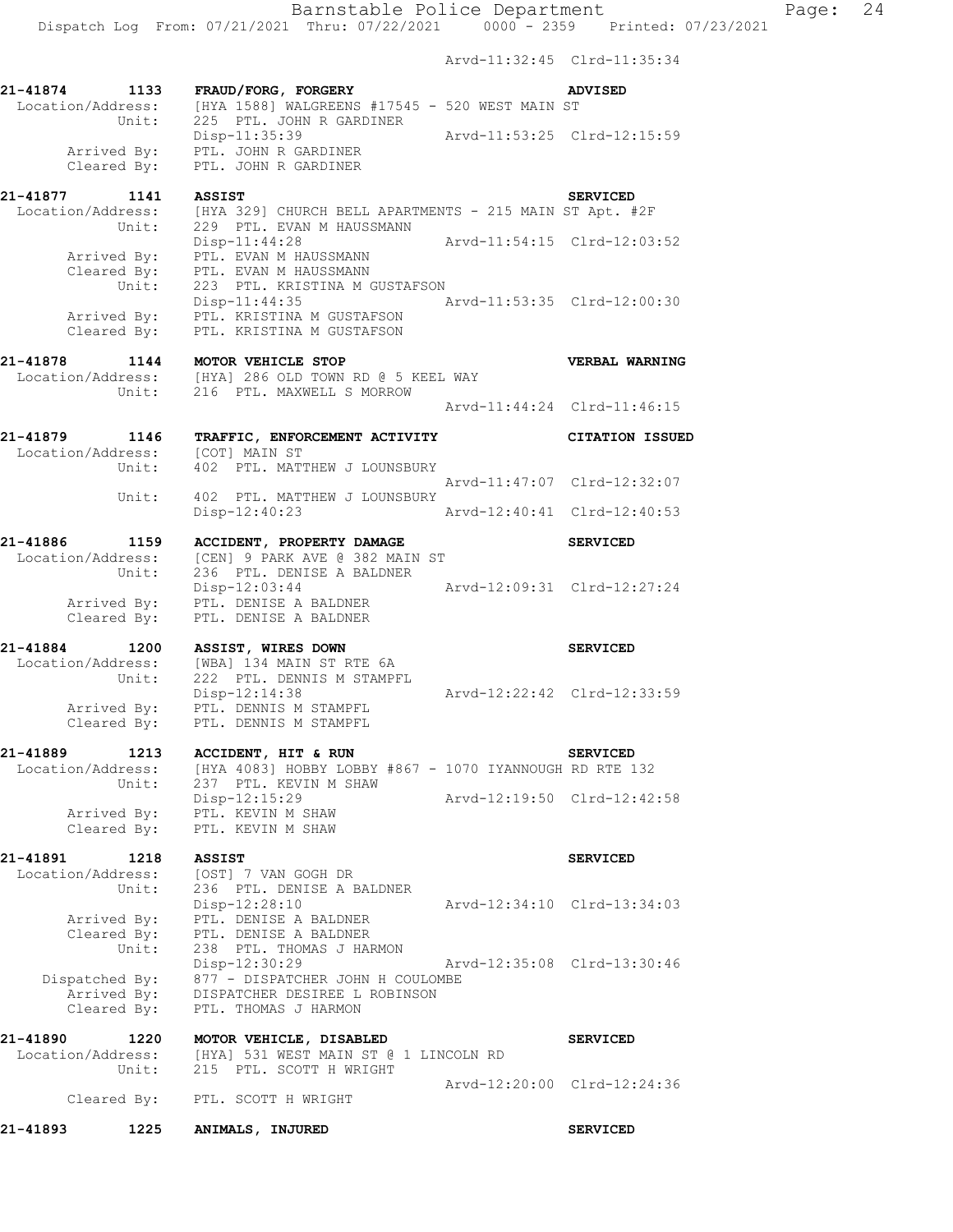Arvd-11:32:45 Clrd-11:35:34

|                                              |               |                                                                                                                                          | ALVU II.JZ.HJ UILU II.JJ.JH |                             |
|----------------------------------------------|---------------|------------------------------------------------------------------------------------------------------------------------------------------|-----------------------------|-----------------------------|
| 21-41874 1133<br>Location/Address:           |               | FRAUD/FORG, FORGERY<br>[HYA 1588] WALGREENS #17545 - 520 WEST MAIN ST                                                                    |                             | <b>ADVISED</b>              |
| Arrived By:<br>Cleared By:                   | Unit:         | 225 PTL. JOHN R GARDINER<br>Disp-11:35:39<br>PTL. JOHN R GARDINER<br>PTL. JOHN R GARDINER                                                | Arvd-11:53:25 Clrd-12:15:59 |                             |
| 21-41877 1141<br>Location/Address:           | Unit:         | <b>ASSIST</b><br>[HYA 329] CHURCH BELL APARTMENTS - 215 MAIN ST Apt. #2F<br>229 PTL. EVAN M HAUSSMANN                                    |                             | <b>SERVICED</b>             |
| Arrived By:<br>Cleared By:                   |               | $Disp-11:44:28$<br>PTL. EVAN M HAUSSMANN<br>PTL. EVAN M HAUSSMANN                                                                        | Arvd-11:54:15 Clrd-12:03:52 |                             |
| Cleared By:                                  | Unit:         | 223 PTL. KRISTINA M GUSTAFSON<br>$Disp-11:44:35$<br>Arrived By: PTL. KRISTINA M GUSTAFSON<br>PTL. KRISTINA M GUSTAFSON                   | Arvd-11:53:35 Clrd-12:00:30 |                             |
| 21-41878                                     |               | 1-41878        1144     MOTOR VEHICLE STOP<br>Location/Address:    [HYA] 286 OLD TOWN RD @ 5 KEEL WAY<br>Unit: 216 PTL. MAXWELL S MORROW |                             | VERBAL WARNING              |
|                                              |               |                                                                                                                                          | Arvd-11:44:24 Clrd-11:46:15 |                             |
| 21-41879 1146<br>Location/Address:           | Unit:         | TRAFFIC, ENFORCEMENT ACTIVITY<br>[COT] MAIN ST<br>402 PTL. MATTHEW J LOUNSBURY                                                           |                             | <b>CITATION ISSUED</b>      |
|                                              | Unit:         | 402 PTL. MATTHEW J LOUNSBURY                                                                                                             | Arvd-11:47:07 Clrd-12:32:07 |                             |
|                                              |               | Disp-12:40:23                                                                                                                            | Arvd-12:40:41 Clrd-12:40:53 |                             |
| 21-41886<br>Location/Address:                | 1159<br>Unit: | ACCIDENT, PROPERTY DAMAGE<br>[CEN] 9 PARK AVE @ 382 MAIN ST<br>236 PTL. DENISE A BALDNER                                                 |                             | <b>SERVICED</b>             |
| Arrived By:<br>Cleared By:                   |               | Disp-12:03:44<br>PTL. DENISE A BALDNER<br>PTL. DENISE A BALDNER                                                                          | Arvd-12:09:31 Clrd-12:27:24 |                             |
| 21-41884 1200<br>Location/Address:           | Unit:         | ASSIST, WIRES DOWN<br>[WBA] 134 MAIN ST RTE 6A<br>222 PTL. DENNIS M STAMPFL<br>Disp-12:14:38                                             | Arvd-12:22:42 Clrd-12:33:59 | <b>SERVICED</b>             |
| Cleared By:                                  |               | Arrived By: PTL. DENNIS M STAMPFL<br>PTL. DENNIS M STAMPFL                                                                               |                             |                             |
| 21-41889<br>Location/Address:                | 1213<br>Unit: | ACCIDENT, HIT & RUN<br>[HYA 4083] HOBBY LOBBY #867 - 1070 IYANNOUGH RD RTE 132<br>237 PTL. KEVIN M SHAW                                  |                             | <b>SERVICED</b>             |
| Arrived By:<br>Cleared By:                   |               | Disp-12:15:29<br>PTL. KEVIN M SHAW<br>PTL. KEVIN M SHAW                                                                                  |                             | Arvd-12:19:50 Clrd-12:42:58 |
| 21-41891<br>Location/Address:                | 1218<br>Unit: | <b>ASSIST</b><br>[OST] 7 VAN GOGH DR<br>236 PTL. DENISE A BALDNER                                                                        |                             | <b>SERVICED</b>             |
| Arrived By:<br>Cleared By:                   | Unit:         | Disp-12:28:10<br>PTL. DENISE A BALDNER<br>PTL. DENISE A BALDNER<br>238 PTL. THOMAS J HARMON                                              |                             | Arvd-12:34:10 Clrd-13:34:03 |
| Dispatched By:<br>Arrived By:<br>Cleared By: |               | Disp-12:30:29<br>877 - DISPATCHER JOHN H COULOMBE<br>DISPATCHER DESIREE L ROBINSON<br>PTL. THOMAS J HARMON                               |                             | Arvd-12:35:08 Clrd-13:30:46 |
| 21-41890<br>Location/Address:                | 1220          | MOTOR VEHICLE, DISABLED<br>[HYA] 531 WEST MAIN ST @ 1 LINCOLN RD                                                                         |                             | <b>SERVICED</b>             |
| Cleared By:                                  | Unit:         | 215 PTL. SCOTT H WRIGHT<br>PTL. SCOTT H WRIGHT                                                                                           |                             | Arvd-12:20:00 Clrd-12:24:36 |
| 21-41893                                     | 1225          | ANIMALS, INJURED                                                                                                                         |                             | <b>SERVICED</b>             |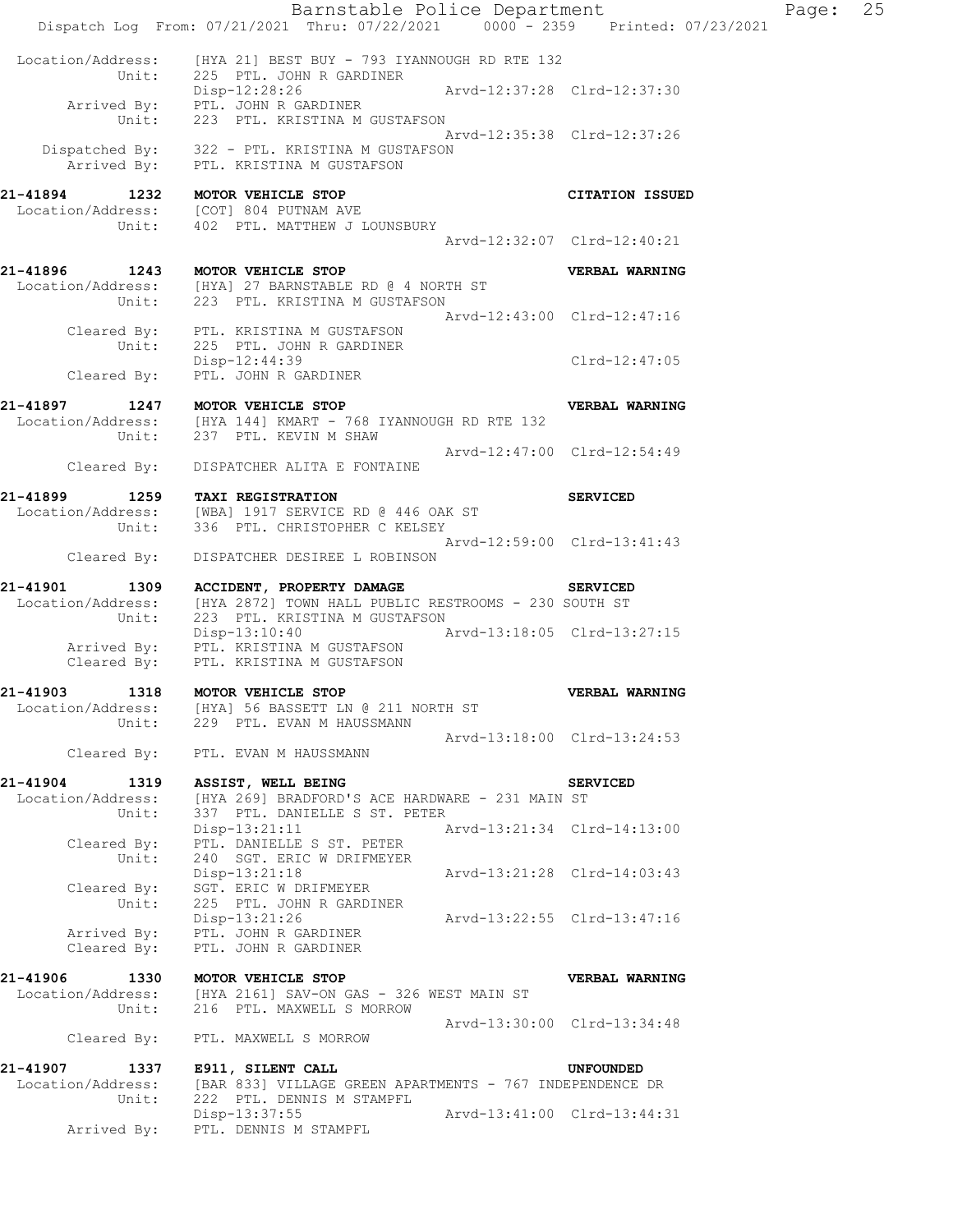|                                                | Barnstable Police Department<br>Dispatch Log From: 07/21/2021 Thru: 07/22/2021 0000 - 2359 Printed: 07/23/2021              |                             | Page: | 25 |
|------------------------------------------------|-----------------------------------------------------------------------------------------------------------------------------|-----------------------------|-------|----|
| Unit:                                          | Location/Address: [HYA 21] BEST BUY - 793 IYANNOUGH RD RTE 132<br>225 PTL. JOHN R GARDINER<br>Disp-12:28:26                 | Arvd-12:37:28 Clrd-12:37:30 |       |    |
| Unit:                                          | Arrived By: PTL. JOHN R GARDINER<br>223 PTL. KRISTINA M GUSTAFSON                                                           |                             |       |    |
|                                                | Dispatched By: 322 - PTL. KRISTINA M GUSTAFSON<br>Arrived By: PTL. KRISTINA M GUSTAFSON                                     | Arvd-12:35:38 Clrd-12:37:26 |       |    |
| 21-41894 1232 MOTOR VEHICLE STOP               | Location/Address: [COT] 804 PUTNAM AVE                                                                                      | <b>CITATION ISSUED</b>      |       |    |
|                                                | Unit: 402 PTL. MATTHEW J LOUNSBURY                                                                                          | Arvd-12:32:07 Clrd-12:40:21 |       |    |
| 21-41896 1243 MOTOR VEHICLE STOP               |                                                                                                                             | VERBAL WARNING              |       |    |
|                                                | Location/Address: [HYA] 27 BARNSTABLE RD @ 4 NORTH ST<br>Unit: 223 PTL. KRISTINA M GUSTAFSON                                | Arvd-12:43:00 Clrd-12:47:16 |       |    |
| Unit:                                          | Cleared By: PTL. KRISTINA M GUSTAFSON<br>225 PTL. JOHN R GARDINER                                                           |                             |       |    |
| Cleared By:                                    | $Disp-12:44:39$<br>PTL. JOHN R GARDINER                                                                                     | $Clrd-12:47:05$             |       |    |
| 21-41897                                       | 1247 MOTOR VEHICLE STOP<br>$Location/Address:$ [HYA 144] KMART - 768 IYANNOUGH RD RTE 132<br>Unit: 237 PTL. KEVIN M SHAW    | VERBAL WARNING              |       |    |
| Cleared By:                                    | DISPATCHER ALITA E FONTAINE                                                                                                 | Arvd-12:47:00 Clrd-12:54:49 |       |    |
| 21-41899<br>1259                               | <b>TAXI REGISTRATION</b><br>Location/Address: [WBA] 1917 SERVICE RD @ 446 OAK ST<br>Unit: 336 PTL. CHRISTOPHER C KELSEY     | <b>SERVICED</b>             |       |    |
| Cleared By:                                    | DISPATCHER DESIREE L ROBINSON                                                                                               | Arvd-12:59:00 Clrd-13:41:43 |       |    |
| 21-41901<br>1309<br>Location/Address:<br>Unit: | ACCIDENT, PROPERTY DAMAGE<br>[HYA 2872] TOWN HALL PUBLIC RESTROOMS - 230 SOUTH ST<br>223 PTL. KRISTINA M GUSTAFSON          | <b>SERVICED</b>             |       |    |
|                                                | Disp-13:10:40 Arvd-13:18:05 Clrd-13:27:15<br>Arrived By: PTL. KRISTINA M GUSTAFSON<br>Cleared By: PTL. KRISTINA M GUSTAFSON |                             |       |    |
| 21-41903<br>1318                               | MOTOR VEHICLE STOP<br>Location/Address: [HYA] 56 BASSETT LN @ 211 NORTH ST                                                  | VERBAL WARNING              |       |    |
| Unit:                                          | 229 PTL. EVAN M HAUSSMANN                                                                                                   | Arvd-13:18:00 Clrd-13:24:53 |       |    |
| Cleared By:                                    | PTL. EVAN M HAUSSMANN                                                                                                       |                             |       |    |
| 21-41904 1319<br>Location/Address:<br>Unit:    | ASSIST, WELL BEING<br>[HYA 269] BRADFORD'S ACE HARDWARE - 231 MAIN ST<br>337 PTL. DANIELLE S ST. PETER                      | <b>SERVICED</b>             |       |    |
| Cleared By:<br>Unit:                           | $Disp-13:21:11$<br>PTL. DANIELLE S ST. PETER<br>240 SGT. ERIC W DRIFMEYER                                                   | Arvd-13:21:34 Clrd-14:13:00 |       |    |
| Cleared By:<br>Unit:                           | Disp-13:21:18<br>SGT. ERIC W DRIFMEYER<br>225 PTL. JOHN R GARDINER                                                          | Arvd-13:21:28 Clrd-14:03:43 |       |    |
| Arrived By:<br>Cleared By:                     | Disp-13:21:26<br>PTL. JOHN R GARDINER<br>PTL. JOHN R GARDINER                                                               | Arvd-13:22:55 Clrd-13:47:16 |       |    |
|                                                |                                                                                                                             |                             |       |    |
| 21-41906<br>1330<br>Location/Address:<br>Unit: | MOTOR VEHICLE STOP<br>[HYA 2161] SAV-ON GAS - 326 WEST MAIN ST<br>216 PTL. MAXWELL S MORROW                                 | VERBAL WARNING              |       |    |
| Cleared By:                                    | PTL. MAXWELL S MORROW                                                                                                       | Arvd-13:30:00 Clrd-13:34:48 |       |    |
| 21-41907<br>1337                               | E911, SILENT CALL                                                                                                           | UNFOUNDED                   |       |    |
| Location/Address:<br>Unit:                     | [BAR 833] VILLAGE GREEN APARTMENTS - 767 INDEPENDENCE DR<br>222 PTL. DENNIS M STAMPFL<br>Disp-13:37:55                      | Arvd-13:41:00 Clrd-13:44:31 |       |    |
| Arrived By:                                    | PTL. DENNIS M STAMPFL                                                                                                       |                             |       |    |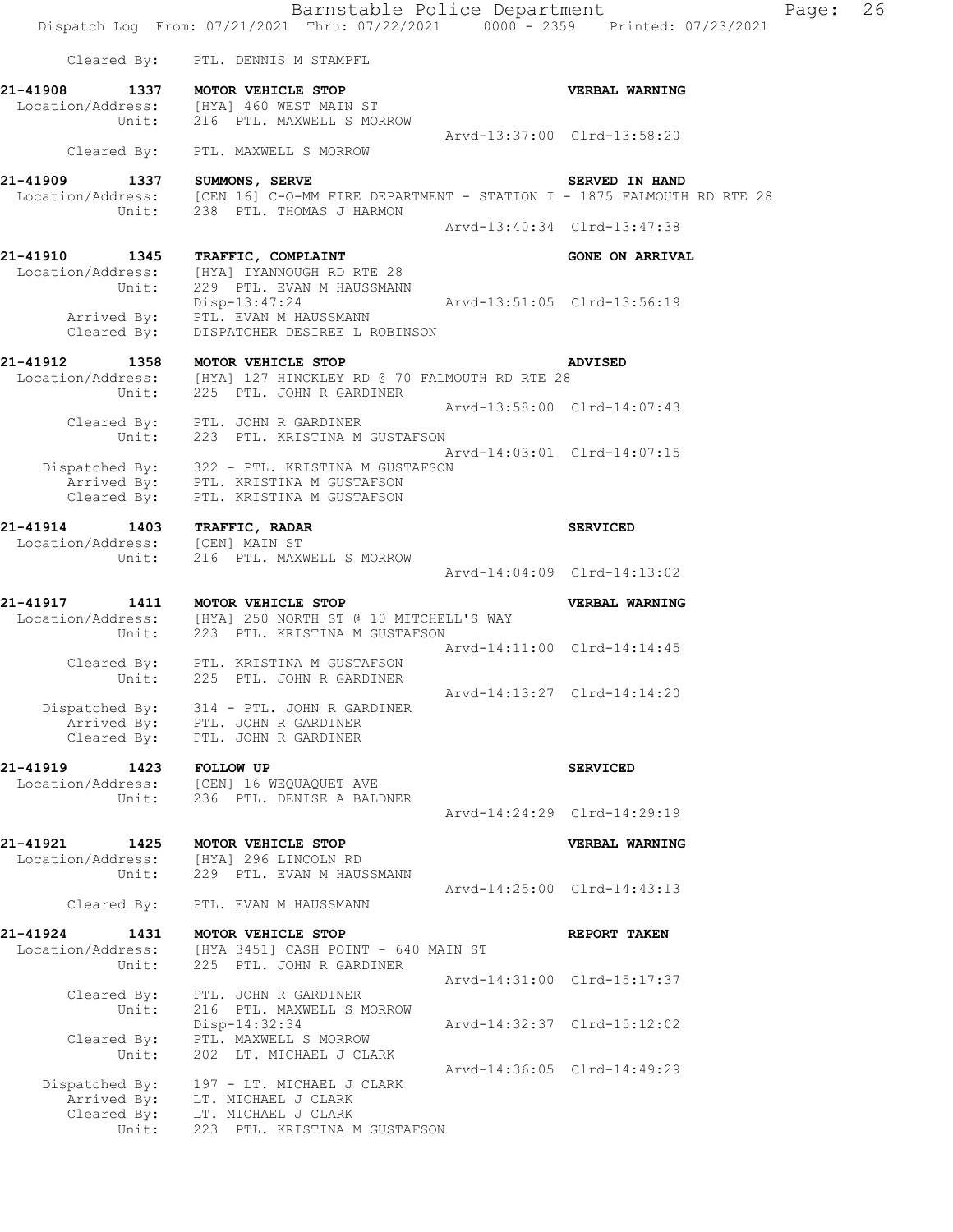Barnstable Police Department Page: 26 Dispatch Log From: 07/21/2021 Thru: 07/22/2021 0000 - 2359 Printed: 07/23/2021 Cleared By: PTL. DENNIS M STAMPFL **21-41908 1337 MOTOR VEHICLE STOP VERBAL WARNING**  Location/Address: [HYA] 460 WEST MAIN ST Unit: 216 PTL. MAXWELL S MORROW Arvd-13:37:00 Clrd-13:58:20 Cleared By: PTL. MAXWELL S MORROW **21-41909 1337 SUMMONS, SERVE SERVED IN HAND**  [CEN 16] C-O-MM FIRE DEPARTMENT - STATION I - 1875 FALMOUTH RD RTE 28 Location/Address: [CEN 16] C-O-MM FIRE DEPAR<br>Unit: 238 PTL. THOMAS J HARMON Arvd-13:40:34 Clrd-13:47:38 21-41910 1345 TRAFFIC, COMPLAINT **1200 CONE ON ARRIVAL**  Location/Address: [HYA] IYANNOUGH RD RTE 28 Unit: 229 PTL. EVAN M HAUSSMANN Disp-13:47:24 Arvd-13:51:05 Clrd-13:56:19 Arrived By: PTL. EVAN M HAUSSMANN Cleared By: DISPATCHER DESIREE L ROBINSON **21-41912 1358 MOTOR VEHICLE STOP ADVISED**  Location/Address: [HYA] 127 HINCKLEY RD @ 70 FALMOUTH RD RTE 28 Unit: 225 PTL. JOHN R GARDINER Arvd-13:58:00 Clrd-14:07:43 Cleared By: PTL. JOHN R GARDINER Unit: 223 PTL. KRISTINA M GUSTAFSON Arvd-14:03:01 Clrd-14:07:15 Dispatched By: 322 - PTL. KRISTINA M GUSTAFSON Arrived By: PTL. KRISTINA M GUSTAFSON Cleared By: PTL. KRISTINA M GUSTAFSON **21-41914 1403 TRAFFIC, RADAR SERVICED**  Location/Address: [CEN] MAIN ST Unit: 216 PTL. MAXWELL S MORROW Arvd-14:04:09 Clrd-14:13:02 **21-41917 1411 MOTOR VEHICLE STOP VERBAL WARNING**  Location/Address: [HYA] 250 NORTH ST @ 10 MITCHELL'S WAY Unit: 223 PTL. KRISTINA M GUSTAFSON Arvd-14:11:00 Clrd-14:14:45 Cleared By: PTL. KRISTINA M GUSTAFSON Unit: 225 PTL. JOHN R GARDINER Arvd-14:13:27 Clrd-14:14:20 Dispatched By: 314 - PTL. JOHN R GARDINER Arrived By: PTL. JOHN R GARDINER Cleared By: PTL. JOHN R GARDINER **21-41919 1423 FOLLOW UP SERVICED**  Location/Address: [CEN] 16 WEQUAQUET AVE Unit: 236 PTL. DENISE A BALDNER Arvd-14:24:29 Clrd-14:29:19 **21-41921 1425 MOTOR VEHICLE STOP VERBAL WARNING**  Location/Address: [HYA] 296 LINCOLN RD Unit: 229 PTL. EVAN M HAUSSMANN Arvd-14:25:00 Clrd-14:43:13 Cleared By: PTL. EVAN M HAUSSMANN **21-41924 1431 MOTOR VEHICLE STOP REPORT TAKEN**  Location/Address: [HYA 3451] CASH POINT - 640 MAIN ST Unit: 225 PTL. JOHN R GARDINER Arvd-14:31:00 Clrd-15:17:37 Cleared By: PTL. JOHN R GARDINER Unit: 216 PTL. MAXWELL S MORROW Unit: 216 PTL. MAXWELL S MORROW<br>Disp-14:32:34 Arvd-14:32:37 Clrd-15:12:02 Cleared By: PTL. MAXWELL S MORROW Unit: 202 LT. MICHAEL J CLARK Arvd-14:36:05 Clrd-14:49:29 Dispatched By: 197 - LT. MICHAEL J CLARK Arrived By: LT. MICHAEL J CLARK Cleared By: LT. MICHAEL J CLARK Unit: 223 PTL. KRISTINA M GUSTAFSON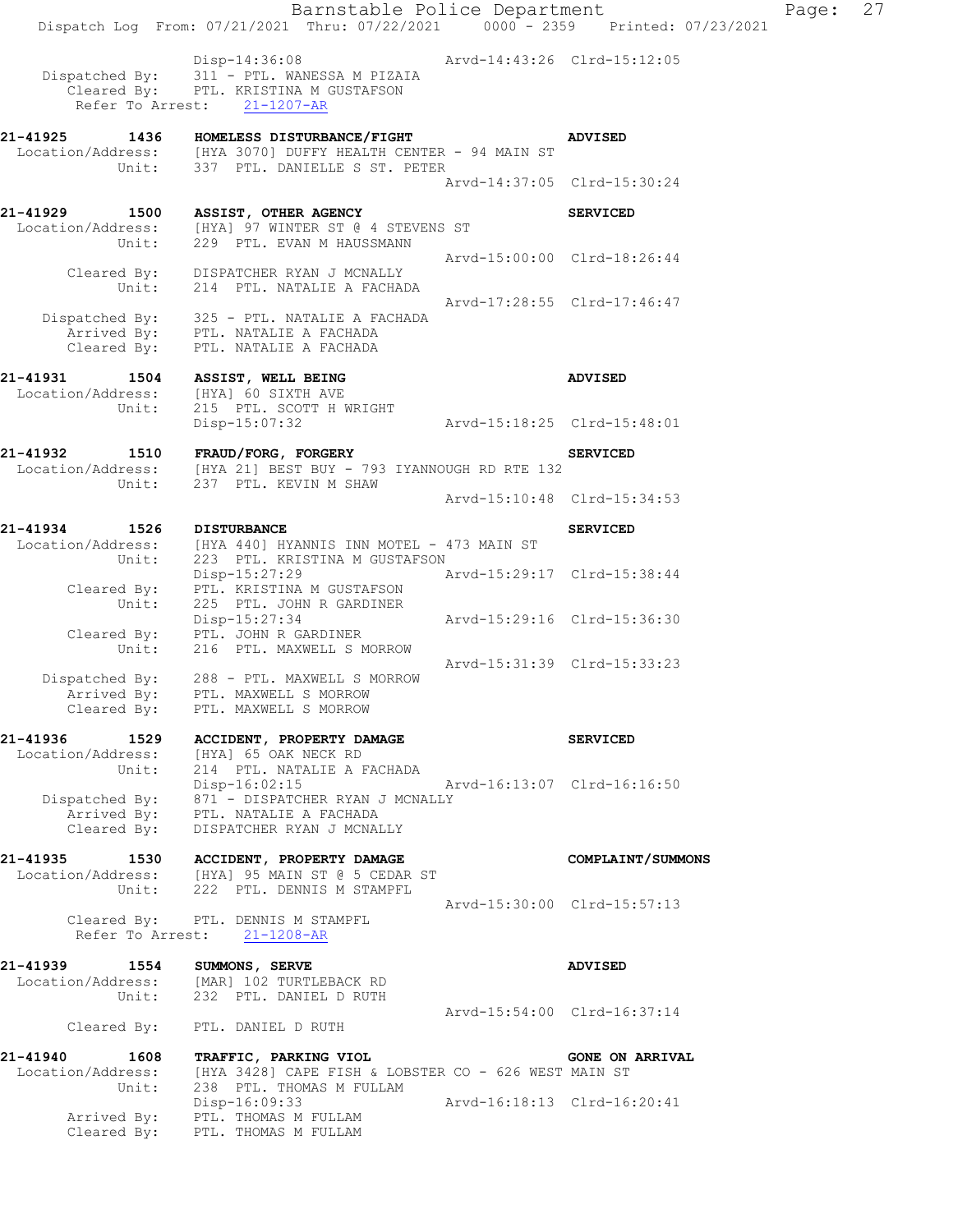Disp-14:36:08 Arvd-14:43:26 Clrd-15:12:05 Dispatched By: 311 - PTL. WANESSA M PIZAIA Cleared By: PTL. KRISTINA M GUSTAFSON Refer To Arrest: 21-1207-AR

**21-41925 1436 HOMELESS DISTURBANCE/FIGHT ADVISED**  Location/Address: [HYA 3070] DUFFY HEALTH CENTER - 94 MAIN ST Unit: 337 PTL. DANIELLE S ST. PETER Arvd-14:37:05 Clrd-15:30:24 **21-41929 1500 ASSIST, OTHER AGENCY SERVICED**  Location/Address: [HYA] 97 WINTER ST @ 4 STEVENS ST Unit: 229 PTL. EVAN M HAUSSMANN Arvd-15:00:00 Clrd-18:26:44 Cleared By: DISPATCHER RYAN J MCNALLY Unit: 214 PTL. NATALIE A FACHADA Arvd-17:28:55 Clrd-17:46:47 Dispatched By: 325 - PTL. NATALIE A FACHADA Arrived By: PTL. NATALIE A FACHADA Cleared By: PTL. NATALIE A FACHADA **21-41931 1504 ASSIST, WELL BEING ADVISED**  Location/Address: [HYA] 60 SIXTH AVE Unit: 215 PTL. SCOTT H WRIGHT Disp-15:07:32 Arvd-15:18:25 Clrd-15:48:01 **21-41932 1510 FRAUD/FORG, FORGERY SERVICED**  Location/Address: [HYA 21] BEST BUY - 793 IYANNOUGH RD RTE 132 Unit: 237 PTL. KEVIN M SHAW Arvd-15:10:48 Clrd-15:34:53 **21-41934 1526 DISTURBANCE SERVICED**  Location/Address: [HYA 440] HYANNIS INN MOTEL - 473 MAIN ST Unit: 223 PTL. KRISTINA M GUSTAFSON Disp-15:27:29 Arvd-15:29:17 Clrd-15:38:44 Cleared By: PTL. KRISTINA M GUSTAFSON Unit: 225 PTL. JOHN R GARDINER Disp-15:27:34 Arvd-15:29:16 Clrd-15:36:30 Cleared By: PTL. JOHN R GARDINER Unit: 216 PTL. MAXWELL S MORROW Arvd-15:31:39 Clrd-15:33:23 Dispatched By: 288 - PTL. MAXWELL S MORROW Arrived By: PTL. MAXWELL S MORROW Cleared By: PTL. MAXWELL S MORROW **21-41936 1529 ACCIDENT, PROPERTY DAMAGE SERVICED**  Location/Address: [HYA] 65 OAK NECK RD Unit: 214 PTL. NATALIE A FACHADA Disp-16:02:15 Arvd-16:13:07 Clrd-16:16:50 Dispatched By: 871 - DISPATCHER RYAN J MCNALLY Arrived By: PTL. NATALIE A FACHADA Cleared By: DISPATCHER RYAN J MCNALLY **21-41935 1530 ACCIDENT, PROPERTY DAMAGE COMPLAINT/SUMMONS**  Location/Address: [HYA] 95 MAIN ST @ 5 CEDAR ST Unit: 222 PTL. DENNIS M STAMPFL Arvd-15:30:00 Clrd-15:57:13 Cleared By: PTL. DENNIS M STAMPFL Refer To Arrest: 21-1208-AR **21-41939 1554 SUMMONS, SERVE ADVISED**  Location/Address: [MAR] 102 TURTLEBACK RD Unit: 232 PTL. DANIEL D RUTH Arvd-15:54:00 Clrd-16:37:14 Cleared By: PTL. DANIEL D RUTH

**21-41940 1608 TRAFFIC, PARKING VIOL GONE ON ARRIVAL**  Location/Address: [HYA 3428] CAPE FISH & LOBSTER CO - 626 WEST MAIN ST Unit: 238 PTL. THOMAS M FULLAM Disp-16:09:33 Arvd-16:18:13 Clrd-16:20:41 Arrived By: PTL. THOMAS M FULLAM Cleared By: PTL. THOMAS M FULLAM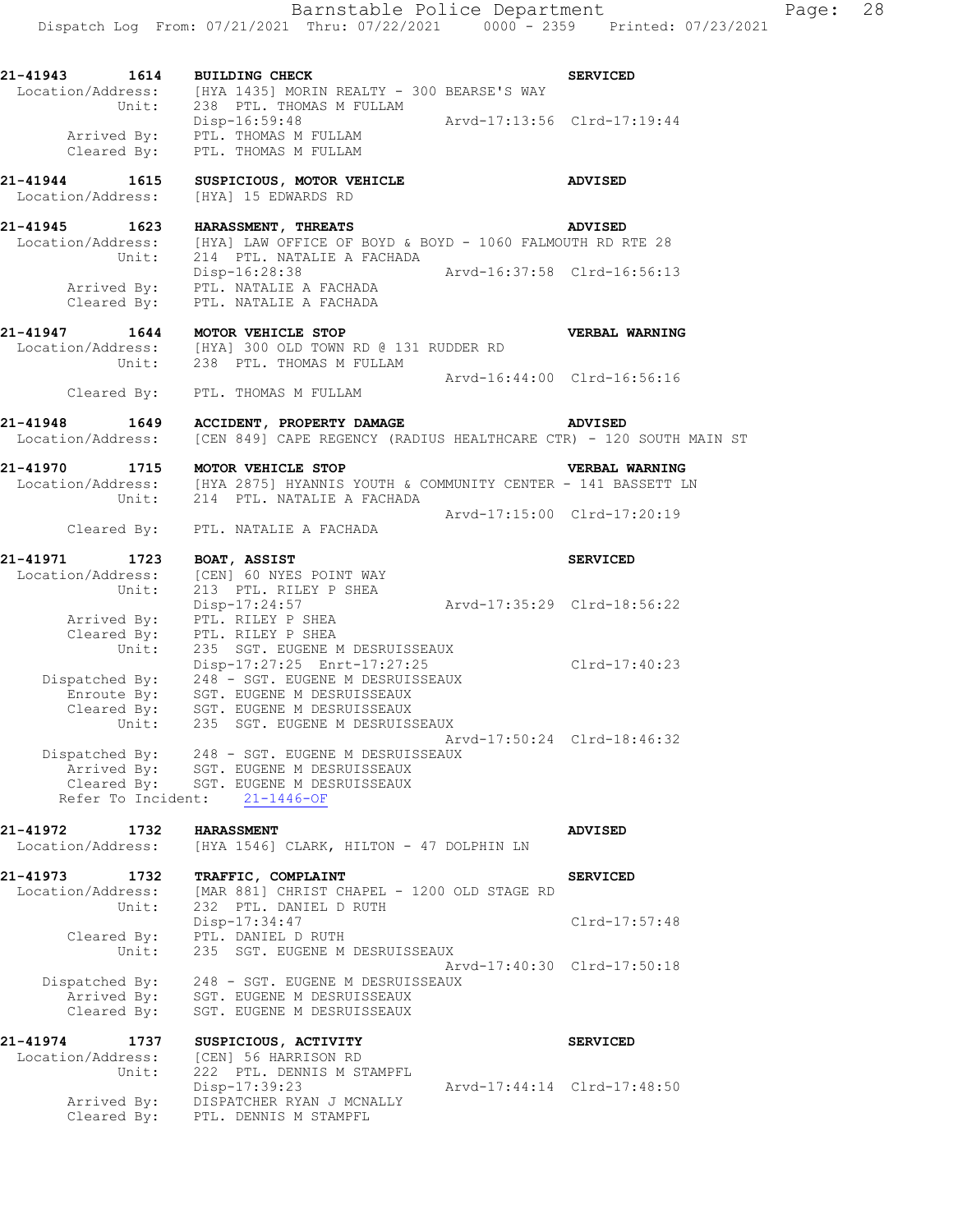| 21-41943 1614     |                    | <b>BUILDING CHECK</b>                                                                                                                                                                     |                             | <b>SERVICED</b>             |
|-------------------|--------------------|-------------------------------------------------------------------------------------------------------------------------------------------------------------------------------------------|-----------------------------|-----------------------------|
|                   |                    | Location/Address: [HYA 1435] MORIN REALTY - 300 BEARSE'S WAY<br>Unit: 238 PTL. THOMAS M FULLAM                                                                                            |                             |                             |
|                   |                    | Disp-16:59:48<br>Arrived By: PTL. THOMAS M FULLAM<br>Cleared By: PTL. THOMAS M FULLAM                                                                                                     |                             |                             |
|                   |                    |                                                                                                                                                                                           |                             |                             |
|                   |                    |                                                                                                                                                                                           |                             |                             |
| 21-41944 1615     |                    | SUSPICIOUS, MOTOR VEHICLE                                                                                                                                                                 |                             | <b>ADVISED</b>              |
| Location/Address: |                    | [HYA] 15 EDWARDS RD                                                                                                                                                                       |                             |                             |
| 21-41945 1623     |                    | HARASSMENT, THREATS                                                                                                                                                                       |                             | <b>ADVISED</b>              |
|                   |                    | Location/Address: [HYA] LAW OFFICE OF BOYD & BOYD - 1060 FALMOUTH RD RTE 28<br>Unit: 214 PTL. NATALIE A FACHADA                                                                           |                             |                             |
|                   |                    |                                                                                                                                                                                           |                             |                             |
|                   |                    | Disp-16:28:38                                                                                                                                                                             | Arvd-16:37:58 Clrd-16:56:13 |                             |
|                   |                    | Arrived By: PTL. NATALIE A FACHADA<br>Cleared By: PTL. NATALIE A FACHADA                                                                                                                  |                             |                             |
|                   |                    | 21-41947 1644 MOTOR VEHICLE STOP                                                                                                                                                          |                             |                             |
|                   |                    | Location/Address: [HYA] 300 OLD TOWN RD @ 131 RUDDER RD                                                                                                                                   |                             | <b>VERBAL WARNING</b>       |
|                   |                    | Unit: 238 PTL. THOMAS M FULLAM                                                                                                                                                            |                             |                             |
|                   |                    |                                                                                                                                                                                           | Arvd-16:44:00 Clrd-16:56:16 |                             |
|                   |                    | Cleared By: PTL. THOMAS M FULLAM                                                                                                                                                          |                             |                             |
|                   |                    | 21-41948 1649 ACCIDENT, PROPERTY DAMAGE                                                                                                                                                   |                             | <b>ADVISED</b>              |
|                   |                    | Location/Address: [CEN 849] CAPE REGENCY (RADIUS HEALTHCARE CTR) - 120 SOUTH MAIN ST                                                                                                      |                             |                             |
|                   |                    | 21-41970 1715 MOTOR VEHICLE STOP                                                                                                                                                          |                             | <b>VERBAL WARNING</b>       |
|                   |                    | $\texttt{Location/Address:} \qquad \texttt{[HYA 2875] HYANNIS YOUTH & \texttt{COMMUNITY CENTER - 141 BASSETT LN} \qquad \texttt{Unit:} \qquad 214 \qquad \texttt{PTL. NATALIE A FACHADA}$ |                             |                             |
|                   |                    |                                                                                                                                                                                           |                             |                             |
|                   |                    | Cleared By: PTL. NATALIE A FACHADA                                                                                                                                                        | Arvd-17:15:00 Clrd-17:20:19 |                             |
|                   |                    |                                                                                                                                                                                           |                             |                             |
|                   |                    | 21-41971 1723 BOAT, ASSIST<br>Location/Address: [CEN] 60 NYES POINT WAY                                                                                                                   |                             | <b>SERVICED</b>             |
|                   | Unit:              | 213 PTL. RILEY P SHEA                                                                                                                                                                     |                             |                             |
|                   |                    |                                                                                                                                                                                           | Arvd-17:35:29 Clrd-18:56:22 |                             |
|                   |                    | Disp-17:24:57<br>Arrived By: PTL. RILEY P SHEA                                                                                                                                            |                             |                             |
|                   |                    |                                                                                                                                                                                           |                             |                             |
|                   |                    | Cleared By: PTL. RILEY P SHEA<br>Unit: 235 SGT. EUGENE M DESRUISSEAUX                                                                                                                     |                             |                             |
|                   |                    | Disp-17:27:25 Enrt-17:27:25                                                                                                                                                               |                             | $Clrd-17:40:23$             |
|                   |                    | Disp-17:27:25 Enrt-17:27:25<br>Dispatched By: 248 - SGT. EUGENE M DESRUISSEAUX<br>Enroute By: SGT. EUGENE M DESRUISSEAUX                                                                  |                             |                             |
|                   |                    |                                                                                                                                                                                           |                             |                             |
|                   |                    | Cleared By: SGT. EUGENE M DESRUISSEAUX<br>Unit: 235 SGT. EUGENE M DESRUISSEAUX                                                                                                            |                             |                             |
|                   |                    |                                                                                                                                                                                           |                             | Arvd-17:50:24 Clrd-18:46:32 |
|                   | Dispatched By:     | 248 - SGT. EUGENE M DESRUISSEAUX                                                                                                                                                          |                             |                             |
|                   |                    | Arrived By: SGT. EUGENE M DESRUISSEAUX                                                                                                                                                    |                             |                             |
|                   |                    | Cleared By: SGT. EUGENE M DESRUISSEAUX                                                                                                                                                    |                             |                             |
|                   | Refer To Incident: | $21 - 1446 - OF$                                                                                                                                                                          |                             |                             |
| 21-41972          | 1732               | <b>HARASSMENT</b>                                                                                                                                                                         |                             | <b>ADVISED</b>              |
| Location/Address: |                    | [HYA 1546] CLARK, HILTON - 47 DOLPHIN LN                                                                                                                                                  |                             |                             |
| 21-41973          | 1732               | TRAFFIC, COMPLAINT                                                                                                                                                                        |                             | <b>SERVICED</b>             |
| Location/Address: |                    | [MAR 881] CHRIST CHAPEL - 1200 OLD STAGE RD                                                                                                                                               |                             |                             |
|                   | Unit:              | 232 PTL. DANIEL D RUTH                                                                                                                                                                    |                             |                             |
|                   |                    | Disp-17:34:47                                                                                                                                                                             |                             | Clrd-17:57:48               |

 Cleared By: PTL. DANIEL D RUTH Unit: 235 SGT. EUGENE M DESRUISSEAUX Arvd-17:40:30 Clrd-17:50:18 Dispatched By: 248 - SGT. EUGENE M DESRUISSEAUX Arrived By: SGT. EUGENE M DESRUISSEAUX Cleared By: SGT. EUGENE M DESRUISSEAUX

**21-41974 1737 SUSPICIOUS, ACTIVITY SERVICED**  Location/Address: [CEN] 56 HARRISON RD Unit: 222 PTL. DENNIS M STAMPFL Disp-17:39:23 Arvd-17:44:14 Clrd-17:48:50 Arrived By: DISPATCHER RYAN J MCNALLY Cleared By: PTL. DENNIS M STAMPFL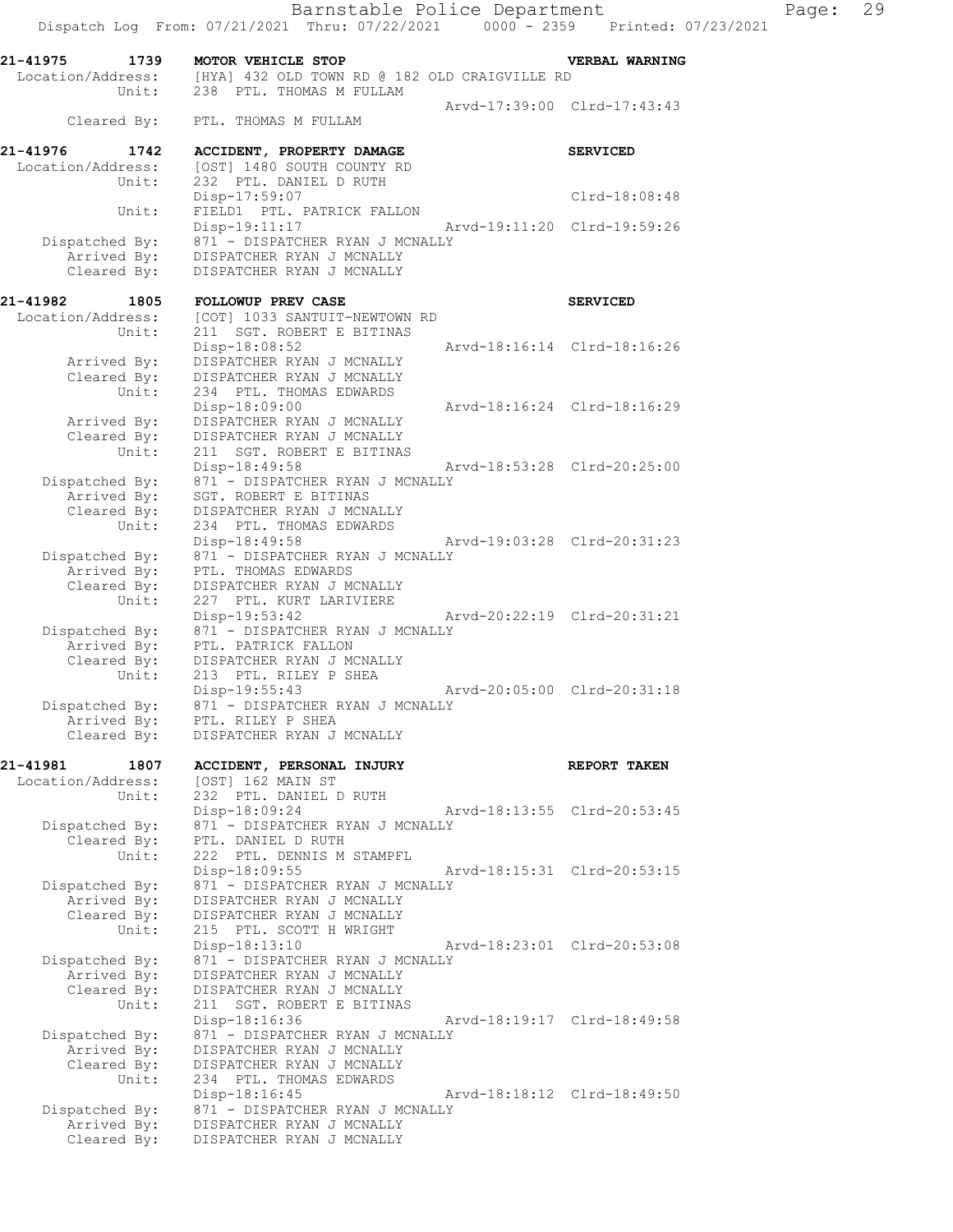Disp-17:59:07 Clrd-18:08:48

Disp-19:11:17 Arvd-19:11:20 Clrd-19:59:26

 Unit: FIELD1 PTL. PATRICK FALLON Dispatched By: 871 - DISPATCHER RYAN J MCNALLY Arrived By: DISPATCHER RYAN J MCNALLY

 Cleared By: DISPATCHER RYAN J MCNALLY 21-41982 1805 FOLLOWUP PREV CASE **1805** SERVICED Location/Address: [COT] 1033 SANTUIT-NEWTOWN RD Unit: 211 SGT. ROBERT E BITINAS Disp-18:08:52 Arvd-18:16:14 Clrd-18:16:26 Arrived By: DISPATCHER RYAN J MCNALLY Cleared By: DISPATCHER RYAN J MCNALLY Unit: 234 PTL. THOMAS EDWARDS Disp-18:09:00 Arvd-18:16:24 Clrd-18:16:29 Arrived By: DISPATCHER RYAN J MCNALLY Cleared By: DISPATCHER RYAN J MCNALLY Unit: 211 SGT. ROBERT E BITINAS Disp-18:49:58 Arvd-18:53:28 Clrd-20:25:00 Dispatched By: 871 - DISPATCHER RYAN J MCNALLY Arrived By: SGT. ROBERT E BITINAS Cleared By: DISPATCHER RYAN J MCNALLY Unit: 234 PTL. THOMAS EDWARDS Disp-18:49:58 Arvd-19:03:28 Clrd-20:31:23 Dispatched By: 871 - DISPATCHER RYAN J MCNALLY Arrived By: PTL. THOMAS EDWARDS Cleared By: DISPATCHER RYAN J MCNALLY Unit: 227 PTL. KURT LARIVIERE Disp-19:53:42 Arvd-20:22:19 Clrd-20:31:21 Dispatched By: 871 - DISPATCHER RYAN J MCNALLY Arrived By: PTL. PATRICK FALLON Cleared By: DISPATCHER RYAN J MCNALLY Unit: 213 PTL. RILEY P SHEA<br>Disp-19:55:43 Disp-19:55:43 Arvd-20:05:00 Clrd-20:31:18 Dispatched By: 871 - DISPATCHER RYAN J MCNALLY

 Arrived By: PTL. RILEY P SHEA Cleared By: DISPATCHER RYAN J MCNALLY

**21-41981 1807 ACCIDENT, PERSONAL INJURY REPORT TAKEN**  Location/Address: [OST] 162 MAIN ST Unit: 232 PTL. DANIEL D RUTH Disp-18:09:24 Arvd-18:13:55 Clrd-20:53:45 Dispatched By: 871 - DISPATCHER RYAN J MCNALLY Cleared By: PTL. DANIEL D RUTH Unit: 222 PTL. DENNIS M STAMPFL<br>Disp-18:09:55 Disp-18:09:55 Arvd-18:15:31 Clrd-20:53:15 Dispatched By: 871 - DISPATCHER RYAN J MCNALLY Arrived By: DISPATCHER RYAN J MCNALLY Cleared By: DISPATCHER RYAN J MCNALLY Unit: 215 PTL. SCOTT H WRIGHT Disp-18:13:10 Arvd-18:23:01 Clrd-20:53:08 Dispatched By: 871 - DISPATCHER RYAN J MCNALLY Arrived By: DISPATCHER RYAN J MCNALLY Cleared By: DISPATCHER RYAN J MCNALLY Unit: 211 SGT. ROBERT E BITINAS<br>Disp-18:16:36 Arvd-18:19:17 Clrd-18:49:58 Dispatched By: 871 - DISPATCHER RYAN J MCNALLY Arrived By: DISPATCHER RYAN J MCNALLY Cleared By: DISPATCHER RYAN J MCNALLY Unit: 234 PTL. THOMAS EDWARDS Disp-18:16:45 Arvd-18:18:12 Clrd-18:49:50 Dispatched By: 871 - DISPATCHER RYAN J MCNALLY Arrived By: DISPATCHER RYAN J MCNALLY Cleared By: DISPATCHER RYAN J MCNALLY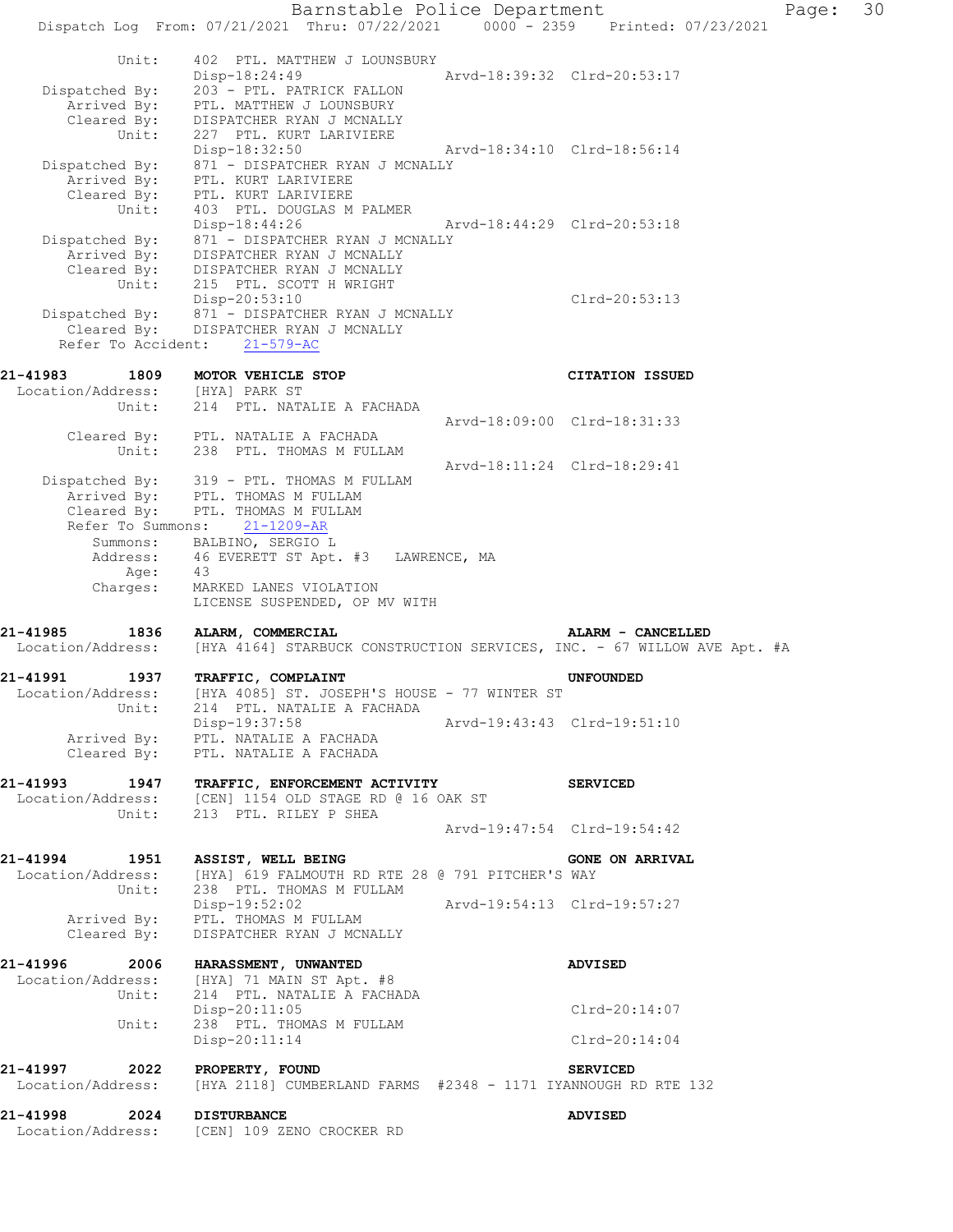Barnstable Police Department Page: 30 Dispatch Log From: 07/21/2021 Thru: 07/22/2021 0000 - 2359 Printed: 07/23/2021 Unit: 402 PTL. MATTHEW J LOUNSBURY Disp-18:24:49 Arvd-18:39:32 Clrd-20:53:17 Dispatched By: 203 - PTL. PATRICK FALLON Arrived By: PTL. MATTHEW J LOUNSBURY Cleared By: DISPATCHER RYAN J MCNALLY Unit: 227 PTL. KURT LARIVIERE Disp-18:32:50 Arvd-18:34:10 Clrd-18:56:14 Dispatched By: 871 - DISPATCHER RYAN J MCNALLY Arrived By: PTL. KURT LARIVIERE Cleared By: PTL. KURT LARIVIERE Unit: 403 PTL. DOUGLAS M PALMER Disp-18:44:26 Arvd-18:44:29 Clrd-20:53:18 Dispatched By: 871 - DISPATCHER RYAN J MCNALLY Arrived By: DISPATCHER RYAN J MCNALLY Cleared By: DISPATCHER RYAN J MCNALLY Unit: 215 PTL. SCOTT H WRIGHT Disp-20:53:10 Clrd-20:53:13 Dispatched By: 871 - DISPATCHER RYAN J MCNALLY Cleared By: DISPATCHER RYAN J MCNALLY Refer To Accident: 21-579-AC **21-41983 1809 MOTOR VEHICLE STOP CITATION ISSUED**  Location/Address: [HYA] PARK ST Unit: 214 PTL. NATALIE A FACHADA Arvd-18:09:00 Clrd-18:31:33 Cleared By: PTL. NATALIE A FACHADA Unit: 238 PTL. THOMAS M FULLAM Arvd-18:11:24 Clrd-18:29:41 Dispatched By: 319 - PTL. THOMAS M FULLAM Arrived By: PTL. THOMAS M FULLAM Cleared By: PTL. THOMAS M FULLAM Refer To Summons: 21-1209-AR Summons: BALBINO, SERGIO L Address: 46 EVERETT ST Apt. #3 LAWRENCE, MA Age: 43 Charges: MARKED LANES VIOLATION LICENSE SUSPENDED, OP MV WITH **21-41985 1836 ALARM, COMMERCIAL ALARM - CANCELLED**  Location/Address: [HYA 4164] STARBUCK CONSTRUCTION SERVICES, INC. - 67 WILLOW AVE Apt. #A **21-41991 1937 TRAFFIC, COMPLAINT UNFOUNDED**  Location/Address: [HYA 4085] ST. JOSEPH'S HOUSE - 77 WINTER ST Unit: 214 PTL. NATALIE A FACHADA Disp-19:37:58 Arvd-19:43:43 Clrd-19:51:10 Arrived By: PTL. NATALIE A FACHADA Cleared By: PTL. NATALIE A FACHADA **21-41993 1947 TRAFFIC, ENFORCEMENT ACTIVITY SERVICED**  Location/Address: [CEN] 1154 OLD STAGE RD @ 16 OAK ST Unit: 213 PTL. RILEY P SHEA Arvd-19:47:54 Clrd-19:54:42 21-41994 1951 ASSIST, WELL BEING **1951 CONE ON ARRIVAL**  Location/Address: [HYA] 619 FALMOUTH RD RTE 28 @ 791 PITCHER'S WAY Unit: 238 PTL. THOMAS M FULLAM Disp-19:52:02 Arvd-19:54:13 Clrd-19:57:27 Arrived By: PTL. THOMAS M FULLAM Cleared By: DISPATCHER RYAN J MCNALLY **21-41996 2006 HARASSMENT, UNWANTED ADVISED**  Location/Address: [HYA] 71 MAIN ST Apt. #8<br>Unit: 214 PTL. NATALIE A FACHA 214 PTL. NATALIE A FACHADA Disp-20:11:05 Clrd-20:14:07 Unit: 238 PTL. THOMAS M FULLAM Disp-20:11:14 Clrd-20:14:04 **21-41997 2022 PROPERTY, FOUND SERVICED**  Location/Address: [HYA 2118] CUMBERLAND FARMS #2348 - 1171 IYANNOUGH RD RTE 132 **21-41998 2024 DISTURBANCE ADVISED**  Location/Address: [CEN] 109 ZENO CROCKER RD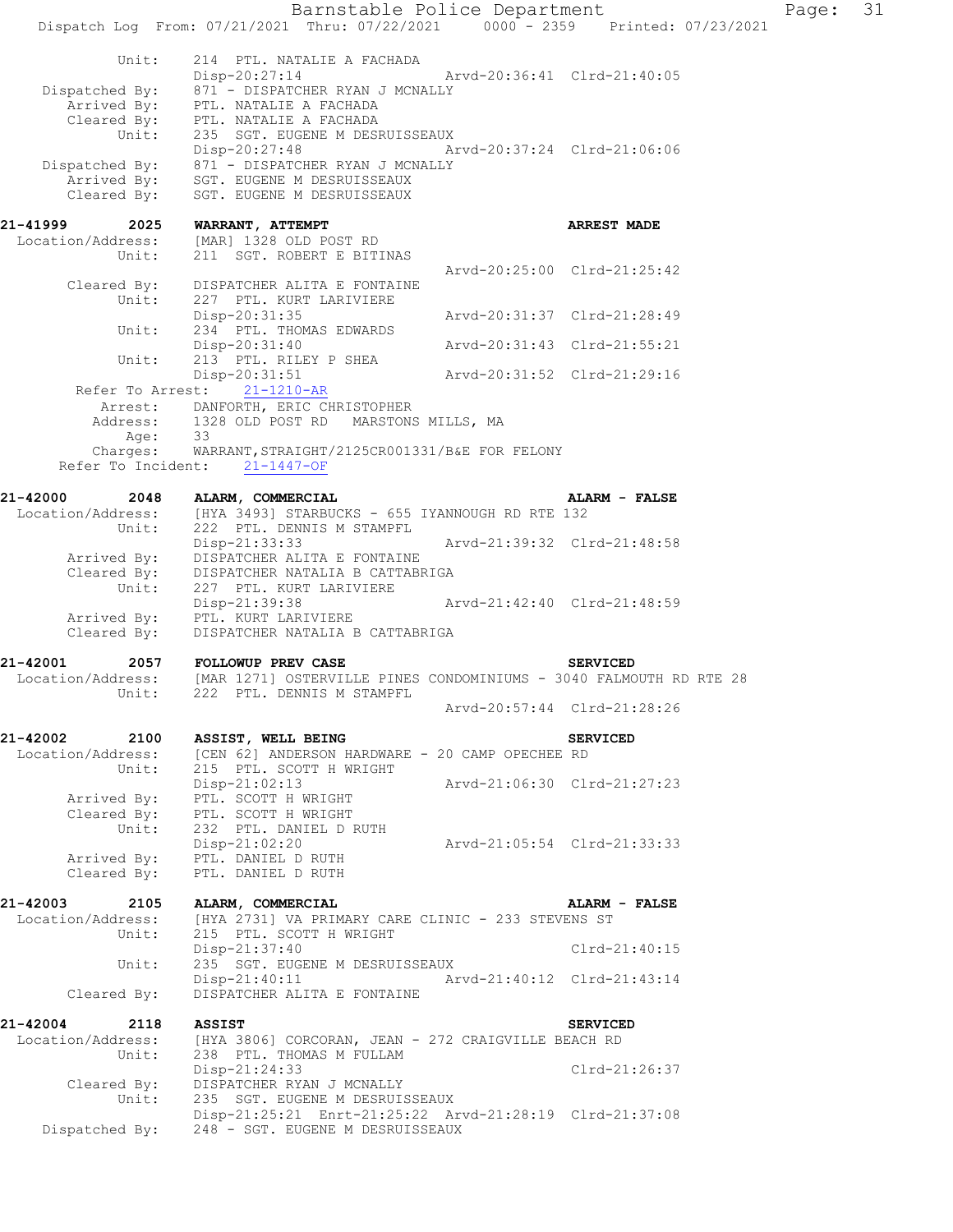|                                                | Barnstable Police Department                                                                       |                             |                             | Page: | 31 |
|------------------------------------------------|----------------------------------------------------------------------------------------------------|-----------------------------|-----------------------------|-------|----|
|                                                | Dispatch Log From: 07/21/2021 Thru: 07/22/2021 0000 - 2359 Printed: 07/23/2021                     |                             |                             |       |    |
| Unit:                                          | 214 PTL. NATALIE A FACHADA<br>$Disp-20:27:14$                                                      | Arvd-20:36:41 Clrd-21:40:05 |                             |       |    |
| Dispatched By:<br>Arrived By:                  | 871 - DISPATCHER RYAN J MCNALLY<br>PTL. NATALIE A FACHADA<br>Cleared By: PTL. NATALIE A FACHADA    |                             |                             |       |    |
| Unit:<br>Dispatched By:                        | 235 SGT. EUGENE M DESRUISSEAUX<br>Disp-20:27:48<br>871 - DISPATCHER RYAN J MCNALLY                 | Arvd-20:37:24 Clrd-21:06:06 |                             |       |    |
| Arrived By:<br>Cleared By:                     | SGT. EUGENE M DESRUISSEAUX<br>SGT. EUGENE M DESRUISSEAUX                                           |                             |                             |       |    |
| 21-41999<br>2025                               | WARRANT, ATTEMPT                                                                                   |                             | <b>ARREST MADE</b>          |       |    |
| Location/Address:<br>Unit:                     | [MAR] 1328 OLD POST RD<br>211 SGT. ROBERT E BITINAS                                                |                             |                             |       |    |
| Cleared By:<br>Unit:                           | DISPATCHER ALITA E FONTAINE<br>227 PTL. KURT LARIVIERE                                             |                             | Arvd-20:25:00 Clrd-21:25:42 |       |    |
| Unit:                                          | Disp-20:31:35<br>234 PTL. THOMAS EDWARDS                                                           | Arvd-20:31:37 Clrd-21:28:49 |                             |       |    |
|                                                | Disp-20:31:40                                                                                      | Arvd-20:31:43 Clrd-21:55:21 |                             |       |    |
| Unit:                                          | 213 PTL. RILEY P SHEA<br>Disp-20:31:51                                                             | Arvd-20:31:52 Clrd-21:29:16 |                             |       |    |
| Refer To Arrest:                               | $21 - 1210 - AR$<br>Arrest: DANFORTH, ERIC CHRISTOPHER                                             |                             |                             |       |    |
|                                                | Address: 1328 OLD POST RD MARSTONS MILLS, MA<br>Age: 33                                            |                             |                             |       |    |
| Charges:                                       | WARRANT, STRAIGHT/2125CR001331/B&E FOR FELONY<br>Refer To Incident: 21-1447-OF                     |                             |                             |       |    |
| 21-42000<br>2048                               | ALARM, COMMERCIAL                                                                                  |                             | ALARM - FALSE               |       |    |
| Location/Address:<br>Unit:                     | [HYA 3493] STARBUCKS - 655 IYANNOUGH RD RTE 132<br>222 PTL. DENNIS M STAMPFL                       |                             |                             |       |    |
| Arrived By:                                    | Disp-21:33:33<br>DISPATCHER ALITA E FONTAINE                                                       | Arvd-21:39:32 Clrd-21:48:58 |                             |       |    |
| Cleared By:<br>Unit:                           | DISPATCHER NATALIA B CATTABRIGA<br>227 PTL. KURT LARIVIERE                                         |                             |                             |       |    |
| Arrived By:<br>Cleared By:                     | Disp-21:39:38<br>PTL. KURT LARIVIERE<br>DISPATCHER NATALIA B CATTABRIGA                            | Arvd-21:42:40 Clrd-21:48:59 |                             |       |    |
| 21-42001<br>2057                               | FOLLOWUP PREV CASE                                                                                 |                             | <b>SERVICED</b>             |       |    |
| Location/Address:<br>Unit:                     | [MAR 1271] OSTERVILLE PINES CONDOMINIUMS - 3040 FALMOUTH RD RTE 28<br>222 PTL. DENNIS M STAMPFL    |                             |                             |       |    |
|                                                |                                                                                                    |                             | Arvd-20:57:44 Clrd-21:28:26 |       |    |
| 21-42002<br>2100<br>Location/Address:          | ASSIST, WELL BEING<br>[CEN 62] ANDERSON HARDWARE - 20 CAMP OPECHEE RD                              |                             | <b>SERVICED</b>             |       |    |
| Unit:<br>Arrived By:                           | 215 PTL. SCOTT H WRIGHT<br>$Disp-21:02:13$<br>PTL. SCOTT H WRIGHT                                  | Arvd-21:06:30 Clrd-21:27:23 |                             |       |    |
| Cleared By:<br>Unit:                           | PTL. SCOTT H WRIGHT<br>232 PTL. DANIEL D RUTH                                                      |                             |                             |       |    |
| Arrived By:<br>Cleared By:                     | Disp-21:02:20<br>PTL. DANIEL D RUTH<br>PTL. DANIEL D RUTH                                          | Arvd-21:05:54 Clrd-21:33:33 |                             |       |    |
|                                                |                                                                                                    |                             |                             |       |    |
| 21-42003<br>2105<br>Location/Address:<br>Unit: | ALARM, COMMERCIAL<br>[HYA 2731] VA PRIMARY CARE CLINIC - 233 STEVENS ST<br>215 PTL. SCOTT H WRIGHT |                             | ALARM - FALSE               |       |    |
| Unit:                                          | Disp-21:37:40<br>235 SGT. EUGENE M DESRUISSEAUX                                                    |                             | $Clrd-21:40:15$             |       |    |
| Cleared By:                                    | Disp-21:40:11 Arvd-21:40:12 Clrd-21:43:14<br>DISPATCHER ALITA E FONTAINE                           |                             |                             |       |    |
| 21-42004 2118                                  | <b>ASSIST</b>                                                                                      |                             | <b>SERVICED</b>             |       |    |
| Location/Address:<br>Unit:                     | [HYA 3806] CORCORAN, JEAN - 272 CRAIGVILLE BEACH RD<br>238 PTL. THOMAS M FULLAM                    |                             |                             |       |    |
| Cleared By:<br>Unit:                           | Disp-21:24:33<br>DISPATCHER RYAN J MCNALLY<br>235 SGT. EUGENE M DESRUISSEAUX                       |                             | Clrd-21:26:37               |       |    |
| Dispatched By:                                 | Disp-21:25:21 Enrt-21:25:22 Arvd-21:28:19 Clrd-21:37:08<br>248 - SGT. EUGENE M DESRUISSEAUX        |                             |                             |       |    |
|                                                |                                                                                                    |                             |                             |       |    |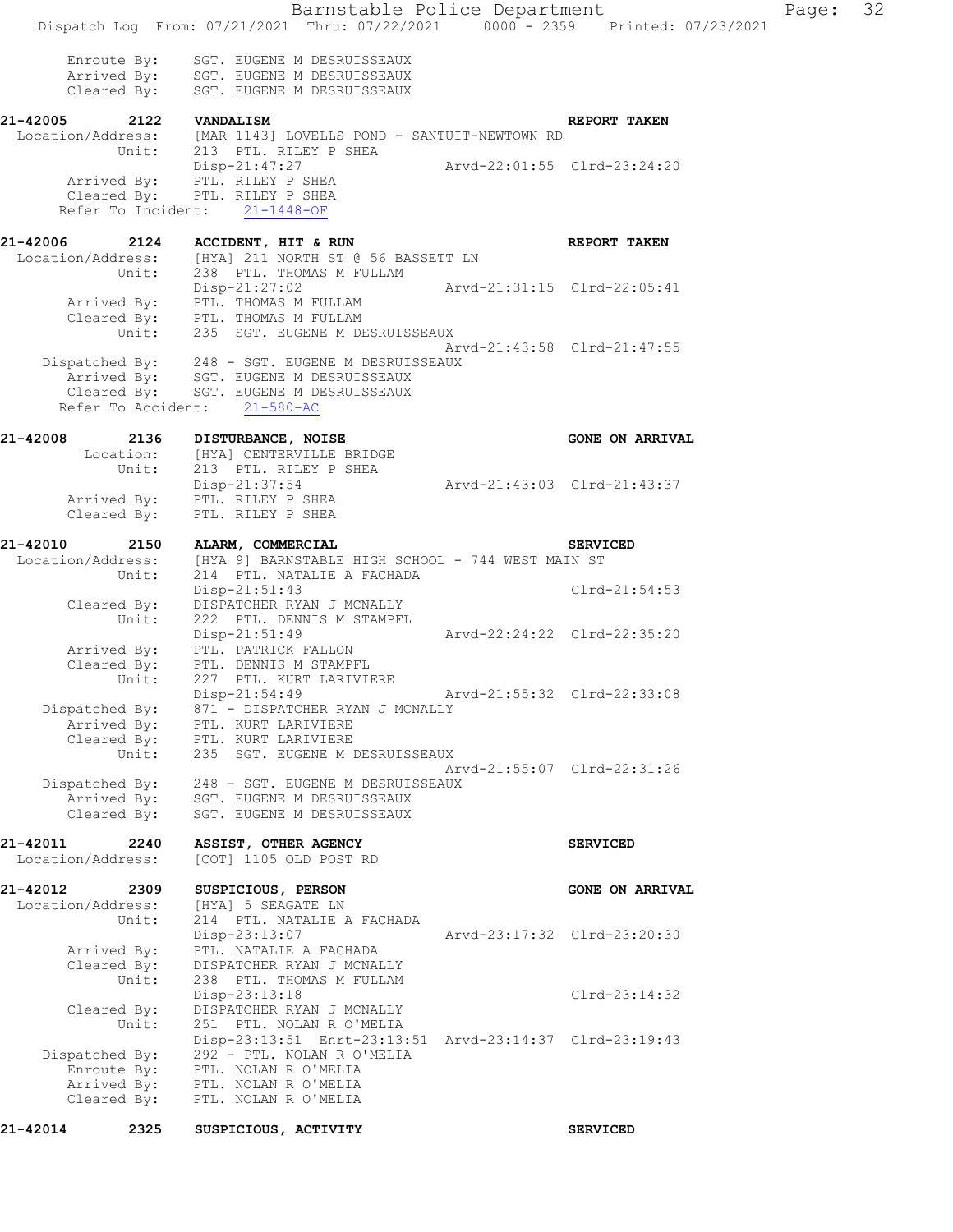Barnstable Police Department Page: 32 Dispatch Log From: 07/21/2021 Thru: 07/22/2021 0000 - 2359 Printed: 07/23/2021 Enroute By: SGT. EUGENE M DESRUISSEAUX Arrived By: SGT. EUGENE M DESRUISSEAUX Cleared By: SGT. EUGENE M DESRUISSEAUX **21-42005 2122 VANDALISM REPORT TAKEN**  Location/Address: [MAR 1143] LOVELLS POND - SANTUIT-NEWTOWN RD Unit: 213 PTL. RILEY P SHEA Disp-21:47:27 Arvd-22:01:55 Clrd-23:24:20 Arrived By: PTL. RILEY P SHEA Cleared By: PTL. RILEY P SHEA Refer To Incident: 21-1448-OF **21-42006 2124 ACCIDENT, HIT & RUN REPORT TAKEN**  Location/Address: [HYA] 211 NORTH ST @ 56 BASSETT LN Unit: 238 PTL. THOMAS M FULLAM Disp-21:27:02 Arvd-21:31:15 Clrd-22:05:41 Arrived By: PTL. THOMAS M FULLAM Cleared By: PTL. THOMAS M FULLAM Unit: 235 SGT. EUGENE M DESRUISSEAUX Arvd-21:43:58 Clrd-21:47:55 Dispatched By: 248 - SGT. EUGENE M DESRUISSEAUX Arrived By: SGT. EUGENE M DESRUISSEAUX Cleared By: SGT. EUGENE M DESRUISSEAUX Refer To Accident: 21-580-AC **21-42008 2136 DISTURBANCE, NOISE GONE ON ARRIVAL**  Location: [HYA] CENTERVILLE BRIDGE<br>Unit: 213 PTL. RILEY P SHEA 213 PTL. RILEY P SHEA Disp-21:37:54 Arvd-21:43:03 Clrd-21:43:37 Arrived By: PTL. RILEY P SHEA Cleared By: PTL. RILEY P SHEA **21-42010 2150 ALARM, COMMERCIAL SERVICED**  Location/Address: [HYA 9] BARNSTABLE HIGH SCHOOL - 744 WEST MAIN ST Unit: 214 PTL. NATALIE A FACHADA Disp-21:51:43 Clrd-21:54:53 Cleared By: DISPATCHER RYAN J MCNALLY Unit: 222 PTL. DENNIS M STAMPFL Disp-21:51:49 Arvd-22:24:22 Clrd-22:35:20 Arrived By: PTL. PATRICK FALLON Cleared By: PTL. DENNIS M STAMPFL Unit: 227 PTL. KURT LARIVIERE Disp-21:54:49 Arvd-21:55:32 Clrd-22:33:08 Dispatched By: 871 - DISPATCHER RYAN J MCNALLY Arrived By: PTL. KURT LARIVIERE Cleared By: PTL. KURT LARIVIERE Unit: 235 SGT. EUGENE M DESRUISSEAUX Arvd-21:55:07 Clrd-22:31:26 Dispatched By: 248 - SGT. EUGENE M DESRUISSEAUX Arrived By: SGT. EUGENE M DESRUISSEAUX Cleared By: SGT. EUGENE M DESRUISSEAUX **21-42011 2240 ASSIST, OTHER AGENCY SERVICED**  Location/Address: [COT] 1105 OLD POST RD **21-42012 2309 SUSPICIOUS, PERSON GONE ON ARRIVAL**  Location/Address: [HYA] 5 SEAGATE LN Unit: 214 PTL. NATALIE A FACHADA Disp-23:13:07 Arvd-23:17:32 Clrd-23:20:30 Arrived By: PTL. NATALIE A FACHADA Cleared By: DISPATCHER RYAN J MCNALLY Unit: 238 PTL. THOMAS M FULLAM Disp-23:13:18 Clrd-23:14:32<br>DISPATCHER RYAN J MCNALLY Cleared By: DISPATCHER RYAN J MCNALLY Unit: 251 PTL. NOLAN R O'MELIA Disp-23:13:51 Enrt-23:13:51 Arvd-23:14:37 Clrd-23:19:43 Dispatched By: 292 - PTL. NOLAN R O'MELIA Enroute By: PTL. NOLAN R O'MELIA Arrived By: PTL. NOLAN R O'MELIA Cleared By: PTL. NOLAN R O'MELIA

**21-42014 2325 SUSPICIOUS, ACTIVITY SERVICED**